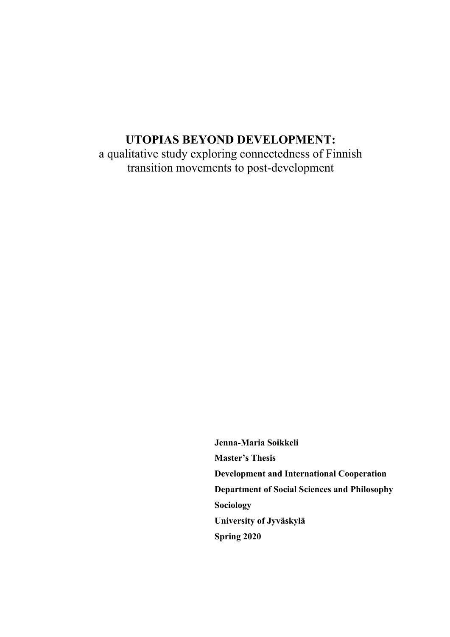# **UTOPIAS BEYOND DEVELOPMENT:**

a qualitative study exploring connectedness of Finnish transition movements to post-development

> **Jenna-Maria Soikkeli Master's Thesis Development and International Cooperation Department of Social Sciences and Philosophy Sociology University of Jyväskylä Spring 2020**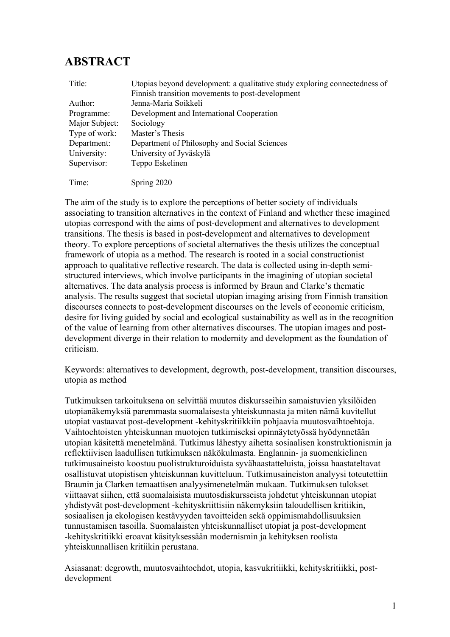# **ABSTRACT**

| Title:         | Utopias beyond development: a qualitative study exploring connectedness of<br>Finnish transition movements to post-development |
|----------------|--------------------------------------------------------------------------------------------------------------------------------|
| Author:        | Jenna-Maria Soikkeli                                                                                                           |
| Programme:     | Development and International Cooperation                                                                                      |
| Major Subject: | Sociology                                                                                                                      |
| Type of work:  | Master's Thesis                                                                                                                |
| Department:    | Department of Philosophy and Social Sciences                                                                                   |
| University:    | University of Jyväskylä                                                                                                        |
| Supervisor:    | Teppo Eskelinen                                                                                                                |
| Time:          | Spring 2020                                                                                                                    |

The aim of the study is to explore the perceptions of better society of individuals associating to transition alternatives in the context of Finland and whether these imagined utopias correspond with the aims of post-development and alternatives to development transitions. The thesis is based in post-development and alternatives to development theory. To explore perceptions of societal alternatives the thesis utilizes the conceptual framework of utopia as a method. The research is rooted in a social constructionist approach to qualitative reflective research. The data is collected using in-depth semistructured interviews, which involve participants in the imagining of utopian societal alternatives. The data analysis process is informed by Braun and Clarke's thematic analysis. The results suggest that societal utopian imaging arising from Finnish transition discourses connects to post-development discourses on the levels of economic criticism, desire for living guided by social and ecological sustainability as well as in the recognition of the value of learning from other alternatives discourses. The utopian images and postdevelopment diverge in their relation to modernity and development as the foundation of criticism.

Keywords: alternatives to development, degrowth, post-development, transition discourses, utopia as method

Tutkimuksen tarkoituksena on selvittää muutos diskursseihin samaistuvien yksilöiden utopianäkemyksiä paremmasta suomalaisesta yhteiskunnasta ja miten nämä kuvitellut utopiat vastaavat post-development -kehityskritiikkiin pohjaavia muutosvaihtoehtoja. Vaihtoehtoisten yhteiskunnan muotojen tutkimiseksi opinnäytetyössä hyödynnetään utopian käsitettä menetelmänä. Tutkimus lähestyy aihetta sosiaalisen konstruktionismin ja reflektiivisen laadullisen tutkimuksen näkökulmasta. Englannin- ja suomenkielinen tutkimusaineisto koostuu puolistrukturoiduista syvähaastatteluista, joissa haastateltavat osallistuvat utopistisen yhteiskunnan kuvitteluun. Tutkimusaineiston analyysi toteutettiin Braunin ja Clarken temaattisen analyysimenetelmän mukaan. Tutkimuksen tulokset viittaavat siihen, että suomalaisista muutosdiskursseista johdetut yhteiskunnan utopiat yhdistyvät post-development -kehityskriittisiin näkemyksiin taloudellisen kritiikin, sosiaalisen ja ekologisen kestävyyden tavoitteiden sekä oppimismahdollisuuksien tunnustamisen tasoilla. Suomalaisten yhteiskunnalliset utopiat ja post-development -kehityskritiikki eroavat käsityksessään modernismin ja kehityksen roolista yhteiskunnallisen kritiikin perustana.

Asiasanat: degrowth, muutosvaihtoehdot, utopia, kasvukritiikki, kehityskritiikki, postdevelopment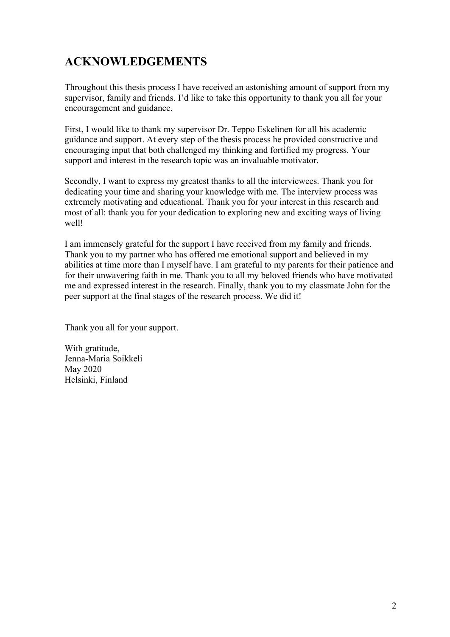# **ACKNOWLEDGEMENTS**

Throughout this thesis process I have received an astonishing amount of support from my supervisor, family and friends. I'd like to take this opportunity to thank you all for your encouragement and guidance.

First, I would like to thank my supervisor Dr. Teppo Eskelinen for all his academic guidance and support. At every step of the thesis process he provided constructive and encouraging input that both challenged my thinking and fortified my progress. Your support and interest in the research topic was an invaluable motivator.

Secondly, I want to express my greatest thanks to all the interviewees. Thank you for dedicating your time and sharing your knowledge with me. The interview process was extremely motivating and educational. Thank you for your interest in this research and most of all: thank you for your dedication to exploring new and exciting ways of living well!

I am immensely grateful for the support I have received from my family and friends. Thank you to my partner who has offered me emotional support and believed in my abilities at time more than I myself have. I am grateful to my parents for their patience and for their unwavering faith in me. Thank you to all my beloved friends who have motivated me and expressed interest in the research. Finally, thank you to my classmate John for the peer support at the final stages of the research process. We did it!

Thank you all for your support.

With gratitude, Jenna-Maria Soikkeli May 2020 Helsinki, Finland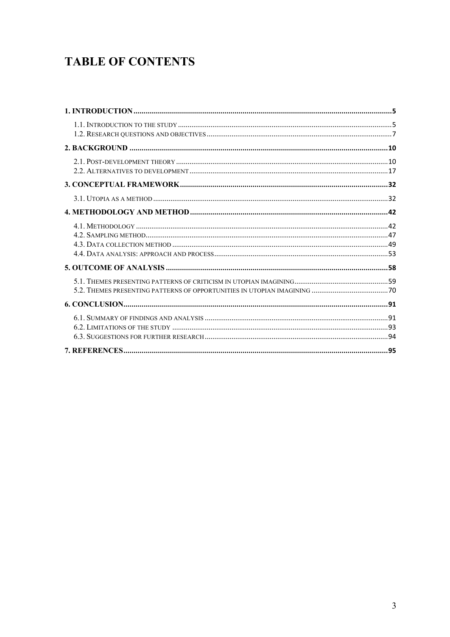# **TABLE OF CONTENTS**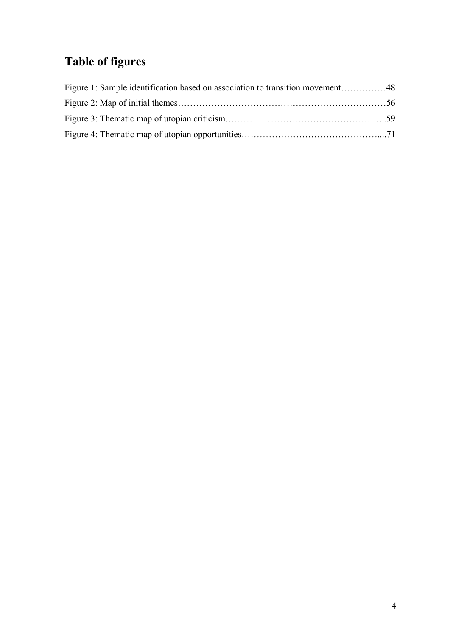# **Table of figures**

| Figure 1: Sample identification based on association to transition movement48 |  |
|-------------------------------------------------------------------------------|--|
|                                                                               |  |
|                                                                               |  |
|                                                                               |  |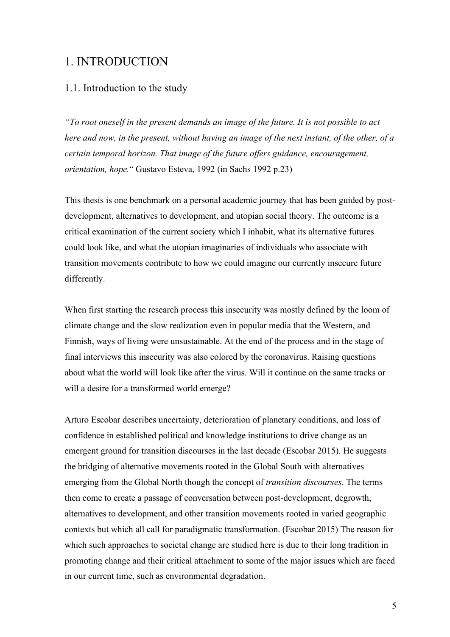## 1. INTRODUCTION

## 1.1. Introduction to the study

*"To root oneself in the present demands an image of the future. It is not possible to act here and now, in the present, without having an image of the next instant, of the other, of a certain temporal horizon. That image of the future offers guidance, encouragement, orientation, hope.*" Gustavo Esteva, 1992 (in Sachs 1992 p.23)

This thesis is one benchmark on a personal academic journey that has been guided by postdevelopment, alternatives to development, and utopian social theory. The outcome is a critical examination of the current society which I inhabit, what its alternative futures could look like, and what the utopian imaginaries of individuals who associate with transition movements contribute to how we could imagine our currently insecure future differently.

When first starting the research process this insecurity was mostly defined by the loom of climate change and the slow realization even in popular media that the Western, and Finnish, ways of living were unsustainable. At the end of the process and in the stage of final interviews this insecurity was also colored by the coronavirus. Raising questions about what the world will look like after the virus. Will it continue on the same tracks or will a desire for a transformed world emerge?

Arturo Escobar describes uncertainty, deterioration of planetary conditions, and loss of confidence in established political and knowledge institutions to drive change as an emergent ground for transition discourses in the last decade (Escobar 2015). He suggests the bridging of alternative movements rooted in the Global South with alternatives emerging from the Global North though the concept of *transition discourses*. The terms then come to create a passage of conversation between post-development, degrowth, alternatives to development, and other transition movements rooted in varied geographic contexts but which all call for paradigmatic transformation. (Escobar 2015) The reason for which such approaches to societal change are studied here is due to their long tradition in promoting change and their critical attachment to some of the major issues which are faced in our current time, such as environmental degradation.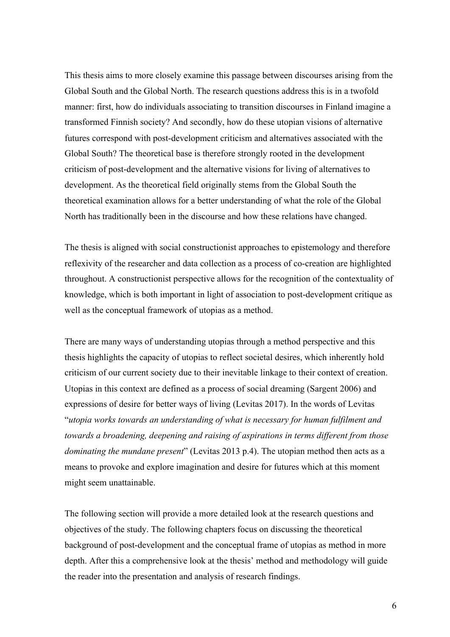This thesis aims to more closely examine this passage between discourses arising from the Global South and the Global North. The research questions address this is in a twofold manner: first, how do individuals associating to transition discourses in Finland imagine a transformed Finnish society? And secondly, how do these utopian visions of alternative futures correspond with post-development criticism and alternatives associated with the Global South? The theoretical base is therefore strongly rooted in the development criticism of post-development and the alternative visions for living of alternatives to development. As the theoretical field originally stems from the Global South the theoretical examination allows for a better understanding of what the role of the Global North has traditionally been in the discourse and how these relations have changed.

The thesis is aligned with social constructionist approaches to epistemology and therefore reflexivity of the researcher and data collection as a process of co-creation are highlighted throughout. A constructionist perspective allows for the recognition of the contextuality of knowledge, which is both important in light of association to post-development critique as well as the conceptual framework of utopias as a method.

There are many ways of understanding utopias through a method perspective and this thesis highlights the capacity of utopias to reflect societal desires, which inherently hold criticism of our current society due to their inevitable linkage to their context of creation. Utopias in this context are defined as a process of social dreaming (Sargent 2006) and expressions of desire for better ways of living (Levitas 2017). In the words of Levitas "*utopia works towards an understanding of what is necessary for human fulfilment and towards a broadening, deepening and raising of aspirations in terms different from those dominating the mundane present*" (Levitas 2013 p.4). The utopian method then acts as a means to provoke and explore imagination and desire for futures which at this moment might seem unattainable.

The following section will provide a more detailed look at the research questions and objectives of the study. The following chapters focus on discussing the theoretical background of post-development and the conceptual frame of utopias as method in more depth. After this a comprehensive look at the thesis' method and methodology will guide the reader into the presentation and analysis of research findings.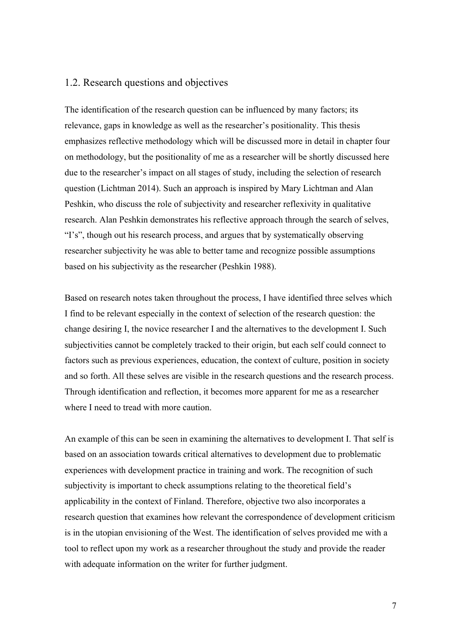## 1.2. Research questions and objectives

The identification of the research question can be influenced by many factors; its relevance, gaps in knowledge as well as the researcher's positionality. This thesis emphasizes reflective methodology which will be discussed more in detail in chapter four on methodology, but the positionality of me as a researcher will be shortly discussed here due to the researcher's impact on all stages of study, including the selection of research question (Lichtman 2014). Such an approach is inspired by Mary Lichtman and Alan Peshkin, who discuss the role of subjectivity and researcher reflexivity in qualitative research. Alan Peshkin demonstrates his reflective approach through the search of selves, "I's", though out his research process, and argues that by systematically observing researcher subjectivity he was able to better tame and recognize possible assumptions based on his subjectivity as the researcher (Peshkin 1988).

Based on research notes taken throughout the process, I have identified three selves which I find to be relevant especially in the context of selection of the research question: the change desiring I, the novice researcher I and the alternatives to the development I. Such subjectivities cannot be completely tracked to their origin, but each self could connect to factors such as previous experiences, education, the context of culture, position in society and so forth. All these selves are visible in the research questions and the research process. Through identification and reflection, it becomes more apparent for me as a researcher where I need to tread with more caution.

An example of this can be seen in examining the alternatives to development I. That self is based on an association towards critical alternatives to development due to problematic experiences with development practice in training and work. The recognition of such subjectivity is important to check assumptions relating to the theoretical field's applicability in the context of Finland. Therefore, objective two also incorporates a research question that examines how relevant the correspondence of development criticism is in the utopian envisioning of the West. The identification of selves provided me with a tool to reflect upon my work as a researcher throughout the study and provide the reader with adequate information on the writer for further judgment.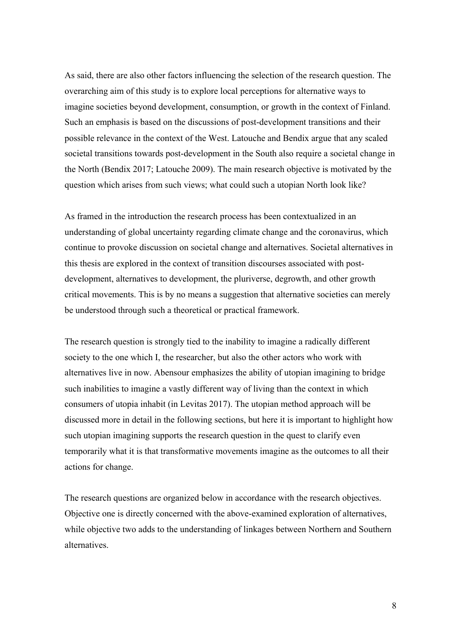As said, there are also other factors influencing the selection of the research question. The overarching aim of this study is to explore local perceptions for alternative ways to imagine societies beyond development, consumption, or growth in the context of Finland. Such an emphasis is based on the discussions of post-development transitions and their possible relevance in the context of the West. Latouche and Bendix argue that any scaled societal transitions towards post-development in the South also require a societal change in the North (Bendix 2017; Latouche 2009). The main research objective is motivated by the question which arises from such views; what could such a utopian North look like?

As framed in the introduction the research process has been contextualized in an understanding of global uncertainty regarding climate change and the coronavirus, which continue to provoke discussion on societal change and alternatives. Societal alternatives in this thesis are explored in the context of transition discourses associated with postdevelopment, alternatives to development, the pluriverse, degrowth, and other growth critical movements. This is by no means a suggestion that alternative societies can merely be understood through such a theoretical or practical framework.

The research question is strongly tied to the inability to imagine a radically different society to the one which I, the researcher, but also the other actors who work with alternatives live in now. Abensour emphasizes the ability of utopian imagining to bridge such inabilities to imagine a vastly different way of living than the context in which consumers of utopia inhabit (in Levitas 2017). The utopian method approach will be discussed more in detail in the following sections, but here it is important to highlight how such utopian imagining supports the research question in the quest to clarify even temporarily what it is that transformative movements imagine as the outcomes to all their actions for change.

The research questions are organized below in accordance with the research objectives. Objective one is directly concerned with the above-examined exploration of alternatives, while objective two adds to the understanding of linkages between Northern and Southern alternatives.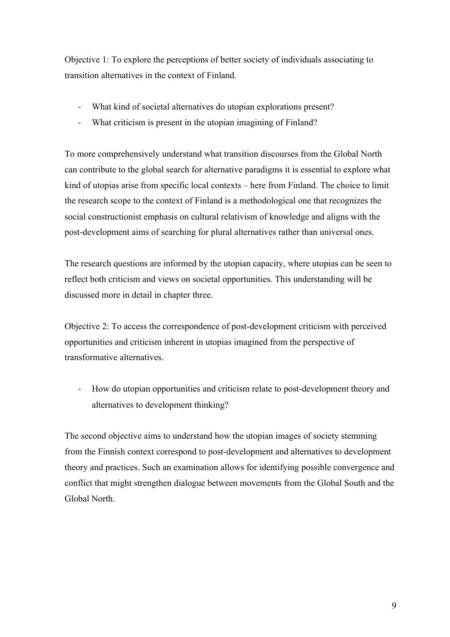Objective 1: To explore the perceptions of better society of individuals associating to transition alternatives in the context of Finland.

- What kind of societal alternatives do utopian explorations present?
- What criticism is present in the utopian imagining of Finland?

To more comprehensively understand what transition discourses from the Global North can contribute to the global search for alternative paradigms it is essential to explore what kind of utopias arise from specific local contexts – here from Finland. The choice to limit the research scope to the context of Finland is a methodological one that recognizes the social constructionist emphasis on cultural relativism of knowledge and aligns with the post-development aims of searching for plural alternatives rather than universal ones.

The research questions are informed by the utopian capacity, where utopias can be seen to reflect both criticism and views on societal opportunities. This understanding will be discussed more in detail in chapter three.

Objective 2: To access the correspondence of post-development criticism with perceived opportunities and criticism inherent in utopias imagined from the perspective of transformative alternatives.

- How do utopian opportunities and criticism relate to post-development theory and alternatives to development thinking?

The second objective aims to understand how the utopian images of society stemming from the Finnish context correspond to post-development and alternatives to development theory and practices. Such an examination allows for identifying possible convergence and conflict that might strengthen dialogue between movements from the Global South and the Global North.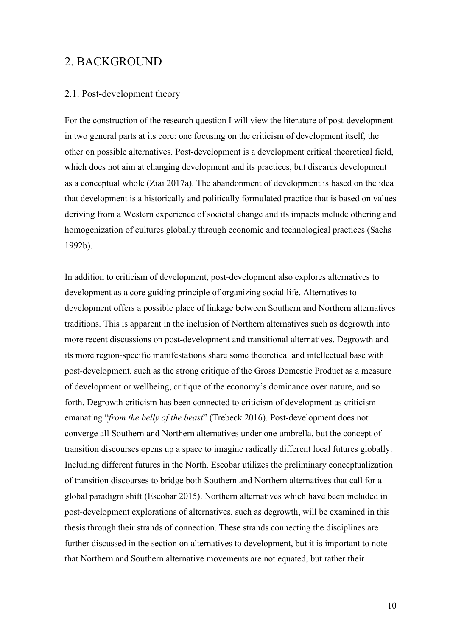## 2. BACKGROUND

#### 2.1. Post-development theory

For the construction of the research question I will view the literature of post-development in two general parts at its core: one focusing on the criticism of development itself, the other on possible alternatives. Post-development is a development critical theoretical field, which does not aim at changing development and its practices, but discards development as a conceptual whole (Ziai 2017a). The abandonment of development is based on the idea that development is a historically and politically formulated practice that is based on values deriving from a Western experience of societal change and its impacts include othering and homogenization of cultures globally through economic and technological practices (Sachs 1992b).

In addition to criticism of development, post-development also explores alternatives to development as a core guiding principle of organizing social life. Alternatives to development offers a possible place of linkage between Southern and Northern alternatives traditions. This is apparent in the inclusion of Northern alternatives such as degrowth into more recent discussions on post-development and transitional alternatives. Degrowth and its more region-specific manifestations share some theoretical and intellectual base with post-development, such as the strong critique of the Gross Domestic Product as a measure of development or wellbeing, critique of the economy's dominance over nature, and so forth. Degrowth criticism has been connected to criticism of development as criticism emanating "*from the belly of the beast*" (Trebeck 2016). Post-development does not converge all Southern and Northern alternatives under one umbrella, but the concept of transition discourses opens up a space to imagine radically different local futures globally. Including different futures in the North. Escobar utilizes the preliminary conceptualization of transition discourses to bridge both Southern and Northern alternatives that call for a global paradigm shift (Escobar 2015). Northern alternatives which have been included in post-development explorations of alternatives, such as degrowth, will be examined in this thesis through their strands of connection. These strands connecting the disciplines are further discussed in the section on alternatives to development, but it is important to note that Northern and Southern alternative movements are not equated, but rather their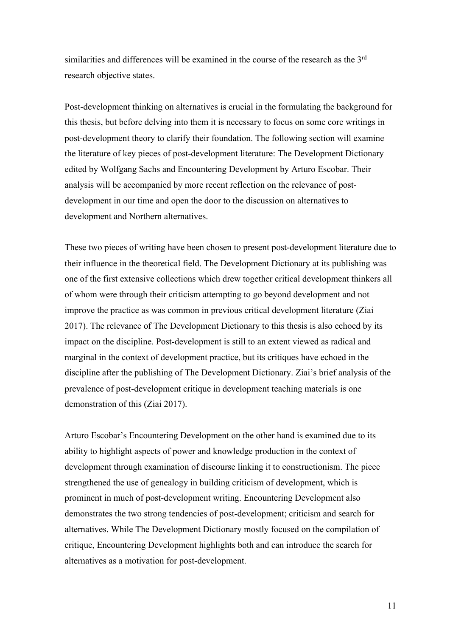similarities and differences will be examined in the course of the research as the  $3<sup>rd</sup>$ research objective states.

Post-development thinking on alternatives is crucial in the formulating the background for this thesis, but before delving into them it is necessary to focus on some core writings in post-development theory to clarify their foundation. The following section will examine the literature of key pieces of post-development literature: The Development Dictionary edited by Wolfgang Sachs and Encountering Development by Arturo Escobar. Their analysis will be accompanied by more recent reflection on the relevance of postdevelopment in our time and open the door to the discussion on alternatives to development and Northern alternatives.

These two pieces of writing have been chosen to present post-development literature due to their influence in the theoretical field. The Development Dictionary at its publishing was one of the first extensive collections which drew together critical development thinkers all of whom were through their criticism attempting to go beyond development and not improve the practice as was common in previous critical development literature (Ziai 2017). The relevance of The Development Dictionary to this thesis is also echoed by its impact on the discipline. Post-development is still to an extent viewed as radical and marginal in the context of development practice, but its critiques have echoed in the discipline after the publishing of The Development Dictionary. Ziai's brief analysis of the prevalence of post-development critique in development teaching materials is one demonstration of this (Ziai 2017).

Arturo Escobar's Encountering Development on the other hand is examined due to its ability to highlight aspects of power and knowledge production in the context of development through examination of discourse linking it to constructionism. The piece strengthened the use of genealogy in building criticism of development, which is prominent in much of post-development writing. Encountering Development also demonstrates the two strong tendencies of post-development; criticism and search for alternatives. While The Development Dictionary mostly focused on the compilation of critique, Encountering Development highlights both and can introduce the search for alternatives as a motivation for post-development.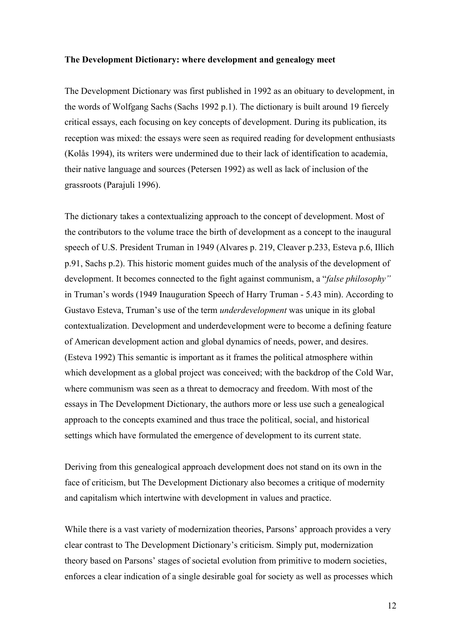#### **The Development Dictionary: where development and genealogy meet**

The Development Dictionary was first published in 1992 as an obituary to development, in the words of Wolfgang Sachs (Sachs 1992 p.1). The dictionary is built around 19 fiercely critical essays, each focusing on key concepts of development. During its publication, its reception was mixed: the essays were seen as required reading for development enthusiasts (Kolås 1994), its writers were undermined due to their lack of identification to academia, their native language and sources (Petersen 1992) as well as lack of inclusion of the grassroots (Parajuli 1996).

The dictionary takes a contextualizing approach to the concept of development. Most of the contributors to the volume trace the birth of development as a concept to the inaugural speech of U.S. President Truman in 1949 (Alvares p. 219, Cleaver p.233, Esteva p.6, Illich p.91, Sachs p.2). This historic moment guides much of the analysis of the development of development. It becomes connected to the fight against communism, a "*false philosophy"* in Truman's words (1949 Inauguration Speech of Harry Truman - 5.43 min). According to Gustavo Esteva, Truman's use of the term *underdevelopment* was unique in its global contextualization. Development and underdevelopment were to become a defining feature of American development action and global dynamics of needs, power, and desires. (Esteva 1992) This semantic is important as it frames the political atmosphere within which development as a global project was conceived; with the backdrop of the Cold War, where communism was seen as a threat to democracy and freedom. With most of the essays in The Development Dictionary, the authors more or less use such a genealogical approach to the concepts examined and thus trace the political, social, and historical settings which have formulated the emergence of development to its current state.

Deriving from this genealogical approach development does not stand on its own in the face of criticism, but The Development Dictionary also becomes a critique of modernity and capitalism which intertwine with development in values and practice.

While there is a vast variety of modernization theories, Parsons' approach provides a very clear contrast to The Development Dictionary's criticism. Simply put, modernization theory based on Parsons' stages of societal evolution from primitive to modern societies, enforces a clear indication of a single desirable goal for society as well as processes which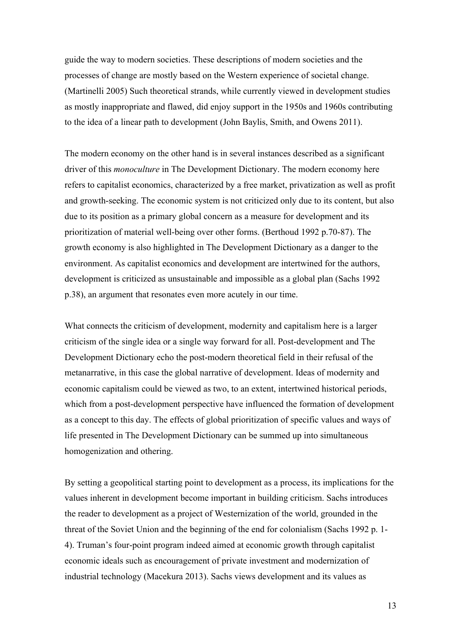guide the way to modern societies. These descriptions of modern societies and the processes of change are mostly based on the Western experience of societal change. (Martinelli 2005) Such theoretical strands, while currently viewed in development studies as mostly inappropriate and flawed, did enjoy support in the 1950s and 1960s contributing to the idea of a linear path to development (John Baylis, Smith, and Owens 2011).

The modern economy on the other hand is in several instances described as a significant driver of this *monoculture* in The Development Dictionary. The modern economy here refers to capitalist economics, characterized by a free market, privatization as well as profit and growth-seeking. The economic system is not criticized only due to its content, but also due to its position as a primary global concern as a measure for development and its prioritization of material well-being over other forms. (Berthoud 1992 p.70-87). The growth economy is also highlighted in The Development Dictionary as a danger to the environment. As capitalist economics and development are intertwined for the authors, development is criticized as unsustainable and impossible as a global plan (Sachs 1992 p.38), an argument that resonates even more acutely in our time.

What connects the criticism of development, modernity and capitalism here is a larger criticism of the single idea or a single way forward for all. Post-development and The Development Dictionary echo the post-modern theoretical field in their refusal of the metanarrative, in this case the global narrative of development. Ideas of modernity and economic capitalism could be viewed as two, to an extent, intertwined historical periods, which from a post-development perspective have influenced the formation of development as a concept to this day. The effects of global prioritization of specific values and ways of life presented in The Development Dictionary can be summed up into simultaneous homogenization and othering.

By setting a geopolitical starting point to development as a process, its implications for the values inherent in development become important in building criticism. Sachs introduces the reader to development as a project of Westernization of the world, grounded in the threat of the Soviet Union and the beginning of the end for colonialism (Sachs 1992 p. 1- 4). Truman's four-point program indeed aimed at economic growth through capitalist economic ideals such as encouragement of private investment and modernization of industrial technology (Macekura 2013). Sachs views development and its values as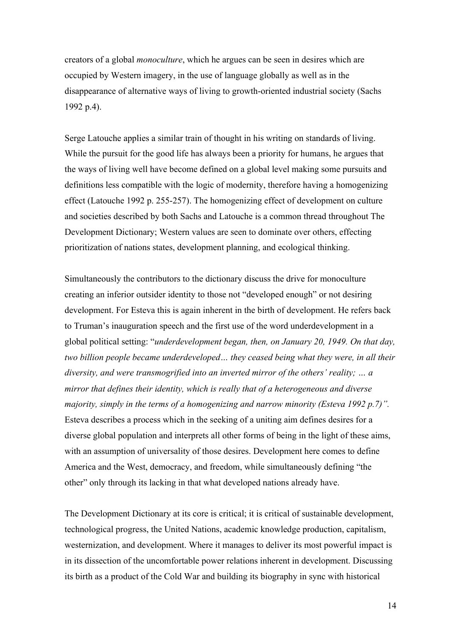creators of a global *monoculture*, which he argues can be seen in desires which are occupied by Western imagery, in the use of language globally as well as in the disappearance of alternative ways of living to growth-oriented industrial society (Sachs 1992 p.4).

Serge Latouche applies a similar train of thought in his writing on standards of living. While the pursuit for the good life has always been a priority for humans, he argues that the ways of living well have become defined on a global level making some pursuits and definitions less compatible with the logic of modernity, therefore having a homogenizing effect (Latouche 1992 p. 255-257). The homogenizing effect of development on culture and societies described by both Sachs and Latouche is a common thread throughout The Development Dictionary; Western values are seen to dominate over others, effecting prioritization of nations states, development planning, and ecological thinking.

Simultaneously the contributors to the dictionary discuss the drive for monoculture creating an inferior outsider identity to those not "developed enough" or not desiring development. For Esteva this is again inherent in the birth of development. He refers back to Truman's inauguration speech and the first use of the word underdevelopment in a global political setting: "*underdevelopment began, then, on January 20, 1949. On that day, two billion people became underdeveloped… they ceased being what they were, in all their diversity, and were transmogrified into an inverted mirror of the others' reality; … a mirror that defines their identity, which is really that of a heterogeneous and diverse majority, simply in the terms of a homogenizing and narrow minority (Esteva 1992 p.7)".*  Esteva describes a process which in the seeking of a uniting aim defines desires for a diverse global population and interprets all other forms of being in the light of these aims, with an assumption of universality of those desires. Development here comes to define America and the West, democracy, and freedom, while simultaneously defining "the other" only through its lacking in that what developed nations already have.

The Development Dictionary at its core is critical; it is critical of sustainable development, technological progress, the United Nations, academic knowledge production, capitalism, westernization, and development. Where it manages to deliver its most powerful impact is in its dissection of the uncomfortable power relations inherent in development. Discussing its birth as a product of the Cold War and building its biography in sync with historical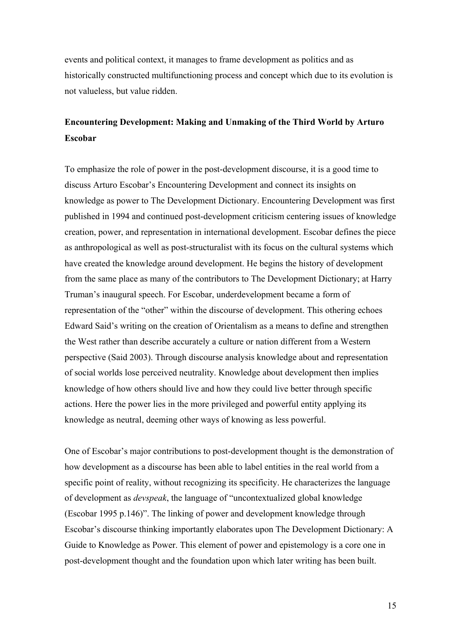events and political context, it manages to frame development as politics and as historically constructed multifunctioning process and concept which due to its evolution is not valueless, but value ridden.

# **Encountering Development: Making and Unmaking of the Third World by Arturo Escobar**

To emphasize the role of power in the post-development discourse, it is a good time to discuss Arturo Escobar's Encountering Development and connect its insights on knowledge as power to The Development Dictionary. Encountering Development was first published in 1994 and continued post-development criticism centering issues of knowledge creation, power, and representation in international development. Escobar defines the piece as anthropological as well as post-structuralist with its focus on the cultural systems which have created the knowledge around development. He begins the history of development from the same place as many of the contributors to The Development Dictionary; at Harry Truman's inaugural speech. For Escobar, underdevelopment became a form of representation of the "other" within the discourse of development. This othering echoes Edward Said's writing on the creation of Orientalism as a means to define and strengthen the West rather than describe accurately a culture or nation different from a Western perspective (Said 2003). Through discourse analysis knowledge about and representation of social worlds lose perceived neutrality. Knowledge about development then implies knowledge of how others should live and how they could live better through specific actions. Here the power lies in the more privileged and powerful entity applying its knowledge as neutral, deeming other ways of knowing as less powerful.

One of Escobar's major contributions to post-development thought is the demonstration of how development as a discourse has been able to label entities in the real world from a specific point of reality, without recognizing its specificity. He characterizes the language of development as *devspeak*, the language of "uncontextualized global knowledge (Escobar 1995 p.146)". The linking of power and development knowledge through Escobar's discourse thinking importantly elaborates upon The Development Dictionary: A Guide to Knowledge as Power. This element of power and epistemology is a core one in post-development thought and the foundation upon which later writing has been built.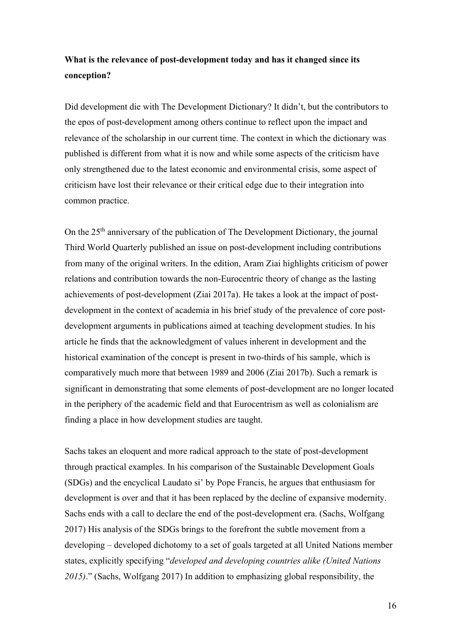## **What is the relevance of post-development today and has it changed since its conception?**

Did development die with The Development Dictionary? It didn't, but the contributors to the epos of post-development among others continue to reflect upon the impact and relevance of the scholarship in our current time. The context in which the dictionary was published is different from what it is now and while some aspects of the criticism have only strengthened due to the latest economic and environmental crisis, some aspect of criticism have lost their relevance or their critical edge due to their integration into common practice.

On the 25<sup>th</sup> anniversary of the publication of The Development Dictionary, the journal Third World Quarterly published an issue on post-development including contributions from many of the original writers. In the edition, Aram Ziai highlights criticism of power relations and contribution towards the non-Eurocentric theory of change as the lasting achievements of post-development (Ziai 2017a). He takes a look at the impact of postdevelopment in the context of academia in his brief study of the prevalence of core postdevelopment arguments in publications aimed at teaching development studies. In his article he finds that the acknowledgment of values inherent in development and the historical examination of the concept is present in two-thirds of his sample, which is comparatively much more that between 1989 and 2006 (Ziai 2017b). Such a remark is significant in demonstrating that some elements of post-development are no longer located in the periphery of the academic field and that Eurocentrism as well as colonialism are finding a place in how development studies are taught.

Sachs takes an eloquent and more radical approach to the state of post-development through practical examples. In his comparison of the Sustainable Development Goals (SDGs) and the encyclical Laudato si' by Pope Francis, he argues that enthusiasm for development is over and that it has been replaced by the decline of expansive modernity. Sachs ends with a call to declare the end of the post-development era. (Sachs, Wolfgang 2017) His analysis of the SDGs brings to the forefront the subtle movement from a developing – developed dichotomy to a set of goals targeted at all United Nations member states, explicitly specifying "*developed and developing countries alike (United Nations 2015)*." (Sachs, Wolfgang 2017) In addition to emphasizing global responsibility, the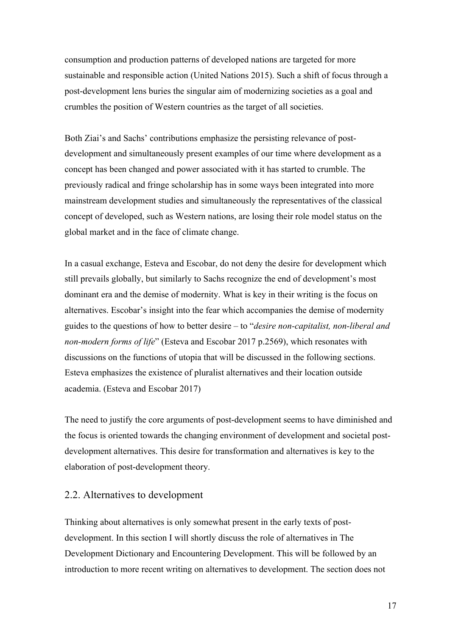consumption and production patterns of developed nations are targeted for more sustainable and responsible action (United Nations 2015). Such a shift of focus through a post-development lens buries the singular aim of modernizing societies as a goal and crumbles the position of Western countries as the target of all societies.

Both Ziai's and Sachs' contributions emphasize the persisting relevance of postdevelopment and simultaneously present examples of our time where development as a concept has been changed and power associated with it has started to crumble. The previously radical and fringe scholarship has in some ways been integrated into more mainstream development studies and simultaneously the representatives of the classical concept of developed, such as Western nations, are losing their role model status on the global market and in the face of climate change.

In a casual exchange, Esteva and Escobar, do not deny the desire for development which still prevails globally, but similarly to Sachs recognize the end of development's most dominant era and the demise of modernity. What is key in their writing is the focus on alternatives. Escobar's insight into the fear which accompanies the demise of modernity guides to the questions of how to better desire – to "*desire non-capitalist, non-liberal and non-modern forms of life*" (Esteva and Escobar 2017 p.2569), which resonates with discussions on the functions of utopia that will be discussed in the following sections. Esteva emphasizes the existence of pluralist alternatives and their location outside academia. (Esteva and Escobar 2017)

The need to justify the core arguments of post-development seems to have diminished and the focus is oriented towards the changing environment of development and societal postdevelopment alternatives. This desire for transformation and alternatives is key to the elaboration of post-development theory.

## 2.2. Alternatives to development

Thinking about alternatives is only somewhat present in the early texts of postdevelopment. In this section I will shortly discuss the role of alternatives in The Development Dictionary and Encountering Development. This will be followed by an introduction to more recent writing on alternatives to development. The section does not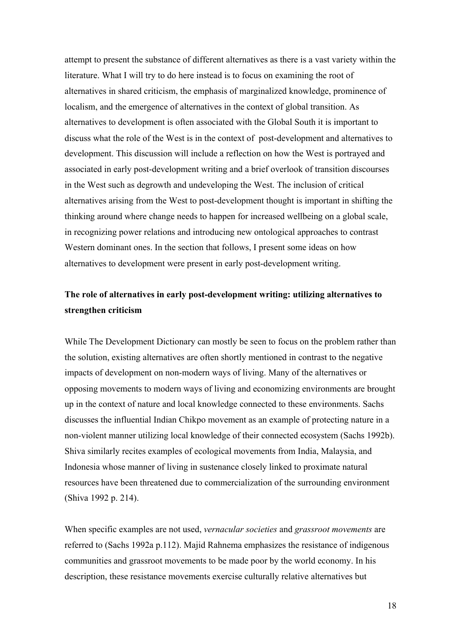attempt to present the substance of different alternatives as there is a vast variety within the literature. What I will try to do here instead is to focus on examining the root of alternatives in shared criticism, the emphasis of marginalized knowledge, prominence of localism, and the emergence of alternatives in the context of global transition. As alternatives to development is often associated with the Global South it is important to discuss what the role of the West is in the context of post-development and alternatives to development. This discussion will include a reflection on how the West is portrayed and associated in early post-development writing and a brief overlook of transition discourses in the West such as degrowth and undeveloping the West. The inclusion of critical alternatives arising from the West to post-development thought is important in shifting the thinking around where change needs to happen for increased wellbeing on a global scale, in recognizing power relations and introducing new ontological approaches to contrast Western dominant ones. In the section that follows, I present some ideas on how alternatives to development were present in early post-development writing.

## **The role of alternatives in early post-development writing: utilizing alternatives to strengthen criticism**

While The Development Dictionary can mostly be seen to focus on the problem rather than the solution, existing alternatives are often shortly mentioned in contrast to the negative impacts of development on non-modern ways of living. Many of the alternatives or opposing movements to modern ways of living and economizing environments are brought up in the context of nature and local knowledge connected to these environments. Sachs discusses the influential Indian Chikpo movement as an example of protecting nature in a non-violent manner utilizing local knowledge of their connected ecosystem (Sachs 1992b). Shiva similarly recites examples of ecological movements from India, Malaysia, and Indonesia whose manner of living in sustenance closely linked to proximate natural resources have been threatened due to commercialization of the surrounding environment (Shiva 1992 p. 214).

When specific examples are not used, *vernacular societies* and *grassroot movements* are referred to (Sachs 1992a p.112). Majid Rahnema emphasizes the resistance of indigenous communities and grassroot movements to be made poor by the world economy. In his description, these resistance movements exercise culturally relative alternatives but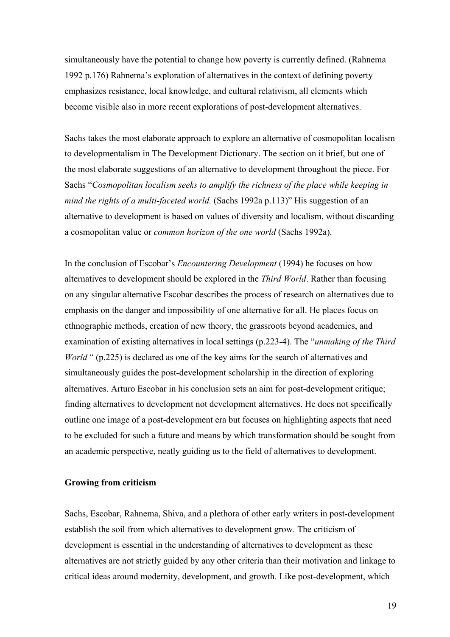simultaneously have the potential to change how poverty is currently defined. (Rahnema 1992 p.176) Rahnema's exploration of alternatives in the context of defining poverty emphasizes resistance, local knowledge, and cultural relativism, all elements which become visible also in more recent explorations of post-development alternatives.

Sachs takes the most elaborate approach to explore an alternative of cosmopolitan localism to developmentalism in The Development Dictionary. The section on it brief, but one of the most elaborate suggestions of an alternative to development throughout the piece. For Sachs "*Cosmopolitan localism seeks to amplify the richness of the place while keeping in mind the rights of a multi-faceted world.* (Sachs 1992a p.113)" His suggestion of an alternative to development is based on values of diversity and localism, without discarding a cosmopolitan value or *common horizon of the one world* (Sachs 1992a).

In the conclusion of Escobar's *Encountering Development* (1994) he focuses on how alternatives to development should be explored in the *Third World*. Rather than focusing on any singular alternative Escobar describes the process of research on alternatives due to emphasis on the danger and impossibility of one alternative for all. He places focus on ethnographic methods, creation of new theory, the grassroots beyond academics, and examination of existing alternatives in local settings (p.223-4). The "*unmaking of the Third World* " (p.225) is declared as one of the key aims for the search of alternatives and simultaneously guides the post-development scholarship in the direction of exploring alternatives. Arturo Escobar in his conclusion sets an aim for post-development critique; finding alternatives to development not development alternatives. He does not specifically outline one image of a post-development era but focuses on highlighting aspects that need to be excluded for such a future and means by which transformation should be sought from an academic perspective, neatly guiding us to the field of alternatives to development.

#### **Growing from criticism**

Sachs, Escobar, Rahnema, Shiva, and a plethora of other early writers in post-development establish the soil from which alternatives to development grow. The criticism of development is essential in the understanding of alternatives to development as these alternatives are not strictly guided by any other criteria than their motivation and linkage to critical ideas around modernity, development, and growth. Like post-development, which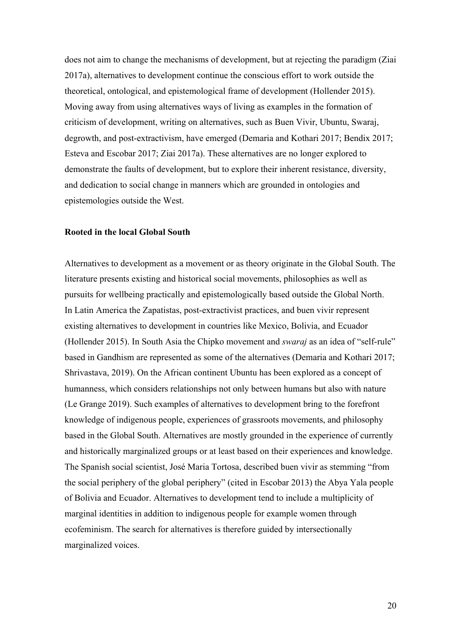does not aim to change the mechanisms of development, but at rejecting the paradigm (Ziai 2017a), alternatives to development continue the conscious effort to work outside the theoretical, ontological, and epistemological frame of development (Hollender 2015). Moving away from using alternatives ways of living as examples in the formation of criticism of development, writing on alternatives, such as Buen Vivir, Ubuntu, Swaraj, degrowth, and post-extractivism, have emerged (Demaria and Kothari 2017; Bendix 2017; Esteva and Escobar 2017; Ziai 2017a). These alternatives are no longer explored to demonstrate the faults of development, but to explore their inherent resistance, diversity, and dedication to social change in manners which are grounded in ontologies and epistemologies outside the West.

#### **Rooted in the local Global South**

Alternatives to development as a movement or as theory originate in the Global South. The literature presents existing and historical social movements, philosophies as well as pursuits for wellbeing practically and epistemologically based outside the Global North. In Latin America the Zapatistas, post-extractivist practices, and buen vivir represent existing alternatives to development in countries like Mexico, Bolivia, and Ecuador (Hollender 2015). In South Asia the Chipko movement and *swaraj* as an idea of "self-rule" based in Gandhism are represented as some of the alternatives (Demaria and Kothari 2017; Shrivastava, 2019). On the African continent Ubuntu has been explored as a concept of humanness, which considers relationships not only between humans but also with nature (Le Grange 2019). Such examples of alternatives to development bring to the forefront knowledge of indigenous people, experiences of grassroots movements, and philosophy based in the Global South. Alternatives are mostly grounded in the experience of currently and historically marginalized groups or at least based on their experiences and knowledge. The Spanish social scientist, José Maria Tortosa, described buen vivir as stemming "from the social periphery of the global periphery" (cited in Escobar 2013) the Abya Yala people of Bolivia and Ecuador. Alternatives to development tend to include a multiplicity of marginal identities in addition to indigenous people for example women through ecofeminism. The search for alternatives is therefore guided by intersectionally marginalized voices.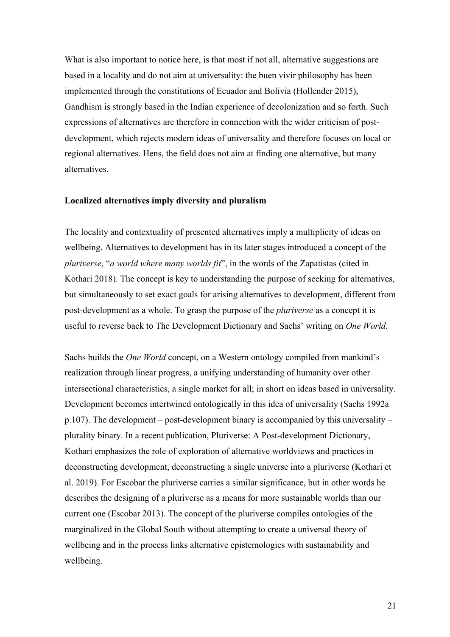What is also important to notice here, is that most if not all, alternative suggestions are based in a locality and do not aim at universality: the buen vivir philosophy has been implemented through the constitutions of Ecuador and Bolivia (Hollender 2015), Gandhism is strongly based in the Indian experience of decolonization and so forth. Such expressions of alternatives are therefore in connection with the wider criticism of postdevelopment, which rejects modern ideas of universality and therefore focuses on local or regional alternatives. Hens, the field does not aim at finding one alternative, but many alternatives.

#### **Localized alternatives imply diversity and pluralism**

The locality and contextuality of presented alternatives imply a multiplicity of ideas on wellbeing. Alternatives to development has in its later stages introduced a concept of the *pluriverse*, "*a world where many worlds fit*", in the words of the Zapatistas (cited in Kothari 2018). The concept is key to understanding the purpose of seeking for alternatives, but simultaneously to set exact goals for arising alternatives to development, different from post-development as a whole. To grasp the purpose of the *pluriverse* as a concept it is useful to reverse back to The Development Dictionary and Sachs' writing on *One World*.

Sachs builds the *One World* concept, on a Western ontology compiled from mankind's realization through linear progress, a unifying understanding of humanity over other intersectional characteristics, a single market for all; in short on ideas based in universality. Development becomes intertwined ontologically in this idea of universality (Sachs 1992a p.107). The development – post-development binary is accompanied by this universality – plurality binary. In a recent publication, Pluriverse: A Post-development Dictionary, Kothari emphasizes the role of exploration of alternative worldviews and practices in deconstructing development, deconstructing a single universe into a pluriverse (Kothari et al. 2019). For Escobar the pluriverse carries a similar significance, but in other words he describes the designing of a pluriverse as a means for more sustainable worlds than our current one (Escobar 2013). The concept of the pluriverse compiles ontologies of the marginalized in the Global South without attempting to create a universal theory of wellbeing and in the process links alternative epistemologies with sustainability and wellbeing.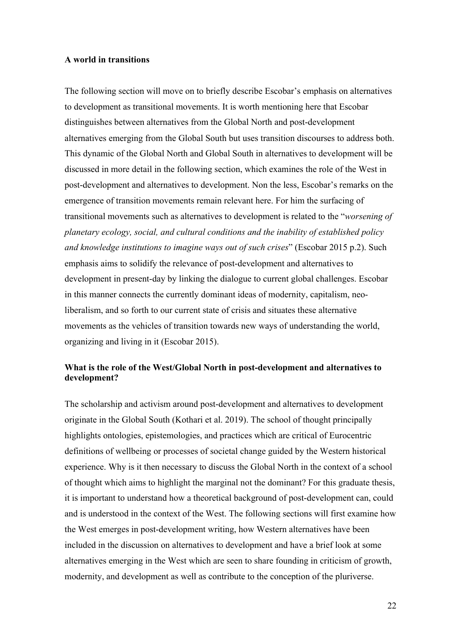## **A world in transitions**

The following section will move on to briefly describe Escobar's emphasis on alternatives to development as transitional movements. It is worth mentioning here that Escobar distinguishes between alternatives from the Global North and post-development alternatives emerging from the Global South but uses transition discourses to address both. This dynamic of the Global North and Global South in alternatives to development will be discussed in more detail in the following section, which examines the role of the West in post-development and alternatives to development. Non the less, Escobar's remarks on the emergence of transition movements remain relevant here. For him the surfacing of transitional movements such as alternatives to development is related to the "*worsening of planetary ecology, social, and cultural conditions and the inability of established policy and knowledge institutions to imagine ways out of such crises*" (Escobar 2015 p.2). Such emphasis aims to solidify the relevance of post-development and alternatives to development in present-day by linking the dialogue to current global challenges. Escobar in this manner connects the currently dominant ideas of modernity, capitalism, neoliberalism, and so forth to our current state of crisis and situates these alternative movements as the vehicles of transition towards new ways of understanding the world, organizing and living in it (Escobar 2015).

## **What is the role of the West/Global North in post-development and alternatives to development?**

The scholarship and activism around post-development and alternatives to development originate in the Global South (Kothari et al. 2019). The school of thought principally highlights ontologies, epistemologies, and practices which are critical of Eurocentric definitions of wellbeing or processes of societal change guided by the Western historical experience. Why is it then necessary to discuss the Global North in the context of a school of thought which aims to highlight the marginal not the dominant? For this graduate thesis, it is important to understand how a theoretical background of post-development can, could and is understood in the context of the West. The following sections will first examine how the West emerges in post-development writing, how Western alternatives have been included in the discussion on alternatives to development and have a brief look at some alternatives emerging in the West which are seen to share founding in criticism of growth, modernity, and development as well as contribute to the conception of the pluriverse.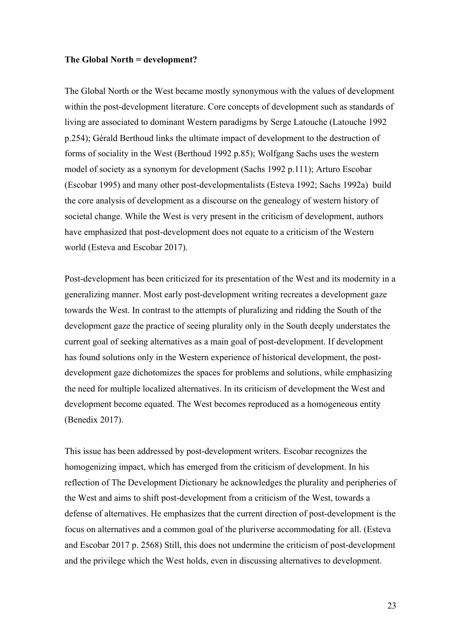#### **The Global North = development?**

The Global North or the West became mostly synonymous with the values of development within the post-development literature. Core concepts of development such as standards of living are associated to dominant Western paradigms by Serge Latouche (Latouche 1992 p.254); Gérald Berthoud links the ultimate impact of development to the destruction of forms of sociality in the West (Berthoud 1992 p.85); Wolfgang Sachs uses the western model of society as a synonym for development (Sachs 1992 p.111); Arturo Escobar (Escobar 1995) and many other post-developmentalists (Esteva 1992; Sachs 1992a) build the core analysis of development as a discourse on the genealogy of western history of societal change. While the West is very present in the criticism of development, authors have emphasized that post-development does not equate to a criticism of the Western world (Esteva and Escobar 2017).

Post-development has been criticized for its presentation of the West and its modernity in a generalizing manner. Most early post-development writing recreates a development gaze towards the West. In contrast to the attempts of pluralizing and ridding the South of the development gaze the practice of seeing plurality only in the South deeply understates the current goal of seeking alternatives as a main goal of post-development. If development has found solutions only in the Western experience of historical development, the postdevelopment gaze dichotomizes the spaces for problems and solutions, while emphasizing the need for multiple localized alternatives. In its criticism of development the West and development become equated. The West becomes reproduced as a homogeneous entity (Benedix 2017).

This issue has been addressed by post-development writers. Escobar recognizes the homogenizing impact, which has emerged from the criticism of development. In his reflection of The Development Dictionary he acknowledges the plurality and peripheries of the West and aims to shift post-development from a criticism of the West, towards a defense of alternatives. He emphasizes that the current direction of post-development is the focus on alternatives and a common goal of the pluriverse accommodating for all. (Esteva and Escobar 2017 p. 2568) Still, this does not undermine the criticism of post-development and the privilege which the West holds, even in discussing alternatives to development.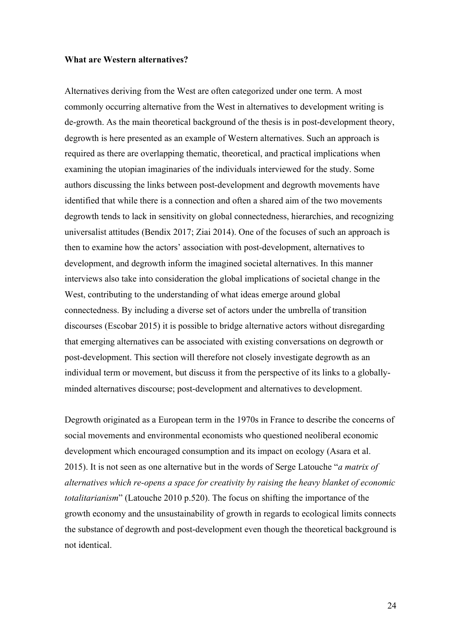#### **What are Western alternatives?**

Alternatives deriving from the West are often categorized under one term. A most commonly occurring alternative from the West in alternatives to development writing is de-growth. As the main theoretical background of the thesis is in post-development theory, degrowth is here presented as an example of Western alternatives. Such an approach is required as there are overlapping thematic, theoretical, and practical implications when examining the utopian imaginaries of the individuals interviewed for the study. Some authors discussing the links between post-development and degrowth movements have identified that while there is a connection and often a shared aim of the two movements degrowth tends to lack in sensitivity on global connectedness, hierarchies, and recognizing universalist attitudes (Bendix 2017; Ziai 2014). One of the focuses of such an approach is then to examine how the actors' association with post-development, alternatives to development, and degrowth inform the imagined societal alternatives. In this manner interviews also take into consideration the global implications of societal change in the West, contributing to the understanding of what ideas emerge around global connectedness. By including a diverse set of actors under the umbrella of transition discourses (Escobar 2015) it is possible to bridge alternative actors without disregarding that emerging alternatives can be associated with existing conversations on degrowth or post-development. This section will therefore not closely investigate degrowth as an individual term or movement, but discuss it from the perspective of its links to a globallyminded alternatives discourse; post-development and alternatives to development.

Degrowth originated as a European term in the 1970s in France to describe the concerns of social movements and environmental economists who questioned neoliberal economic development which encouraged consumption and its impact on ecology (Asara et al. 2015). It is not seen as one alternative but in the words of Serge Latouche "*a matrix of alternatives which re-opens a space for creativity by raising the heavy blanket of economic totalitarianism*" (Latouche 2010 p.520). The focus on shifting the importance of the growth economy and the unsustainability of growth in regards to ecological limits connects the substance of degrowth and post-development even though the theoretical background is not identical.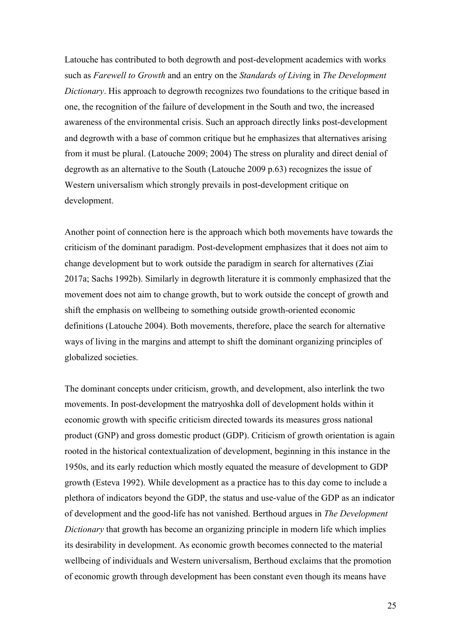Latouche has contributed to both degrowth and post-development academics with works such as *Farewell to Growth* and an entry on the *Standards of Livin*g in *The Development Dictionary*. His approach to degrowth recognizes two foundations to the critique based in one, the recognition of the failure of development in the South and two, the increased awareness of the environmental crisis. Such an approach directly links post-development and degrowth with a base of common critique but he emphasizes that alternatives arising from it must be plural. (Latouche 2009; 2004) The stress on plurality and direct denial of degrowth as an alternative to the South (Latouche 2009 p.63) recognizes the issue of Western universalism which strongly prevails in post-development critique on development.

Another point of connection here is the approach which both movements have towards the criticism of the dominant paradigm. Post-development emphasizes that it does not aim to change development but to work outside the paradigm in search for alternatives (Ziai 2017a; Sachs 1992b). Similarly in degrowth literature it is commonly emphasized that the movement does not aim to change growth, but to work outside the concept of growth and shift the emphasis on wellbeing to something outside growth-oriented economic definitions (Latouche 2004). Both movements, therefore, place the search for alternative ways of living in the margins and attempt to shift the dominant organizing principles of globalized societies.

The dominant concepts under criticism, growth, and development, also interlink the two movements. In post-development the matryoshka doll of development holds within it economic growth with specific criticism directed towards its measures gross national product (GNP) and gross domestic product (GDP). Criticism of growth orientation is again rooted in the historical contextualization of development, beginning in this instance in the 1950s, and its early reduction which mostly equated the measure of development to GDP growth (Esteva 1992). While development as a practice has to this day come to include a plethora of indicators beyond the GDP, the status and use-value of the GDP as an indicator of development and the good-life has not vanished. Berthoud argues in *The Development Dictionary* that growth has become an organizing principle in modern life which implies its desirability in development. As economic growth becomes connected to the material wellbeing of individuals and Western universalism, Berthoud exclaims that the promotion of economic growth through development has been constant even though its means have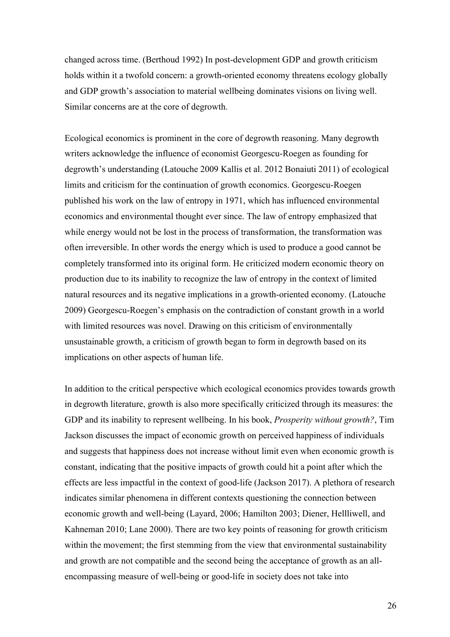changed across time. (Berthoud 1992) In post-development GDP and growth criticism holds within it a twofold concern: a growth-oriented economy threatens ecology globally and GDP growth's association to material wellbeing dominates visions on living well. Similar concerns are at the core of degrowth.

Ecological economics is prominent in the core of degrowth reasoning. Many degrowth writers acknowledge the influence of economist Georgescu-Roegen as founding for degrowth's understanding (Latouche 2009 Kallis et al. 2012 Bonaiuti 2011) of ecological limits and criticism for the continuation of growth economics. Georgescu-Roegen published his work on the law of entropy in 1971, which has influenced environmental economics and environmental thought ever since. The law of entropy emphasized that while energy would not be lost in the process of transformation, the transformation was often irreversible. In other words the energy which is used to produce a good cannot be completely transformed into its original form. He criticized modern economic theory on production due to its inability to recognize the law of entropy in the context of limited natural resources and its negative implications in a growth-oriented economy. (Latouche 2009) Georgescu-Roegen's emphasis on the contradiction of constant growth in a world with limited resources was novel. Drawing on this criticism of environmentally unsustainable growth, a criticism of growth began to form in degrowth based on its implications on other aspects of human life.

In addition to the critical perspective which ecological economics provides towards growth in degrowth literature, growth is also more specifically criticized through its measures: the GDP and its inability to represent wellbeing. In his book, *Prosperity without growth?*, Tim Jackson discusses the impact of economic growth on perceived happiness of individuals and suggests that happiness does not increase without limit even when economic growth is constant, indicating that the positive impacts of growth could hit a point after which the effects are less impactful in the context of good-life (Jackson 2017). A plethora of research indicates similar phenomena in different contexts questioning the connection between economic growth and well-being (Layard, 2006; Hamilton 2003; Diener, Hellliwell, and Kahneman 2010; Lane 2000). There are two key points of reasoning for growth criticism within the movement; the first stemming from the view that environmental sustainability and growth are not compatible and the second being the acceptance of growth as an allencompassing measure of well-being or good-life in society does not take into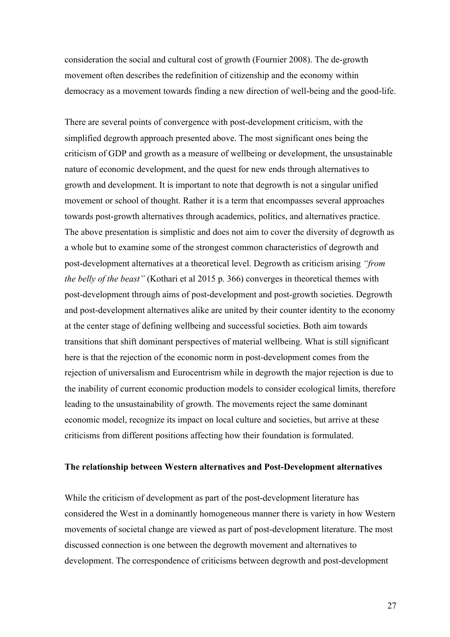consideration the social and cultural cost of growth (Fournier 2008). The de-growth movement often describes the redefinition of citizenship and the economy within democracy as a movement towards finding a new direction of well-being and the good-life.

There are several points of convergence with post-development criticism, with the simplified degrowth approach presented above. The most significant ones being the criticism of GDP and growth as a measure of wellbeing or development, the unsustainable nature of economic development, and the quest for new ends through alternatives to growth and development. It is important to note that degrowth is not a singular unified movement or school of thought. Rather it is a term that encompasses several approaches towards post-growth alternatives through academics, politics, and alternatives practice. The above presentation is simplistic and does not aim to cover the diversity of degrowth as a whole but to examine some of the strongest common characteristics of degrowth and post-development alternatives at a theoretical level. Degrowth as criticism arising *"from the belly of the beast"* (Kothari et al 2015 p. 366) converges in theoretical themes with post-development through aims of post-development and post-growth societies. Degrowth and post-development alternatives alike are united by their counter identity to the economy at the center stage of defining wellbeing and successful societies. Both aim towards transitions that shift dominant perspectives of material wellbeing. What is still significant here is that the rejection of the economic norm in post-development comes from the rejection of universalism and Eurocentrism while in degrowth the major rejection is due to the inability of current economic production models to consider ecological limits, therefore leading to the unsustainability of growth. The movements reject the same dominant economic model, recognize its impact on local culture and societies, but arrive at these criticisms from different positions affecting how their foundation is formulated.

#### **The relationship between Western alternatives and Post-Development alternatives**

While the criticism of development as part of the post-development literature has considered the West in a dominantly homogeneous manner there is variety in how Western movements of societal change are viewed as part of post-development literature. The most discussed connection is one between the degrowth movement and alternatives to development. The correspondence of criticisms between degrowth and post-development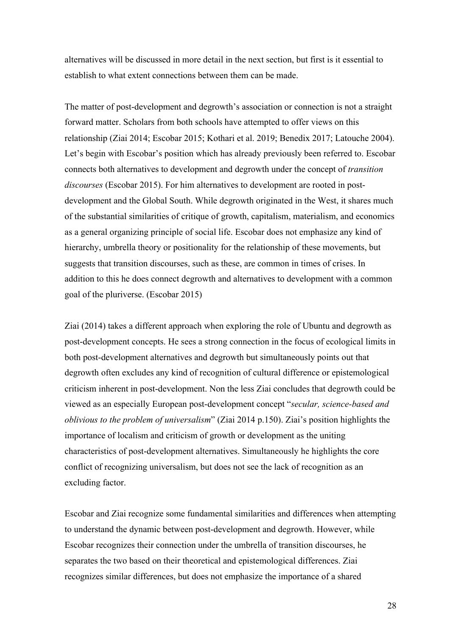alternatives will be discussed in more detail in the next section, but first is it essential to establish to what extent connections between them can be made.

The matter of post-development and degrowth's association or connection is not a straight forward matter. Scholars from both schools have attempted to offer views on this relationship (Ziai 2014; Escobar 2015; Kothari et al. 2019; Benedix 2017; Latouche 2004). Let's begin with Escobar's position which has already previously been referred to. Escobar connects both alternatives to development and degrowth under the concept of *transition discourses* (Escobar 2015). For him alternatives to development are rooted in postdevelopment and the Global South. While degrowth originated in the West, it shares much of the substantial similarities of critique of growth, capitalism, materialism, and economics as a general organizing principle of social life. Escobar does not emphasize any kind of hierarchy, umbrella theory or positionality for the relationship of these movements, but suggests that transition discourses, such as these, are common in times of crises. In addition to this he does connect degrowth and alternatives to development with a common goal of the pluriverse. (Escobar 2015)

Ziai (2014) takes a different approach when exploring the role of Ubuntu and degrowth as post-development concepts. He sees a strong connection in the focus of ecological limits in both post-development alternatives and degrowth but simultaneously points out that degrowth often excludes any kind of recognition of cultural difference or epistemological criticism inherent in post-development. Non the less Ziai concludes that degrowth could be viewed as an especially European post-development concept "*secular, science-based and oblivious to the problem of universalism*" (Ziai 2014 p.150). Ziai's position highlights the importance of localism and criticism of growth or development as the uniting characteristics of post-development alternatives. Simultaneously he highlights the core conflict of recognizing universalism, but does not see the lack of recognition as an excluding factor.

Escobar and Ziai recognize some fundamental similarities and differences when attempting to understand the dynamic between post-development and degrowth. However, while Escobar recognizes their connection under the umbrella of transition discourses, he separates the two based on their theoretical and epistemological differences. Ziai recognizes similar differences, but does not emphasize the importance of a shared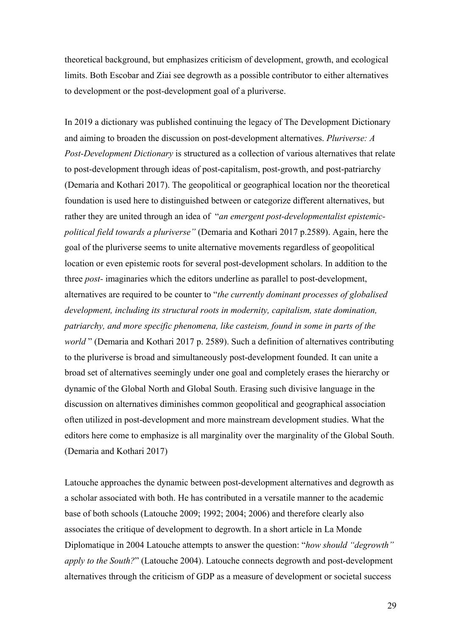theoretical background, but emphasizes criticism of development, growth, and ecological limits. Both Escobar and Ziai see degrowth as a possible contributor to either alternatives to development or the post-development goal of a pluriverse.

In 2019 a dictionary was published continuing the legacy of The Development Dictionary and aiming to broaden the discussion on post-development alternatives. *Pluriverse: A Post-Development Dictionary* is structured as a collection of various alternatives that relate to post-development through ideas of post-capitalism, post-growth, and post-patriarchy (Demaria and Kothari 2017). The geopolitical or geographical location nor the theoretical foundation is used here to distinguished between or categorize different alternatives, but rather they are united through an idea of "*an emergent post-developmentalist epistemicpolitical field towards a pluriverse"* (Demaria and Kothari 2017 p.2589). Again, here the goal of the pluriverse seems to unite alternative movements regardless of geopolitical location or even epistemic roots for several post-development scholars. In addition to the three *post-* imaginaries which the editors underline as parallel to post-development, alternatives are required to be counter to "*the currently dominant processes of globalised development, including its structural roots in modernity, capitalism, state domination, patriarchy, and more specific phenomena, like casteism, found in some in parts of the world* " (Demaria and Kothari 2017 p. 2589). Such a definition of alternatives contributing to the pluriverse is broad and simultaneously post-development founded. It can unite a broad set of alternatives seemingly under one goal and completely erases the hierarchy or dynamic of the Global North and Global South. Erasing such divisive language in the discussion on alternatives diminishes common geopolitical and geographical association often utilized in post-development and more mainstream development studies. What the editors here come to emphasize is all marginality over the marginality of the Global South. (Demaria and Kothari 2017)

Latouche approaches the dynamic between post-development alternatives and degrowth as a scholar associated with both. He has contributed in a versatile manner to the academic base of both schools (Latouche 2009; 1992; 2004; 2006) and therefore clearly also associates the critique of development to degrowth. In a short article in La Monde Diplomatique in 2004 Latouche attempts to answer the question: "*how should "degrowth" apply to the South?*" (Latouche 2004). Latouche connects degrowth and post-development alternatives through the criticism of GDP as a measure of development or societal success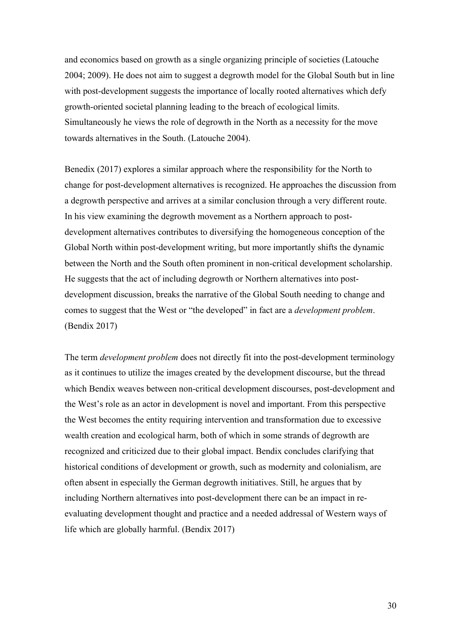and economics based on growth as a single organizing principle of societies (Latouche 2004; 2009). He does not aim to suggest a degrowth model for the Global South but in line with post-development suggests the importance of locally rooted alternatives which defy growth-oriented societal planning leading to the breach of ecological limits. Simultaneously he views the role of degrowth in the North as a necessity for the move towards alternatives in the South. (Latouche 2004).

Benedix (2017) explores a similar approach where the responsibility for the North to change for post-development alternatives is recognized. He approaches the discussion from a degrowth perspective and arrives at a similar conclusion through a very different route. In his view examining the degrowth movement as a Northern approach to postdevelopment alternatives contributes to diversifying the homogeneous conception of the Global North within post-development writing, but more importantly shifts the dynamic between the North and the South often prominent in non-critical development scholarship. He suggests that the act of including degrowth or Northern alternatives into postdevelopment discussion, breaks the narrative of the Global South needing to change and comes to suggest that the West or "the developed" in fact are a *development problem*. (Bendix 2017)

The term *development problem* does not directly fit into the post-development terminology as it continues to utilize the images created by the development discourse, but the thread which Bendix weaves between non-critical development discourses, post-development and the West's role as an actor in development is novel and important. From this perspective the West becomes the entity requiring intervention and transformation due to excessive wealth creation and ecological harm, both of which in some strands of degrowth are recognized and criticized due to their global impact. Bendix concludes clarifying that historical conditions of development or growth, such as modernity and colonialism, are often absent in especially the German degrowth initiatives. Still, he argues that by including Northern alternatives into post-development there can be an impact in reevaluating development thought and practice and a needed addressal of Western ways of life which are globally harmful. (Bendix 2017)

30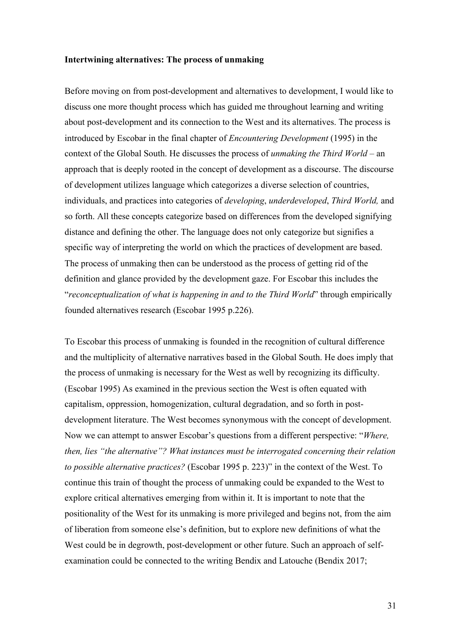#### **Intertwining alternatives: The process of unmaking**

Before moving on from post-development and alternatives to development, I would like to discuss one more thought process which has guided me throughout learning and writing about post-development and its connection to the West and its alternatives. The process is introduced by Escobar in the final chapter of *Encountering Development* (1995) in the context of the Global South. He discusses the process of *unmaking the Third World –* an approach that is deeply rooted in the concept of development as a discourse. The discourse of development utilizes language which categorizes a diverse selection of countries, individuals, and practices into categories of *developing*, *underdeveloped*, *Third World,* and so forth. All these concepts categorize based on differences from the developed signifying distance and defining the other. The language does not only categorize but signifies a specific way of interpreting the world on which the practices of development are based. The process of unmaking then can be understood as the process of getting rid of the definition and glance provided by the development gaze. For Escobar this includes the "*reconceptualization of what is happening in and to the Third World*" through empirically founded alternatives research (Escobar 1995 p.226).

To Escobar this process of unmaking is founded in the recognition of cultural difference and the multiplicity of alternative narratives based in the Global South. He does imply that the process of unmaking is necessary for the West as well by recognizing its difficulty. (Escobar 1995) As examined in the previous section the West is often equated with capitalism, oppression, homogenization, cultural degradation, and so forth in postdevelopment literature. The West becomes synonymous with the concept of development. Now we can attempt to answer Escobar's questions from a different perspective: "*Where, then, lies "the alternative"? What instances must be interrogated concerning their relation to possible alternative practices?* (Escobar 1995 p. 223)" in the context of the West. To continue this train of thought the process of unmaking could be expanded to the West to explore critical alternatives emerging from within it. It is important to note that the positionality of the West for its unmaking is more privileged and begins not, from the aim of liberation from someone else's definition, but to explore new definitions of what the West could be in degrowth, post-development or other future. Such an approach of selfexamination could be connected to the writing Bendix and Latouche (Bendix 2017;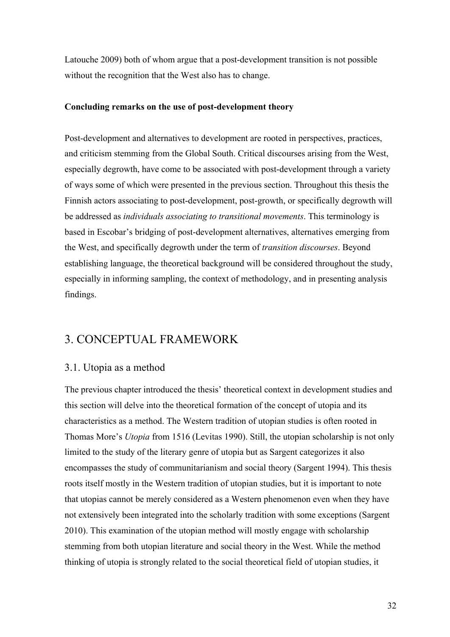Latouche 2009) both of whom argue that a post-development transition is not possible without the recognition that the West also has to change.

#### **Concluding remarks on the use of post-development theory**

Post-development and alternatives to development are rooted in perspectives, practices, and criticism stemming from the Global South. Critical discourses arising from the West, especially degrowth, have come to be associated with post-development through a variety of ways some of which were presented in the previous section. Throughout this thesis the Finnish actors associating to post-development, post-growth, or specifically degrowth will be addressed as *individuals associating to transitional movements*. This terminology is based in Escobar's bridging of post-development alternatives, alternatives emerging from the West, and specifically degrowth under the term of *transition discourses*. Beyond establishing language, the theoretical background will be considered throughout the study, especially in informing sampling, the context of methodology, and in presenting analysis findings.

## 3. CONCEPTUAL FRAMEWORK

### 3.1. Utopia as a method

The previous chapter introduced the thesis' theoretical context in development studies and this section will delve into the theoretical formation of the concept of utopia and its characteristics as a method. The Western tradition of utopian studies is often rooted in Thomas More's *Utopia* from 1516 (Levitas 1990). Still, the utopian scholarship is not only limited to the study of the literary genre of utopia but as Sargent categorizes it also encompasses the study of communitarianism and social theory (Sargent 1994). This thesis roots itself mostly in the Western tradition of utopian studies, but it is important to note that utopias cannot be merely considered as a Western phenomenon even when they have not extensively been integrated into the scholarly tradition with some exceptions (Sargent 2010). This examination of the utopian method will mostly engage with scholarship stemming from both utopian literature and social theory in the West. While the method thinking of utopia is strongly related to the social theoretical field of utopian studies, it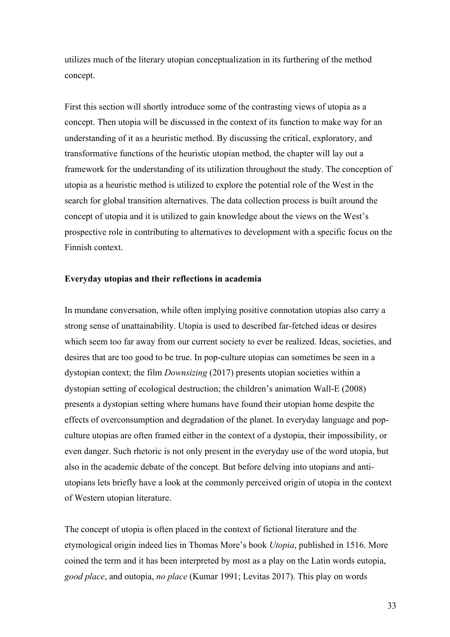utilizes much of the literary utopian conceptualization in its furthering of the method concept.

First this section will shortly introduce some of the contrasting views of utopia as a concept. Then utopia will be discussed in the context of its function to make way for an understanding of it as a heuristic method. By discussing the critical, exploratory, and transformative functions of the heuristic utopian method, the chapter will lay out a framework for the understanding of its utilization throughout the study. The conception of utopia as a heuristic method is utilized to explore the potential role of the West in the search for global transition alternatives. The data collection process is built around the concept of utopia and it is utilized to gain knowledge about the views on the West's prospective role in contributing to alternatives to development with a specific focus on the Finnish context.

#### **Everyday utopias and their reflections in academia**

In mundane conversation, while often implying positive connotation utopias also carry a strong sense of unattainability. Utopia is used to described far-fetched ideas or desires which seem too far away from our current society to ever be realized. Ideas, societies, and desires that are too good to be true. In pop-culture utopias can sometimes be seen in a dystopian context; the film *Downsizing* (2017) presents utopian societies within a dystopian setting of ecological destruction; the children's animation Wall-E (2008) presents a dystopian setting where humans have found their utopian home despite the effects of overconsumption and degradation of the planet. In everyday language and popculture utopias are often framed either in the context of a dystopia, their impossibility, or even danger. Such rhetoric is not only present in the everyday use of the word utopia, but also in the academic debate of the concept. But before delving into utopians and antiutopians lets briefly have a look at the commonly perceived origin of utopia in the context of Western utopian literature.

The concept of utopia is often placed in the context of fictional literature and the etymological origin indeed lies in Thomas More's book *Utopia*, published in 1516. More coined the term and it has been interpreted by most as a play on the Latin words eutopia, *good place*, and outopia, *no place* (Kumar 1991; Levitas 2017). This play on words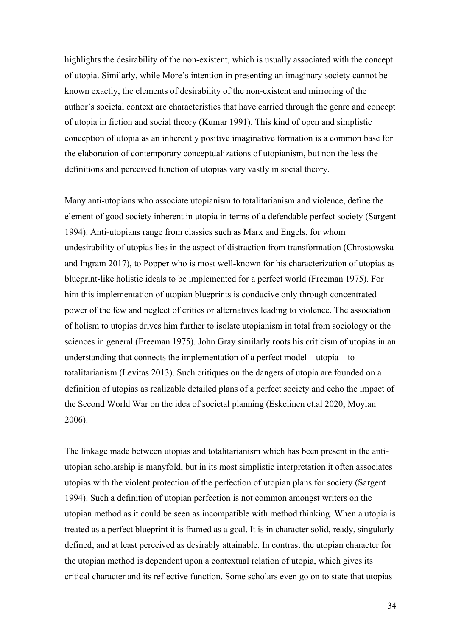highlights the desirability of the non-existent, which is usually associated with the concept of utopia. Similarly, while More's intention in presenting an imaginary society cannot be known exactly, the elements of desirability of the non-existent and mirroring of the author's societal context are characteristics that have carried through the genre and concept of utopia in fiction and social theory (Kumar 1991). This kind of open and simplistic conception of utopia as an inherently positive imaginative formation is a common base for the elaboration of contemporary conceptualizations of utopianism, but non the less the definitions and perceived function of utopias vary vastly in social theory.

Many anti-utopians who associate utopianism to totalitarianism and violence, define the element of good society inherent in utopia in terms of a defendable perfect society (Sargent 1994). Anti-utopians range from classics such as Marx and Engels, for whom undesirability of utopias lies in the aspect of distraction from transformation (Chrostowska and Ingram 2017), to Popper who is most well-known for his characterization of utopias as blueprint-like holistic ideals to be implemented for a perfect world (Freeman 1975). For him this implementation of utopian blueprints is conducive only through concentrated power of the few and neglect of critics or alternatives leading to violence. The association of holism to utopias drives him further to isolate utopianism in total from sociology or the sciences in general (Freeman 1975). John Gray similarly roots his criticism of utopias in an understanding that connects the implementation of a perfect model – utopia – to totalitarianism (Levitas 2013). Such critiques on the dangers of utopia are founded on a definition of utopias as realizable detailed plans of a perfect society and echo the impact of the Second World War on the idea of societal planning (Eskelinen et.al 2020; Moylan 2006).

The linkage made between utopias and totalitarianism which has been present in the antiutopian scholarship is manyfold, but in its most simplistic interpretation it often associates utopias with the violent protection of the perfection of utopian plans for society (Sargent 1994). Such a definition of utopian perfection is not common amongst writers on the utopian method as it could be seen as incompatible with method thinking. When a utopia is treated as a perfect blueprint it is framed as a goal. It is in character solid, ready, singularly defined, and at least perceived as desirably attainable. In contrast the utopian character for the utopian method is dependent upon a contextual relation of utopia, which gives its critical character and its reflective function. Some scholars even go on to state that utopias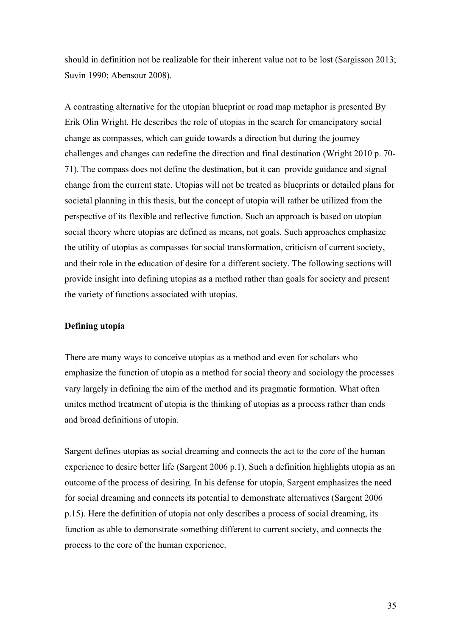should in definition not be realizable for their inherent value not to be lost (Sargisson 2013; Suvin 1990; Abensour 2008).

A contrasting alternative for the utopian blueprint or road map metaphor is presented By Erik Olin Wright. He describes the role of utopias in the search for emancipatory social change as compasses, which can guide towards a direction but during the journey challenges and changes can redefine the direction and final destination (Wright 2010 p. 70- 71). The compass does not define the destination, but it can provide guidance and signal change from the current state. Utopias will not be treated as blueprints or detailed plans for societal planning in this thesis, but the concept of utopia will rather be utilized from the perspective of its flexible and reflective function. Such an approach is based on utopian social theory where utopias are defined as means, not goals. Such approaches emphasize the utility of utopias as compasses for social transformation, criticism of current society, and their role in the education of desire for a different society. The following sections will provide insight into defining utopias as a method rather than goals for society and present the variety of functions associated with utopias.

#### **Defining utopia**

There are many ways to conceive utopias as a method and even for scholars who emphasize the function of utopia as a method for social theory and sociology the processes vary largely in defining the aim of the method and its pragmatic formation. What often unites method treatment of utopia is the thinking of utopias as a process rather than ends and broad definitions of utopia.

Sargent defines utopias as social dreaming and connects the act to the core of the human experience to desire better life (Sargent 2006 p.1). Such a definition highlights utopia as an outcome of the process of desiring. In his defense for utopia, Sargent emphasizes the need for social dreaming and connects its potential to demonstrate alternatives (Sargent 2006 p.15). Here the definition of utopia not only describes a process of social dreaming, its function as able to demonstrate something different to current society, and connects the process to the core of the human experience.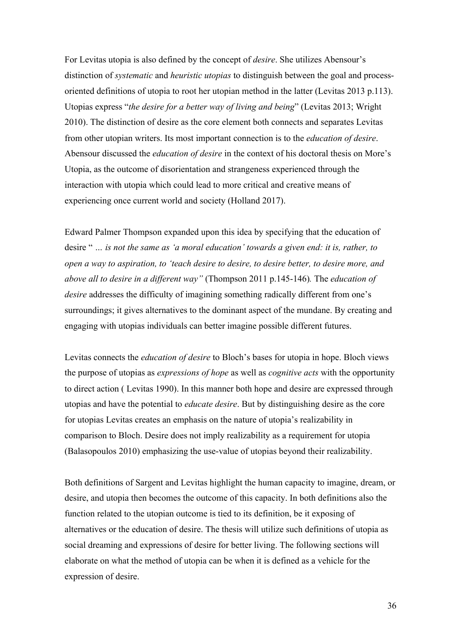For Levitas utopia is also defined by the concept of *desire*. She utilizes Abensour's distinction of *systematic* and *heuristic utopias* to distinguish between the goal and processoriented definitions of utopia to root her utopian method in the latter (Levitas 2013 p.113). Utopias express "*the desire for a better way of living and being*" (Levitas 2013; Wright 2010). The distinction of desire as the core element both connects and separates Levitas from other utopian writers. Its most important connection is to the *education of desire*. Abensour discussed the *education of desire* in the context of his doctoral thesis on More's Utopia, as the outcome of disorientation and strangeness experienced through the interaction with utopia which could lead to more critical and creative means of experiencing once current world and society (Holland 2017).

Edward Palmer Thompson expanded upon this idea by specifying that the education of desire " *… is not the same as 'a moral education' towards a given end: it is, rather, to open a way to aspiration, to 'teach desire to desire, to desire better, to desire more, and above all to desire in a different way"* (Thompson 2011 p.145-146)*.* The *education of desire* addresses the difficulty of imagining something radically different from one's surroundings; it gives alternatives to the dominant aspect of the mundane. By creating and engaging with utopias individuals can better imagine possible different futures.

Levitas connects the *education of desire* to Bloch's bases for utopia in hope. Bloch views the purpose of utopias as *expressions of hope* as well as *cognitive acts* with the opportunity to direct action ( Levitas 1990). In this manner both hope and desire are expressed through utopias and have the potential to *educate desire*. But by distinguishing desire as the core for utopias Levitas creates an emphasis on the nature of utopia's realizability in comparison to Bloch. Desire does not imply realizability as a requirement for utopia (Balasopoulos 2010) emphasizing the use-value of utopias beyond their realizability.

Both definitions of Sargent and Levitas highlight the human capacity to imagine, dream, or desire, and utopia then becomes the outcome of this capacity. In both definitions also the function related to the utopian outcome is tied to its definition, be it exposing of alternatives or the education of desire. The thesis will utilize such definitions of utopia as social dreaming and expressions of desire for better living. The following sections will elaborate on what the method of utopia can be when it is defined as a vehicle for the expression of desire.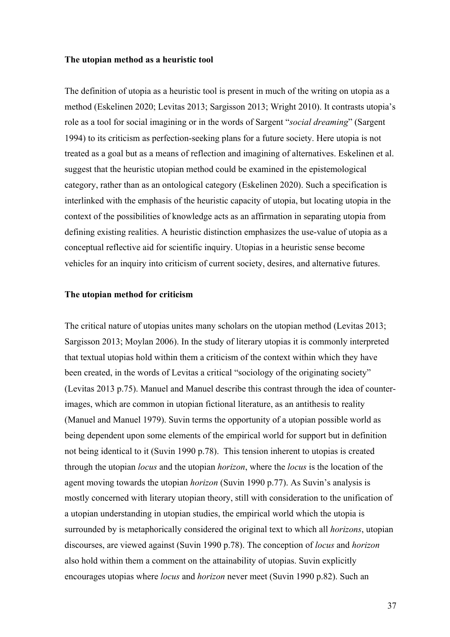#### **The utopian method as a heuristic tool**

The definition of utopia as a heuristic tool is present in much of the writing on utopia as a method (Eskelinen 2020; Levitas 2013; Sargisson 2013; Wright 2010). It contrasts utopia's role as a tool for social imagining or in the words of Sargent "*social dreaming*" (Sargent 1994) to its criticism as perfection-seeking plans for a future society. Here utopia is not treated as a goal but as a means of reflection and imagining of alternatives. Eskelinen et al. suggest that the heuristic utopian method could be examined in the epistemological category, rather than as an ontological category (Eskelinen 2020). Such a specification is interlinked with the emphasis of the heuristic capacity of utopia, but locating utopia in the context of the possibilities of knowledge acts as an affirmation in separating utopia from defining existing realities. A heuristic distinction emphasizes the use-value of utopia as a conceptual reflective aid for scientific inquiry. Utopias in a heuristic sense become vehicles for an inquiry into criticism of current society, desires, and alternative futures.

## **The utopian method for criticism**

The critical nature of utopias unites many scholars on the utopian method (Levitas 2013; Sargisson 2013; Moylan 2006). In the study of literary utopias it is commonly interpreted that textual utopias hold within them a criticism of the context within which they have been created, in the words of Levitas a critical "sociology of the originating society" (Levitas 2013 p.75). Manuel and Manuel describe this contrast through the idea of counterimages, which are common in utopian fictional literature, as an antithesis to reality (Manuel and Manuel 1979). Suvin terms the opportunity of a utopian possible world as being dependent upon some elements of the empirical world for support but in definition not being identical to it (Suvin 1990 p.78). This tension inherent to utopias is created through the utopian *locus* and the utopian *horizon*, where the *locus* is the location of the agent moving towards the utopian *horizon* (Suvin 1990 p.77). As Suvin's analysis is mostly concerned with literary utopian theory, still with consideration to the unification of a utopian understanding in utopian studies, the empirical world which the utopia is surrounded by is metaphorically considered the original text to which all *horizons*, utopian discourses, are viewed against (Suvin 1990 p.78). The conception of *locus* and *horizon* also hold within them a comment on the attainability of utopias. Suvin explicitly encourages utopias where *locus* and *horizon* never meet (Suvin 1990 p.82). Such an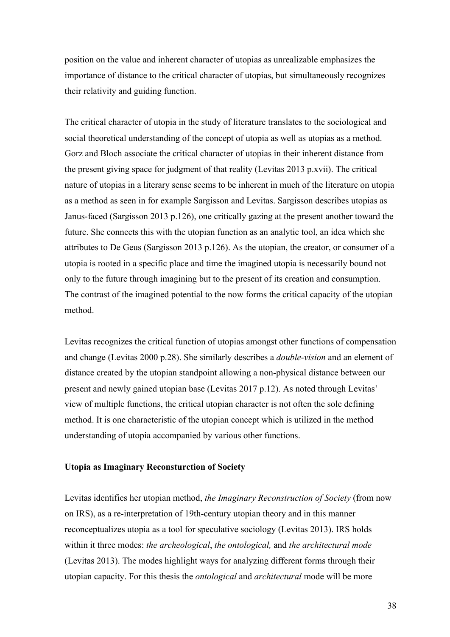position on the value and inherent character of utopias as unrealizable emphasizes the importance of distance to the critical character of utopias, but simultaneously recognizes their relativity and guiding function.

The critical character of utopia in the study of literature translates to the sociological and social theoretical understanding of the concept of utopia as well as utopias as a method. Gorz and Bloch associate the critical character of utopias in their inherent distance from the present giving space for judgment of that reality (Levitas 2013 p.xvii). The critical nature of utopias in a literary sense seems to be inherent in much of the literature on utopia as a method as seen in for example Sargisson and Levitas. Sargisson describes utopias as Janus-faced (Sargisson 2013 p.126), one critically gazing at the present another toward the future. She connects this with the utopian function as an analytic tool, an idea which she attributes to De Geus (Sargisson 2013 p.126). As the utopian, the creator, or consumer of a utopia is rooted in a specific place and time the imagined utopia is necessarily bound not only to the future through imagining but to the present of its creation and consumption. The contrast of the imagined potential to the now forms the critical capacity of the utopian method.

Levitas recognizes the critical function of utopias amongst other functions of compensation and change (Levitas 2000 p.28). She similarly describes a *double-vision* and an element of distance created by the utopian standpoint allowing a non-physical distance between our present and newly gained utopian base (Levitas 2017 p.12). As noted through Levitas' view of multiple functions, the critical utopian character is not often the sole defining method. It is one characteristic of the utopian concept which is utilized in the method understanding of utopia accompanied by various other functions.

## **Utopia as Imaginary Reconsturction of Society**

Levitas identifies her utopian method, *the Imaginary Reconstruction of Society* (from now on IRS), as a re-interpretation of 19th-century utopian theory and in this manner reconceptualizes utopia as a tool for speculative sociology (Levitas 2013). IRS holds within it three modes: *the archeological*, *the ontological,* and *the architectural mode* (Levitas 2013). The modes highlight ways for analyzing different forms through their utopian capacity. For this thesis the *ontological* and *architectural* mode will be more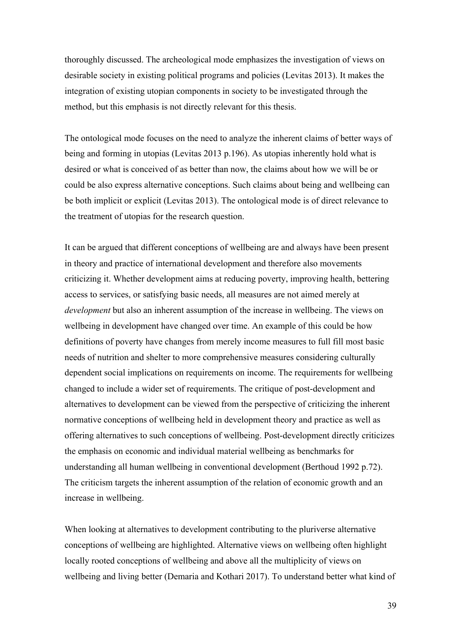thoroughly discussed. The archeological mode emphasizes the investigation of views on desirable society in existing political programs and policies (Levitas 2013). It makes the integration of existing utopian components in society to be investigated through the method, but this emphasis is not directly relevant for this thesis.

The ontological mode focuses on the need to analyze the inherent claims of better ways of being and forming in utopias (Levitas 2013 p.196). As utopias inherently hold what is desired or what is conceived of as better than now, the claims about how we will be or could be also express alternative conceptions. Such claims about being and wellbeing can be both implicit or explicit (Levitas 2013). The ontological mode is of direct relevance to the treatment of utopias for the research question.

It can be argued that different conceptions of wellbeing are and always have been present in theory and practice of international development and therefore also movements criticizing it. Whether development aims at reducing poverty, improving health, bettering access to services, or satisfying basic needs, all measures are not aimed merely at *development* but also an inherent assumption of the increase in wellbeing. The views on wellbeing in development have changed over time. An example of this could be how definitions of poverty have changes from merely income measures to full fill most basic needs of nutrition and shelter to more comprehensive measures considering culturally dependent social implications on requirements on income. The requirements for wellbeing changed to include a wider set of requirements. The critique of post-development and alternatives to development can be viewed from the perspective of criticizing the inherent normative conceptions of wellbeing held in development theory and practice as well as offering alternatives to such conceptions of wellbeing. Post-development directly criticizes the emphasis on economic and individual material wellbeing as benchmarks for understanding all human wellbeing in conventional development (Berthoud 1992 p.72). The criticism targets the inherent assumption of the relation of economic growth and an increase in wellbeing.

When looking at alternatives to development contributing to the pluriverse alternative conceptions of wellbeing are highlighted. Alternative views on wellbeing often highlight locally rooted conceptions of wellbeing and above all the multiplicity of views on wellbeing and living better (Demaria and Kothari 2017). To understand better what kind of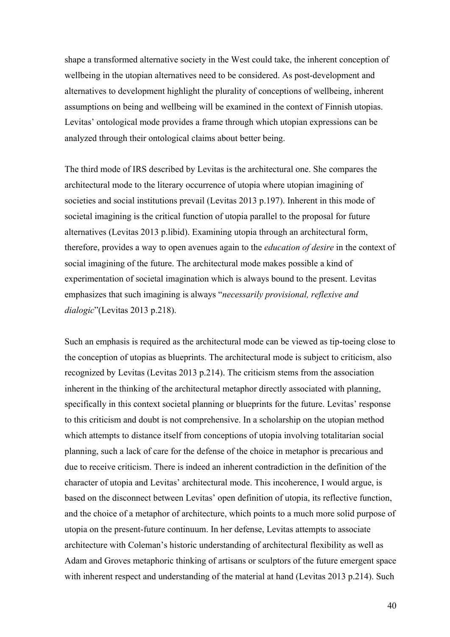shape a transformed alternative society in the West could take, the inherent conception of wellbeing in the utopian alternatives need to be considered. As post-development and alternatives to development highlight the plurality of conceptions of wellbeing, inherent assumptions on being and wellbeing will be examined in the context of Finnish utopias. Levitas' ontological mode provides a frame through which utopian expressions can be analyzed through their ontological claims about better being.

The third mode of IRS described by Levitas is the architectural one. She compares the architectural mode to the literary occurrence of utopia where utopian imagining of societies and social institutions prevail (Levitas 2013 p.197). Inherent in this mode of societal imagining is the critical function of utopia parallel to the proposal for future alternatives (Levitas 2013 p.libid). Examining utopia through an architectural form, therefore, provides a way to open avenues again to the *education of desire* in the context of social imagining of the future. The architectural mode makes possible a kind of experimentation of societal imagination which is always bound to the present. Levitas emphasizes that such imagining is always "*necessarily provisional, reflexive and dialogic*"(Levitas 2013 p.218).

Such an emphasis is required as the architectural mode can be viewed as tip-toeing close to the conception of utopias as blueprints. The architectural mode is subject to criticism, also recognized by Levitas (Levitas 2013 p.214). The criticism stems from the association inherent in the thinking of the architectural metaphor directly associated with planning, specifically in this context societal planning or blueprints for the future. Levitas' response to this criticism and doubt is not comprehensive. In a scholarship on the utopian method which attempts to distance itself from conceptions of utopia involving totalitarian social planning, such a lack of care for the defense of the choice in metaphor is precarious and due to receive criticism. There is indeed an inherent contradiction in the definition of the character of utopia and Levitas' architectural mode. This incoherence, I would argue, is based on the disconnect between Levitas' open definition of utopia, its reflective function, and the choice of a metaphor of architecture, which points to a much more solid purpose of utopia on the present-future continuum. In her defense, Levitas attempts to associate architecture with Coleman's historic understanding of architectural flexibility as well as Adam and Groves metaphoric thinking of artisans or sculptors of the future emergent space with inherent respect and understanding of the material at hand (Levitas 2013 p.214). Such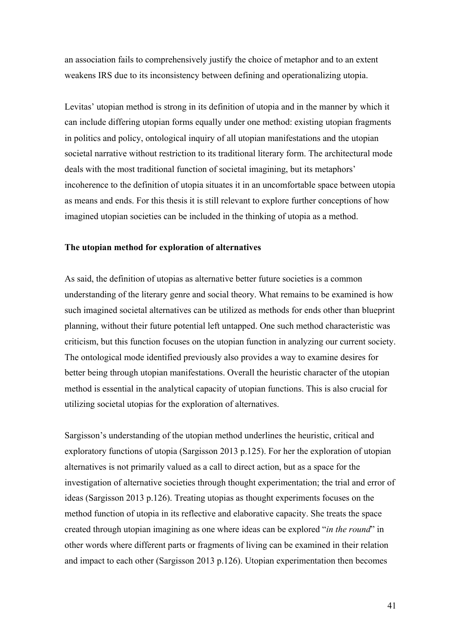an association fails to comprehensively justify the choice of metaphor and to an extent weakens IRS due to its inconsistency between defining and operationalizing utopia.

Levitas' utopian method is strong in its definition of utopia and in the manner by which it can include differing utopian forms equally under one method: existing utopian fragments in politics and policy, ontological inquiry of all utopian manifestations and the utopian societal narrative without restriction to its traditional literary form. The architectural mode deals with the most traditional function of societal imagining, but its metaphors' incoherence to the definition of utopia situates it in an uncomfortable space between utopia as means and ends. For this thesis it is still relevant to explore further conceptions of how imagined utopian societies can be included in the thinking of utopia as a method.

#### **The utopian method for exploration of alternatives**

As said, the definition of utopias as alternative better future societies is a common understanding of the literary genre and social theory. What remains to be examined is how such imagined societal alternatives can be utilized as methods for ends other than blueprint planning, without their future potential left untapped. One such method characteristic was criticism, but this function focuses on the utopian function in analyzing our current society. The ontological mode identified previously also provides a way to examine desires for better being through utopian manifestations. Overall the heuristic character of the utopian method is essential in the analytical capacity of utopian functions. This is also crucial for utilizing societal utopias for the exploration of alternatives.

Sargisson's understanding of the utopian method underlines the heuristic, critical and exploratory functions of utopia (Sargisson 2013 p.125). For her the exploration of utopian alternatives is not primarily valued as a call to direct action, but as a space for the investigation of alternative societies through thought experimentation; the trial and error of ideas (Sargisson 2013 p.126). Treating utopias as thought experiments focuses on the method function of utopia in its reflective and elaborative capacity. She treats the space created through utopian imagining as one where ideas can be explored "*in the round*" in other words where different parts or fragments of living can be examined in their relation and impact to each other (Sargisson 2013 p.126). Utopian experimentation then becomes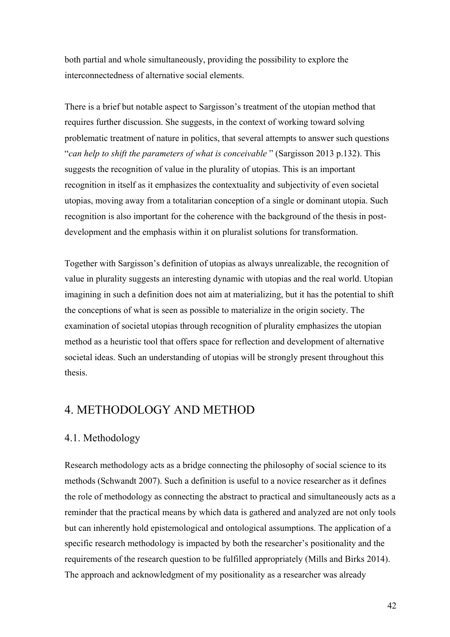both partial and whole simultaneously, providing the possibility to explore the interconnectedness of alternative social elements.

There is a brief but notable aspect to Sargisson's treatment of the utopian method that requires further discussion. She suggests, in the context of working toward solving problematic treatment of nature in politics, that several attempts to answer such questions "*can help to shift the parameters of what is conceivable* " (Sargisson 2013 p.132). This suggests the recognition of value in the plurality of utopias. This is an important recognition in itself as it emphasizes the contextuality and subjectivity of even societal utopias, moving away from a totalitarian conception of a single or dominant utopia. Such recognition is also important for the coherence with the background of the thesis in postdevelopment and the emphasis within it on pluralist solutions for transformation.

Together with Sargisson's definition of utopias as always unrealizable, the recognition of value in plurality suggests an interesting dynamic with utopias and the real world. Utopian imagining in such a definition does not aim at materializing, but it has the potential to shift the conceptions of what is seen as possible to materialize in the origin society. The examination of societal utopias through recognition of plurality emphasizes the utopian method as a heuristic tool that offers space for reflection and development of alternative societal ideas. Such an understanding of utopias will be strongly present throughout this thesis.

# 4. METHODOLOGY AND METHOD

# 4.1. Methodology

Research methodology acts as a bridge connecting the philosophy of social science to its methods (Schwandt 2007). Such a definition is useful to a novice researcher as it defines the role of methodology as connecting the abstract to practical and simultaneously acts as a reminder that the practical means by which data is gathered and analyzed are not only tools but can inherently hold epistemological and ontological assumptions. The application of a specific research methodology is impacted by both the researcher's positionality and the requirements of the research question to be fulfilled appropriately (Mills and Birks 2014). The approach and acknowledgment of my positionality as a researcher was already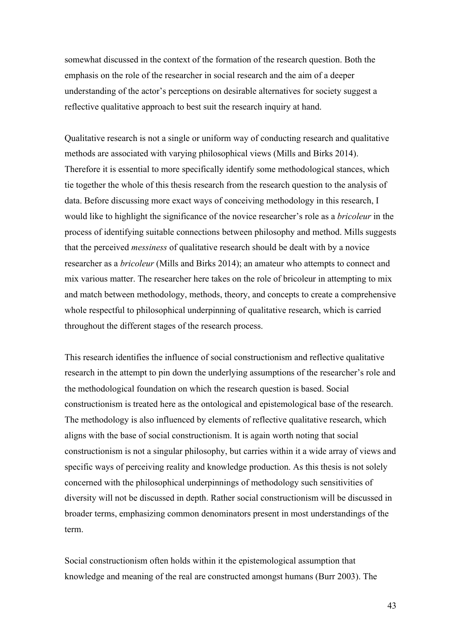somewhat discussed in the context of the formation of the research question. Both the emphasis on the role of the researcher in social research and the aim of a deeper understanding of the actor's perceptions on desirable alternatives for society suggest a reflective qualitative approach to best suit the research inquiry at hand.

Qualitative research is not a single or uniform way of conducting research and qualitative methods are associated with varying philosophical views (Mills and Birks 2014). Therefore it is essential to more specifically identify some methodological stances, which tie together the whole of this thesis research from the research question to the analysis of data. Before discussing more exact ways of conceiving methodology in this research, I would like to highlight the significance of the novice researcher's role as a *bricoleur* in the process of identifying suitable connections between philosophy and method. Mills suggests that the perceived *messiness* of qualitative research should be dealt with by a novice researcher as a *bricoleur* (Mills and Birks 2014); an amateur who attempts to connect and mix various matter. The researcher here takes on the role of bricoleur in attempting to mix and match between methodology, methods, theory, and concepts to create a comprehensive whole respectful to philosophical underpinning of qualitative research, which is carried throughout the different stages of the research process.

This research identifies the influence of social constructionism and reflective qualitative research in the attempt to pin down the underlying assumptions of the researcher's role and the methodological foundation on which the research question is based. Social constructionism is treated here as the ontological and epistemological base of the research. The methodology is also influenced by elements of reflective qualitative research, which aligns with the base of social constructionism. It is again worth noting that social constructionism is not a singular philosophy, but carries within it a wide array of views and specific ways of perceiving reality and knowledge production. As this thesis is not solely concerned with the philosophical underpinnings of methodology such sensitivities of diversity will not be discussed in depth. Rather social constructionism will be discussed in broader terms, emphasizing common denominators present in most understandings of the term.

Social constructionism often holds within it the epistemological assumption that knowledge and meaning of the real are constructed amongst humans (Burr 2003). The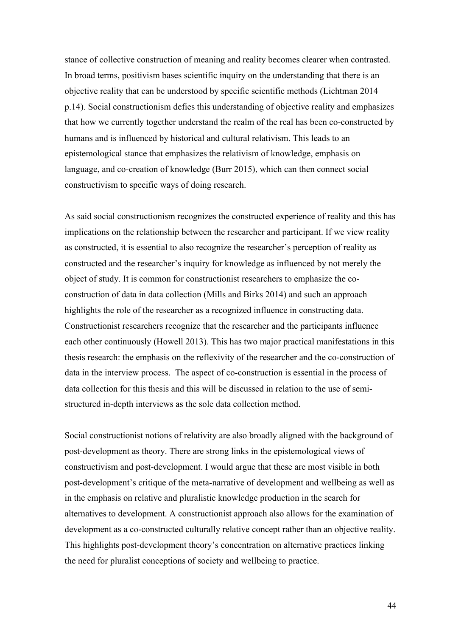stance of collective construction of meaning and reality becomes clearer when contrasted. In broad terms, positivism bases scientific inquiry on the understanding that there is an objective reality that can be understood by specific scientific methods (Lichtman 2014 p.14). Social constructionism defies this understanding of objective reality and emphasizes that how we currently together understand the realm of the real has been co-constructed by humans and is influenced by historical and cultural relativism. This leads to an epistemological stance that emphasizes the relativism of knowledge, emphasis on language, and co-creation of knowledge (Burr 2015), which can then connect social constructivism to specific ways of doing research.

As said social constructionism recognizes the constructed experience of reality and this has implications on the relationship between the researcher and participant. If we view reality as constructed, it is essential to also recognize the researcher's perception of reality as constructed and the researcher's inquiry for knowledge as influenced by not merely the object of study. It is common for constructionist researchers to emphasize the coconstruction of data in data collection (Mills and Birks 2014) and such an approach highlights the role of the researcher as a recognized influence in constructing data. Constructionist researchers recognize that the researcher and the participants influence each other continuously (Howell 2013). This has two major practical manifestations in this thesis research: the emphasis on the reflexivity of the researcher and the co-construction of data in the interview process. The aspect of co-construction is essential in the process of data collection for this thesis and this will be discussed in relation to the use of semistructured in-depth interviews as the sole data collection method.

Social constructionist notions of relativity are also broadly aligned with the background of post-development as theory. There are strong links in the epistemological views of constructivism and post-development. I would argue that these are most visible in both post-development's critique of the meta-narrative of development and wellbeing as well as in the emphasis on relative and pluralistic knowledge production in the search for alternatives to development. A constructionist approach also allows for the examination of development as a co-constructed culturally relative concept rather than an objective reality. This highlights post-development theory's concentration on alternative practices linking the need for pluralist conceptions of society and wellbeing to practice.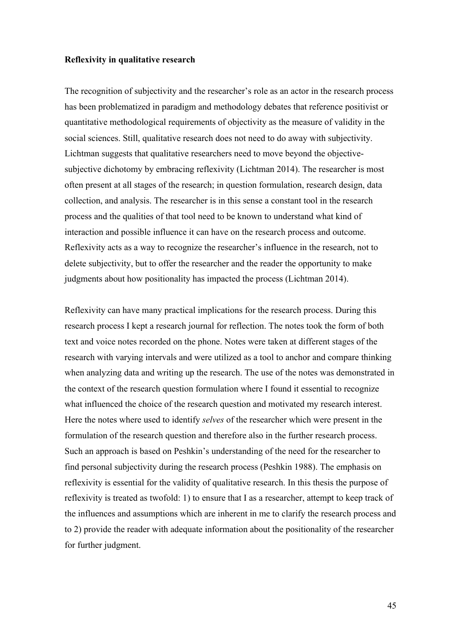#### **Reflexivity in qualitative research**

The recognition of subjectivity and the researcher's role as an actor in the research process has been problematized in paradigm and methodology debates that reference positivist or quantitative methodological requirements of objectivity as the measure of validity in the social sciences. Still, qualitative research does not need to do away with subjectivity. Lichtman suggests that qualitative researchers need to move beyond the objectivesubjective dichotomy by embracing reflexivity (Lichtman 2014). The researcher is most often present at all stages of the research; in question formulation, research design, data collection, and analysis. The researcher is in this sense a constant tool in the research process and the qualities of that tool need to be known to understand what kind of interaction and possible influence it can have on the research process and outcome. Reflexivity acts as a way to recognize the researcher's influence in the research, not to delete subjectivity, but to offer the researcher and the reader the opportunity to make judgments about how positionality has impacted the process (Lichtman 2014).

Reflexivity can have many practical implications for the research process. During this research process I kept a research journal for reflection. The notes took the form of both text and voice notes recorded on the phone. Notes were taken at different stages of the research with varying intervals and were utilized as a tool to anchor and compare thinking when analyzing data and writing up the research. The use of the notes was demonstrated in the context of the research question formulation where I found it essential to recognize what influenced the choice of the research question and motivated my research interest. Here the notes where used to identify *selves* of the researcher which were present in the formulation of the research question and therefore also in the further research process. Such an approach is based on Peshkin's understanding of the need for the researcher to find personal subjectivity during the research process (Peshkin 1988). The emphasis on reflexivity is essential for the validity of qualitative research. In this thesis the purpose of reflexivity is treated as twofold: 1) to ensure that I as a researcher, attempt to keep track of the influences and assumptions which are inherent in me to clarify the research process and to 2) provide the reader with adequate information about the positionality of the researcher for further judgment.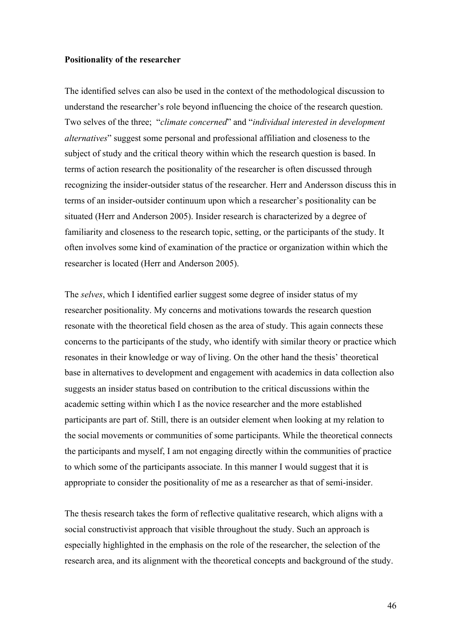#### **Positionality of the researcher**

The identified selves can also be used in the context of the methodological discussion to understand the researcher's role beyond influencing the choice of the research question. Two selves of the three; "*climate concerned*" and "*individual interested in development alternatives*" suggest some personal and professional affiliation and closeness to the subject of study and the critical theory within which the research question is based. In terms of action research the positionality of the researcher is often discussed through recognizing the insider-outsider status of the researcher. Herr and Andersson discuss this in terms of an insider-outsider continuum upon which a researcher's positionality can be situated (Herr and Anderson 2005). Insider research is characterized by a degree of familiarity and closeness to the research topic, setting, or the participants of the study. It often involves some kind of examination of the practice or organization within which the researcher is located (Herr and Anderson 2005).

The *selves*, which I identified earlier suggest some degree of insider status of my researcher positionality. My concerns and motivations towards the research question resonate with the theoretical field chosen as the area of study. This again connects these concerns to the participants of the study, who identify with similar theory or practice which resonates in their knowledge or way of living. On the other hand the thesis' theoretical base in alternatives to development and engagement with academics in data collection also suggests an insider status based on contribution to the critical discussions within the academic setting within which I as the novice researcher and the more established participants are part of. Still, there is an outsider element when looking at my relation to the social movements or communities of some participants. While the theoretical connects the participants and myself, I am not engaging directly within the communities of practice to which some of the participants associate. In this manner I would suggest that it is appropriate to consider the positionality of me as a researcher as that of semi-insider.

The thesis research takes the form of reflective qualitative research, which aligns with a social constructivist approach that visible throughout the study. Such an approach is especially highlighted in the emphasis on the role of the researcher, the selection of the research area, and its alignment with the theoretical concepts and background of the study.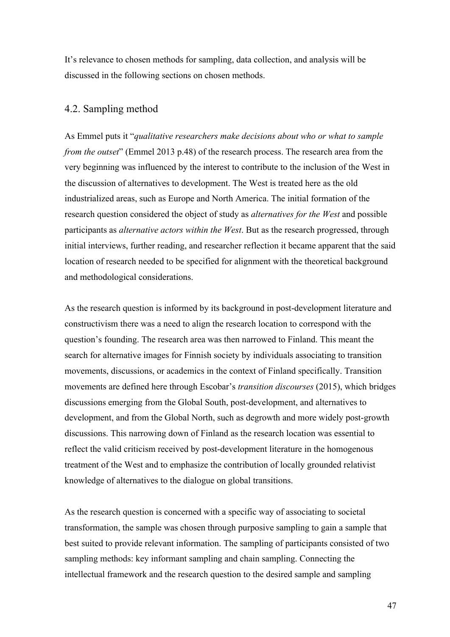It's relevance to chosen methods for sampling, data collection, and analysis will be discussed in the following sections on chosen methods.

# 4.2. Sampling method

As Emmel puts it "*qualitative researchers make decisions about who or what to sample from the outset*" (Emmel 2013 p.48) of the research process. The research area from the very beginning was influenced by the interest to contribute to the inclusion of the West in the discussion of alternatives to development. The West is treated here as the old industrialized areas, such as Europe and North America. The initial formation of the research question considered the object of study as *alternatives for the West* and possible participants as *alternative actors within the West*. But as the research progressed, through initial interviews, further reading, and researcher reflection it became apparent that the said location of research needed to be specified for alignment with the theoretical background and methodological considerations.

As the research question is informed by its background in post-development literature and constructivism there was a need to align the research location to correspond with the question's founding. The research area was then narrowed to Finland. This meant the search for alternative images for Finnish society by individuals associating to transition movements, discussions, or academics in the context of Finland specifically. Transition movements are defined here through Escobar's *transition discourses* (2015), which bridges discussions emerging from the Global South, post-development, and alternatives to development, and from the Global North, such as degrowth and more widely post-growth discussions. This narrowing down of Finland as the research location was essential to reflect the valid criticism received by post-development literature in the homogenous treatment of the West and to emphasize the contribution of locally grounded relativist knowledge of alternatives to the dialogue on global transitions.

As the research question is concerned with a specific way of associating to societal transformation, the sample was chosen through purposive sampling to gain a sample that best suited to provide relevant information. The sampling of participants consisted of two sampling methods: key informant sampling and chain sampling. Connecting the intellectual framework and the research question to the desired sample and sampling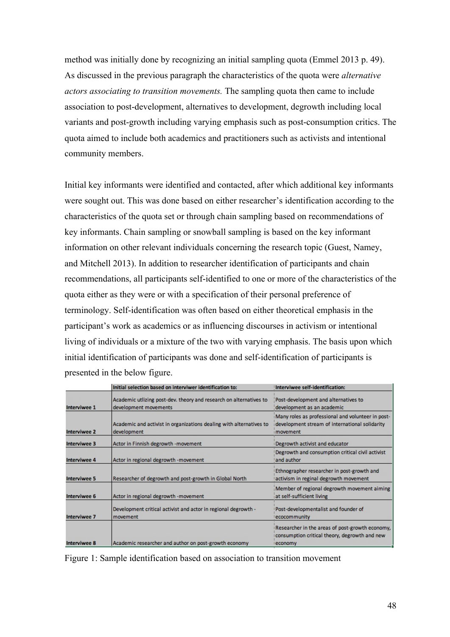method was initially done by recognizing an initial sampling quota (Emmel 2013 p. 49). As discussed in the previous paragraph the characteristics of the quota were *alternative actors associating to transition movements.* The sampling quota then came to include association to post-development, alternatives to development, degrowth including local variants and post-growth including varying emphasis such as post-consumption critics. The quota aimed to include both academics and practitioners such as activists and intentional community members.

Initial key informants were identified and contacted, after which additional key informants were sought out. This was done based on either researcher's identification according to the characteristics of the quota set or through chain sampling based on recommendations of key informants. Chain sampling or snowball sampling is based on the key informant information on other relevant individuals concerning the research topic (Guest, Namey, and Mitchell 2013). In addition to researcher identification of participants and chain recommendations, all participants self-identified to one or more of the characteristics of the quota either as they were or with a specification of their personal preference of terminology. Self-identification was often based on either theoretical emphasis in the participant's work as academics or as influencing discourses in activism or intentional living of individuals or a mixture of the two with varying emphasis. The basis upon which initial identification of participants was done and self-identification of participants is presented in the below figure.

|              | Initial selection based on interviwer identification to:                                    | Interviwee self-identification:                                                                                          |
|--------------|---------------------------------------------------------------------------------------------|--------------------------------------------------------------------------------------------------------------------------|
| Interviwee 1 | Academic utlizing post-dev. theory and research on alternatives to<br>development movements | Post-development and alternatives to<br>development as an academic                                                       |
| Interviwee 2 | Academic and activist in organizations dealing with alternatives to<br>development          | Many roles as professional and volunteer in post-<br>development stream of international solidarity<br><i>i</i> movement |
| Interviwee 3 | Actor in Finnish degrowth -movement                                                         | Degrowth activist and educator                                                                                           |
| Interviwee 4 | Actor in regional degrowth -movement                                                        | Degrowth and consumption critical civil activist<br>and author                                                           |
| Interviwee 5 | Researcher of degrowth and post-growth in Global North                                      | Ethnographer researcher in post-growth and<br>activism in reginal degrowth movement                                      |
| Interviwee 6 | Actor in regional degrowth -movement                                                        | Member of regional degrowth movement aiming<br>at self-sufficient living                                                 |
| Interviwee 7 | Development critical activist and actor in regional degrowth -<br>movement                  | Post-developmentalist and founder of<br>ecocommunity                                                                     |
| Interviwee 8 | Academic researcher and author on post-growth economy                                       | Researcher in the areas of post-growth economy,<br>consumption critical theory, degrowth and new<br>leconomy             |

Figure 1: Sample identification based on association to transition movement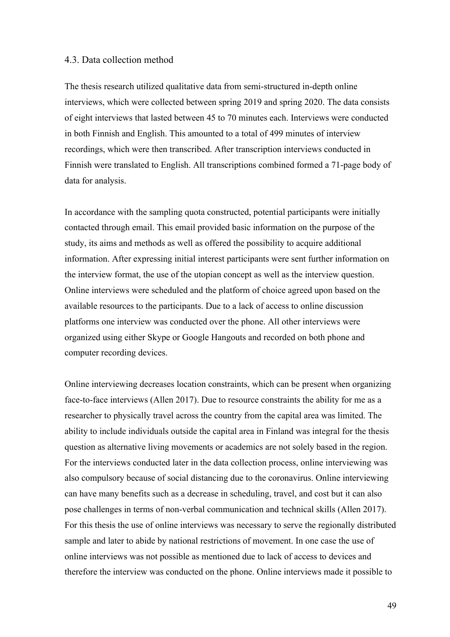# 4.3. Data collection method

The thesis research utilized qualitative data from semi-structured in-depth online interviews, which were collected between spring 2019 and spring 2020. The data consists of eight interviews that lasted between 45 to 70 minutes each. Interviews were conducted in both Finnish and English. This amounted to a total of 499 minutes of interview recordings, which were then transcribed. After transcription interviews conducted in Finnish were translated to English. All transcriptions combined formed a 71-page body of data for analysis.

In accordance with the sampling quota constructed, potential participants were initially contacted through email. This email provided basic information on the purpose of the study, its aims and methods as well as offered the possibility to acquire additional information. After expressing initial interest participants were sent further information on the interview format, the use of the utopian concept as well as the interview question. Online interviews were scheduled and the platform of choice agreed upon based on the available resources to the participants. Due to a lack of access to online discussion platforms one interview was conducted over the phone. All other interviews were organized using either Skype or Google Hangouts and recorded on both phone and computer recording devices.

Online interviewing decreases location constraints, which can be present when organizing face-to-face interviews (Allen 2017). Due to resource constraints the ability for me as a researcher to physically travel across the country from the capital area was limited. The ability to include individuals outside the capital area in Finland was integral for the thesis question as alternative living movements or academics are not solely based in the region. For the interviews conducted later in the data collection process, online interviewing was also compulsory because of social distancing due to the coronavirus. Online interviewing can have many benefits such as a decrease in scheduling, travel, and cost but it can also pose challenges in terms of non-verbal communication and technical skills (Allen 2017). For this thesis the use of online interviews was necessary to serve the regionally distributed sample and later to abide by national restrictions of movement. In one case the use of online interviews was not possible as mentioned due to lack of access to devices and therefore the interview was conducted on the phone. Online interviews made it possible to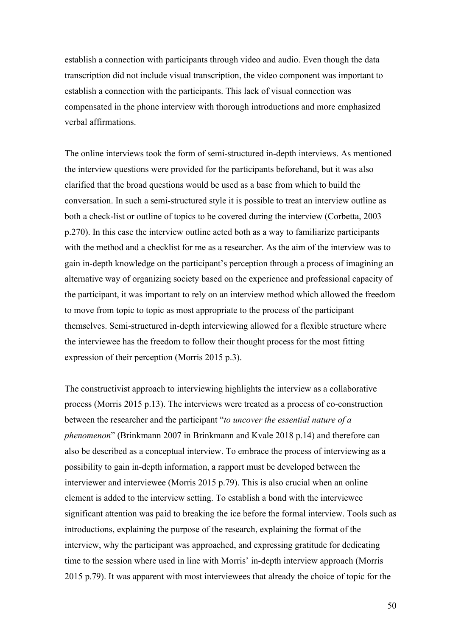establish a connection with participants through video and audio. Even though the data transcription did not include visual transcription, the video component was important to establish a connection with the participants. This lack of visual connection was compensated in the phone interview with thorough introductions and more emphasized verbal affirmations.

The online interviews took the form of semi-structured in-depth interviews. As mentioned the interview questions were provided for the participants beforehand, but it was also clarified that the broad questions would be used as a base from which to build the conversation. In such a semi-structured style it is possible to treat an interview outline as both a check-list or outline of topics to be covered during the interview (Corbetta, 2003 p.270). In this case the interview outline acted both as a way to familiarize participants with the method and a checklist for me as a researcher. As the aim of the interview was to gain in-depth knowledge on the participant's perception through a process of imagining an alternative way of organizing society based on the experience and professional capacity of the participant, it was important to rely on an interview method which allowed the freedom to move from topic to topic as most appropriate to the process of the participant themselves. Semi-structured in-depth interviewing allowed for a flexible structure where the interviewee has the freedom to follow their thought process for the most fitting expression of their perception (Morris 2015 p.3).

The constructivist approach to interviewing highlights the interview as a collaborative process (Morris 2015 p.13). The interviews were treated as a process of co-construction between the researcher and the participant "*to uncover the essential nature of a phenomenon*" (Brinkmann 2007 in Brinkmann and Kvale 2018 p.14) and therefore can also be described as a conceptual interview. To embrace the process of interviewing as a possibility to gain in-depth information, a rapport must be developed between the interviewer and interviewee (Morris 2015 p.79). This is also crucial when an online element is added to the interview setting. To establish a bond with the interviewee significant attention was paid to breaking the ice before the formal interview. Tools such as introductions, explaining the purpose of the research, explaining the format of the interview, why the participant was approached, and expressing gratitude for dedicating time to the session where used in line with Morris' in-depth interview approach (Morris 2015 p.79). It was apparent with most interviewees that already the choice of topic for the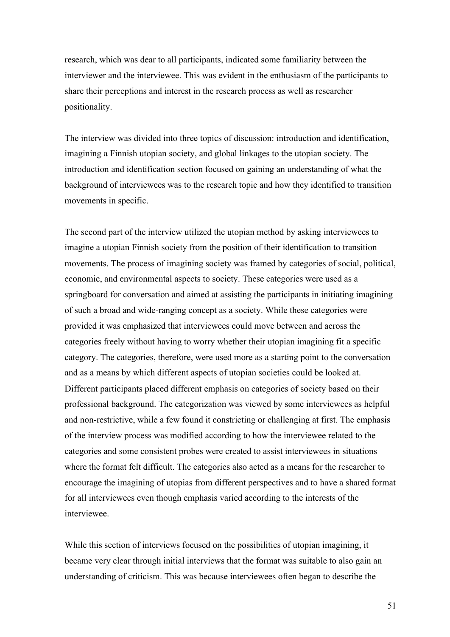research, which was dear to all participants, indicated some familiarity between the interviewer and the interviewee. This was evident in the enthusiasm of the participants to share their perceptions and interest in the research process as well as researcher positionality.

The interview was divided into three topics of discussion: introduction and identification, imagining a Finnish utopian society, and global linkages to the utopian society. The introduction and identification section focused on gaining an understanding of what the background of interviewees was to the research topic and how they identified to transition movements in specific.

The second part of the interview utilized the utopian method by asking interviewees to imagine a utopian Finnish society from the position of their identification to transition movements. The process of imagining society was framed by categories of social, political, economic, and environmental aspects to society. These categories were used as a springboard for conversation and aimed at assisting the participants in initiating imagining of such a broad and wide-ranging concept as a society. While these categories were provided it was emphasized that interviewees could move between and across the categories freely without having to worry whether their utopian imagining fit a specific category. The categories, therefore, were used more as a starting point to the conversation and as a means by which different aspects of utopian societies could be looked at. Different participants placed different emphasis on categories of society based on their professional background. The categorization was viewed by some interviewees as helpful and non-restrictive, while a few found it constricting or challenging at first. The emphasis of the interview process was modified according to how the interviewee related to the categories and some consistent probes were created to assist interviewees in situations where the format felt difficult. The categories also acted as a means for the researcher to encourage the imagining of utopias from different perspectives and to have a shared format for all interviewees even though emphasis varied according to the interests of the interviewee.

While this section of interviews focused on the possibilities of utopian imagining, it became very clear through initial interviews that the format was suitable to also gain an understanding of criticism. This was because interviewees often began to describe the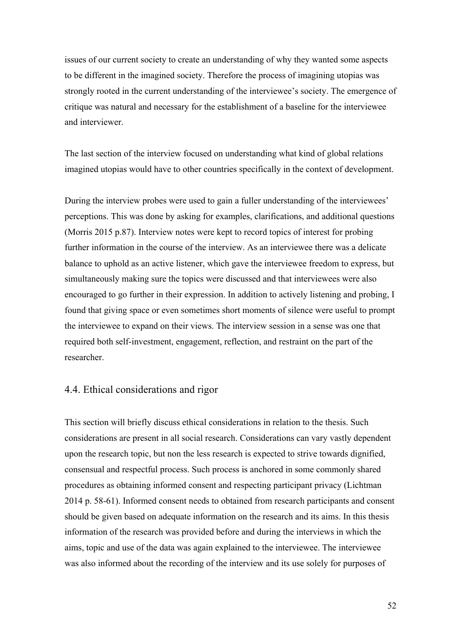issues of our current society to create an understanding of why they wanted some aspects to be different in the imagined society. Therefore the process of imagining utopias was strongly rooted in the current understanding of the interviewee's society. The emergence of critique was natural and necessary for the establishment of a baseline for the interviewee and interviewer.

The last section of the interview focused on understanding what kind of global relations imagined utopias would have to other countries specifically in the context of development.

During the interview probes were used to gain a fuller understanding of the interviewees' perceptions. This was done by asking for examples, clarifications, and additional questions (Morris 2015 p.87). Interview notes were kept to record topics of interest for probing further information in the course of the interview. As an interviewee there was a delicate balance to uphold as an active listener, which gave the interviewee freedom to express, but simultaneously making sure the topics were discussed and that interviewees were also encouraged to go further in their expression. In addition to actively listening and probing, I found that giving space or even sometimes short moments of silence were useful to prompt the interviewee to expand on their views. The interview session in a sense was one that required both self-investment, engagement, reflection, and restraint on the part of the researcher.

# 4.4. Ethical considerations and rigor

This section will briefly discuss ethical considerations in relation to the thesis. Such considerations are present in all social research. Considerations can vary vastly dependent upon the research topic, but non the less research is expected to strive towards dignified, consensual and respectful process. Such process is anchored in some commonly shared procedures as obtaining informed consent and respecting participant privacy (Lichtman 2014 p. 58-61). Informed consent needs to obtained from research participants and consent should be given based on adequate information on the research and its aims. In this thesis information of the research was provided before and during the interviews in which the aims, topic and use of the data was again explained to the interviewee. The interviewee was also informed about the recording of the interview and its use solely for purposes of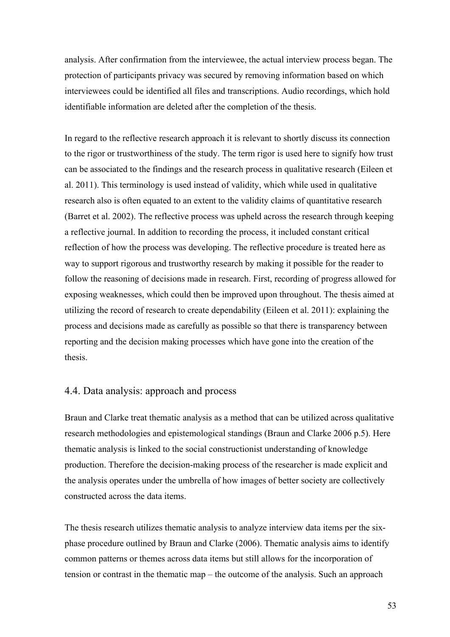analysis. After confirmation from the interviewee, the actual interview process began. The protection of participants privacy was secured by removing information based on which interviewees could be identified all files and transcriptions. Audio recordings, which hold identifiable information are deleted after the completion of the thesis.

In regard to the reflective research approach it is relevant to shortly discuss its connection to the rigor or trustworthiness of the study. The term rigor is used here to signify how trust can be associated to the findings and the research process in qualitative research (Eileen et al. 2011). This terminology is used instead of validity, which while used in qualitative research also is often equated to an extent to the validity claims of quantitative research (Barret et al. 2002). The reflective process was upheld across the research through keeping a reflective journal. In addition to recording the process, it included constant critical reflection of how the process was developing. The reflective procedure is treated here as way to support rigorous and trustworthy research by making it possible for the reader to follow the reasoning of decisions made in research. First, recording of progress allowed for exposing weaknesses, which could then be improved upon throughout. The thesis aimed at utilizing the record of research to create dependability (Eileen et al. 2011): explaining the process and decisions made as carefully as possible so that there is transparency between reporting and the decision making processes which have gone into the creation of the thesis.

# 4.4. Data analysis: approach and process

Braun and Clarke treat thematic analysis as a method that can be utilized across qualitative research methodologies and epistemological standings (Braun and Clarke 2006 p.5). Here thematic analysis is linked to the social constructionist understanding of knowledge production. Therefore the decision-making process of the researcher is made explicit and the analysis operates under the umbrella of how images of better society are collectively constructed across the data items.

The thesis research utilizes thematic analysis to analyze interview data items per the sixphase procedure outlined by Braun and Clarke (2006). Thematic analysis aims to identify common patterns or themes across data items but still allows for the incorporation of tension or contrast in the thematic map – the outcome of the analysis. Such an approach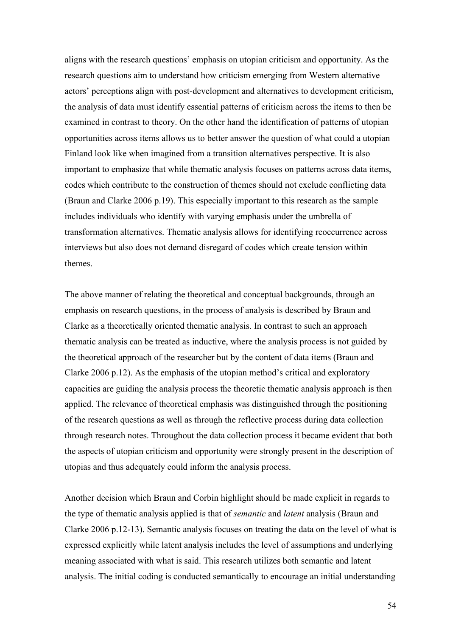aligns with the research questions' emphasis on utopian criticism and opportunity. As the research questions aim to understand how criticism emerging from Western alternative actors' perceptions align with post-development and alternatives to development criticism, the analysis of data must identify essential patterns of criticism across the items to then be examined in contrast to theory. On the other hand the identification of patterns of utopian opportunities across items allows us to better answer the question of what could a utopian Finland look like when imagined from a transition alternatives perspective. It is also important to emphasize that while thematic analysis focuses on patterns across data items, codes which contribute to the construction of themes should not exclude conflicting data (Braun and Clarke 2006 p.19). This especially important to this research as the sample includes individuals who identify with varying emphasis under the umbrella of transformation alternatives. Thematic analysis allows for identifying reoccurrence across interviews but also does not demand disregard of codes which create tension within themes.

The above manner of relating the theoretical and conceptual backgrounds, through an emphasis on research questions, in the process of analysis is described by Braun and Clarke as a theoretically oriented thematic analysis. In contrast to such an approach thematic analysis can be treated as inductive, where the analysis process is not guided by the theoretical approach of the researcher but by the content of data items (Braun and Clarke 2006 p.12). As the emphasis of the utopian method's critical and exploratory capacities are guiding the analysis process the theoretic thematic analysis approach is then applied. The relevance of theoretical emphasis was distinguished through the positioning of the research questions as well as through the reflective process during data collection through research notes. Throughout the data collection process it became evident that both the aspects of utopian criticism and opportunity were strongly present in the description of utopias and thus adequately could inform the analysis process.

Another decision which Braun and Corbin highlight should be made explicit in regards to the type of thematic analysis applied is that of *semantic* and *latent* analysis (Braun and Clarke 2006 p.12-13). Semantic analysis focuses on treating the data on the level of what is expressed explicitly while latent analysis includes the level of assumptions and underlying meaning associated with what is said. This research utilizes both semantic and latent analysis. The initial coding is conducted semantically to encourage an initial understanding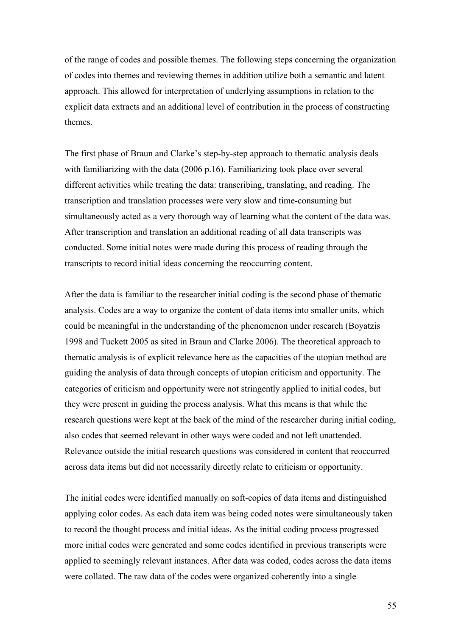of the range of codes and possible themes. The following steps concerning the organization of codes into themes and reviewing themes in addition utilize both a semantic and latent approach. This allowed for interpretation of underlying assumptions in relation to the explicit data extracts and an additional level of contribution in the process of constructing themes.

The first phase of Braun and Clarke's step-by-step approach to thematic analysis deals with familiarizing with the data (2006 p.16). Familiarizing took place over several different activities while treating the data: transcribing, translating, and reading. The transcription and translation processes were very slow and time-consuming but simultaneously acted as a very thorough way of learning what the content of the data was. After transcription and translation an additional reading of all data transcripts was conducted. Some initial notes were made during this process of reading through the transcripts to record initial ideas concerning the reoccurring content.

After the data is familiar to the researcher initial coding is the second phase of thematic analysis. Codes are a way to organize the content of data items into smaller units, which could be meaningful in the understanding of the phenomenon under research (Boyatzis 1998 and Tuckett 2005 as sited in Braun and Clarke 2006). The theoretical approach to thematic analysis is of explicit relevance here as the capacities of the utopian method are guiding the analysis of data through concepts of utopian criticism and opportunity. The categories of criticism and opportunity were not stringently applied to initial codes, but they were present in guiding the process analysis. What this means is that while the research questions were kept at the back of the mind of the researcher during initial coding, also codes that seemed relevant in other ways were coded and not left unattended. Relevance outside the initial research questions was considered in content that reoccurred across data items but did not necessarily directly relate to criticism or opportunity.

The initial codes were identified manually on soft-copies of data items and distinguished applying color codes. As each data item was being coded notes were simultaneously taken to record the thought process and initial ideas. As the initial coding process progressed more initial codes were generated and some codes identified in previous transcripts were applied to seemingly relevant instances. After data was coded, codes across the data items were collated. The raw data of the codes were organized coherently into a single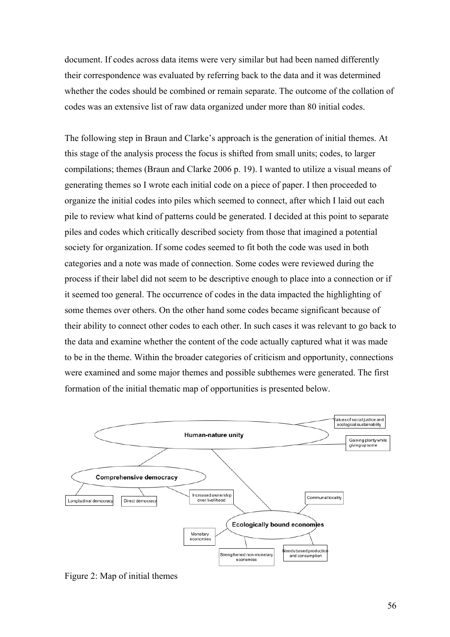document. If codes across data items were very similar but had been named differently their correspondence was evaluated by referring back to the data and it was determined whether the codes should be combined or remain separate. The outcome of the collation of codes was an extensive list of raw data organized under more than 80 initial codes.

The following step in Braun and Clarke's approach is the generation of initial themes. At this stage of the analysis process the focus is shifted from small units; codes, to larger compilations; themes (Braun and Clarke 2006 p. 19). I wanted to utilize a visual means of generating themes so I wrote each initial code on a piece of paper. I then proceeded to organize the initial codes into piles which seemed to connect, after which I laid out each pile to review what kind of patterns could be generated. I decided at this point to separate piles and codes which critically described society from those that imagined a potential society for organization. If some codes seemed to fit both the code was used in both categories and a note was made of connection. Some codes were reviewed during the process if their label did not seem to be descriptive enough to place into a connection or if it seemed too general. The occurrence of codes in the data impacted the highlighting of some themes over others. On the other hand some codes became significant because of their ability to connect other codes to each other. In such cases it was relevant to go back to the data and examine whether the content of the code actually captured what it was made to be in the theme. Within the broader categories of criticism and opportunity, connections were examined and some major themes and possible subthemes were generated. The first formation of the initial thematic map of opportunities is presented below.



Figure 2: Map of initial themes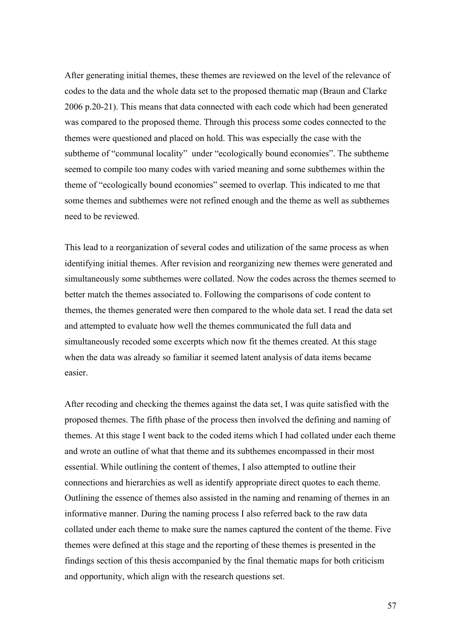After generating initial themes, these themes are reviewed on the level of the relevance of codes to the data and the whole data set to the proposed thematic map (Braun and Clarke 2006 p.20-21). This means that data connected with each code which had been generated was compared to the proposed theme. Through this process some codes connected to the themes were questioned and placed on hold. This was especially the case with the subtheme of "communal locality" under "ecologically bound economies". The subtheme seemed to compile too many codes with varied meaning and some subthemes within the theme of "ecologically bound economies" seemed to overlap. This indicated to me that some themes and subthemes were not refined enough and the theme as well as subthemes need to be reviewed.

This lead to a reorganization of several codes and utilization of the same process as when identifying initial themes. After revision and reorganizing new themes were generated and simultaneously some subthemes were collated. Now the codes across the themes seemed to better match the themes associated to. Following the comparisons of code content to themes, the themes generated were then compared to the whole data set. I read the data set and attempted to evaluate how well the themes communicated the full data and simultaneously recoded some excerpts which now fit the themes created. At this stage when the data was already so familiar it seemed latent analysis of data items became easier.

After recoding and checking the themes against the data set, I was quite satisfied with the proposed themes. The fifth phase of the process then involved the defining and naming of themes. At this stage I went back to the coded items which I had collated under each theme and wrote an outline of what that theme and its subthemes encompassed in their most essential. While outlining the content of themes, I also attempted to outline their connections and hierarchies as well as identify appropriate direct quotes to each theme. Outlining the essence of themes also assisted in the naming and renaming of themes in an informative manner. During the naming process I also referred back to the raw data collated under each theme to make sure the names captured the content of the theme. Five themes were defined at this stage and the reporting of these themes is presented in the findings section of this thesis accompanied by the final thematic maps for both criticism and opportunity, which align with the research questions set.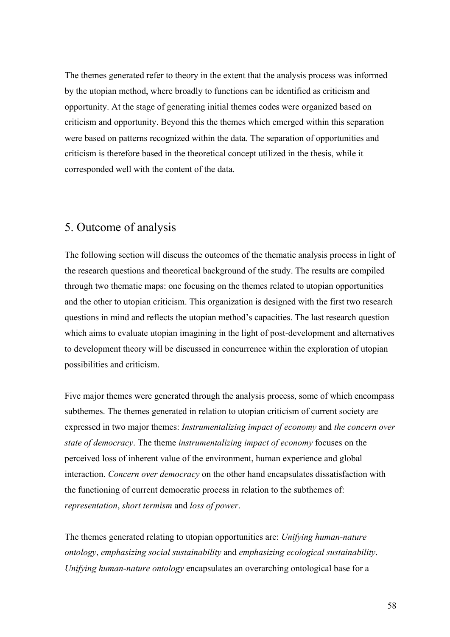The themes generated refer to theory in the extent that the analysis process was informed by the utopian method, where broadly to functions can be identified as criticism and opportunity. At the stage of generating initial themes codes were organized based on criticism and opportunity. Beyond this the themes which emerged within this separation were based on patterns recognized within the data. The separation of opportunities and criticism is therefore based in the theoretical concept utilized in the thesis, while it corresponded well with the content of the data.

# 5. Outcome of analysis

The following section will discuss the outcomes of the thematic analysis process in light of the research questions and theoretical background of the study. The results are compiled through two thematic maps: one focusing on the themes related to utopian opportunities and the other to utopian criticism. This organization is designed with the first two research questions in mind and reflects the utopian method's capacities. The last research question which aims to evaluate utopian imagining in the light of post-development and alternatives to development theory will be discussed in concurrence within the exploration of utopian possibilities and criticism.

Five major themes were generated through the analysis process, some of which encompass subthemes. The themes generated in relation to utopian criticism of current society are expressed in two major themes: *Instrumentalizing impact of economy* and *the concern over state of democracy*. The theme *instrumentalizing impact of economy* focuses on the perceived loss of inherent value of the environment, human experience and global interaction. *Concern over democracy* on the other hand encapsulates dissatisfaction with the functioning of current democratic process in relation to the subthemes of: *representation*, *short termism* and *loss of power*.

The themes generated relating to utopian opportunities are: *Unifying human-nature ontology*, *emphasizing social sustainability* and *emphasizing ecological sustainability*. *Unifying human-nature ontology* encapsulates an overarching ontological base for a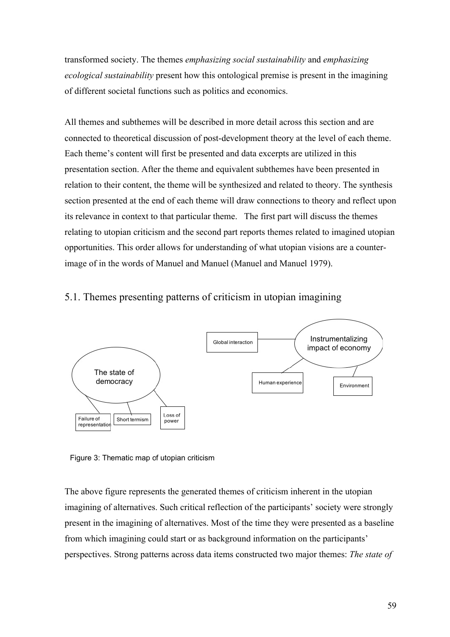transformed society. The themes *emphasizing social sustainability* and *emphasizing ecological sustainability* present how this ontological premise is present in the imagining of different societal functions such as politics and economics.

All themes and subthemes will be described in more detail across this section and are connected to theoretical discussion of post-development theory at the level of each theme. Each theme's content will first be presented and data excerpts are utilized in this presentation section. After the theme and equivalent subthemes have been presented in relation to their content, the theme will be synthesized and related to theory. The synthesis section presented at the end of each theme will draw connections to theory and reflect upon its relevance in context to that particular theme. The first part will discuss the themes relating to utopian criticism and the second part reports themes related to imagined utopian opportunities. This order allows for understanding of what utopian visions are a counterimage of in the words of Manuel and Manuel (Manuel and Manuel 1979).

# 5.1. Themes presenting patterns of criticism in utopian imagining



Figure 3: Thematic map of utopian criticism

The above figure represents the generated themes of criticism inherent in the utopian imagining of alternatives. Such critical reflection of the participants' society were strongly present in the imagining of alternatives. Most of the time they were presented as a baseline from which imagining could start or as background information on the participants' perspectives. Strong patterns across data items constructed two major themes: *The state of*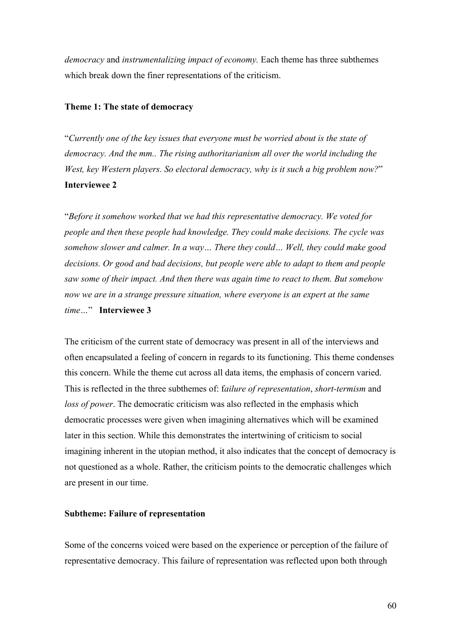*democracy* and *instrumentalizing impact of economy.* Each theme has three subthemes which break down the finer representations of the criticism.

## **Theme 1: The state of democracy**

"*Currently one of the key issues that everyone must be worried about is the state of democracy. And the mm.. The rising authoritarianism all over the world including the West, key Western players. So electoral democracy, why is it such a big problem now?*" **Interviewee 2**

"*Before it somehow worked that we had this representative democracy. We voted for people and then these people had knowledge. They could make decisions. The cycle was somehow slower and calmer. In a way… There they could… Well, they could make good decisions. Or good and bad decisions, but people were able to adapt to them and people saw some of their impact. And then there was again time to react to them. But somehow now we are in a strange pressure situation, where everyone is an expert at the same time…*" **Interviewee 3**

The criticism of the current state of democracy was present in all of the interviews and often encapsulated a feeling of concern in regards to its functioning. This theme condenses this concern. While the theme cut across all data items, the emphasis of concern varied. This is reflected in the three subthemes of: f*ailure of representation*, *short-termism* and *loss of power*. The democratic criticism was also reflected in the emphasis which democratic processes were given when imagining alternatives which will be examined later in this section. While this demonstrates the intertwining of criticism to social imagining inherent in the utopian method, it also indicates that the concept of democracy is not questioned as a whole. Rather, the criticism points to the democratic challenges which are present in our time.

#### **Subtheme: Failure of representation**

Some of the concerns voiced were based on the experience or perception of the failure of representative democracy. This failure of representation was reflected upon both through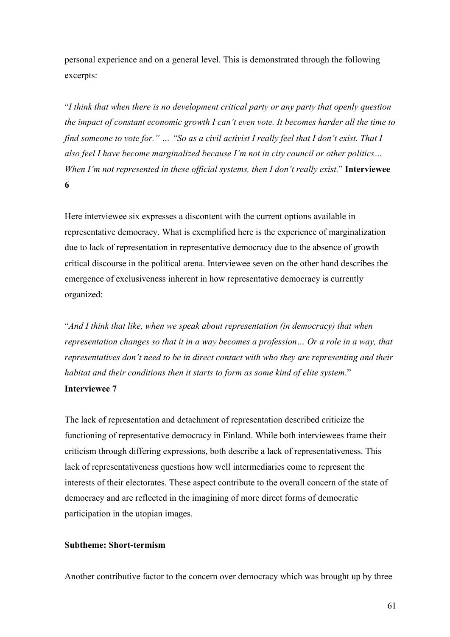personal experience and on a general level. This is demonstrated through the following excerpts:

"*I think that when there is no development critical party or any party that openly question the impact of constant economic growth I can't even vote. It becomes harder all the time to find someone to vote for." … "So as a civil activist I really feel that I don't exist. That I also feel I have become marginalized because I'm not in city council or other politics… When I'm not represented in these official systems, then I don't really exist.*" **Interviewee 6**

Here interviewee six expresses a discontent with the current options available in representative democracy. What is exemplified here is the experience of marginalization due to lack of representation in representative democracy due to the absence of growth critical discourse in the political arena. Interviewee seven on the other hand describes the emergence of exclusiveness inherent in how representative democracy is currently organized:

"*And I think that like, when we speak about representation (in democracy) that when representation changes so that it in a way becomes a profession… Or a role in a way, that representatives don't need to be in direct contact with who they are representing and their habitat and their conditions then it starts to form as some kind of elite system*." **Interviewee 7**

The lack of representation and detachment of representation described criticize the functioning of representative democracy in Finland. While both interviewees frame their criticism through differing expressions, both describe a lack of representativeness. This lack of representativeness questions how well intermediaries come to represent the interests of their electorates. These aspect contribute to the overall concern of the state of democracy and are reflected in the imagining of more direct forms of democratic participation in the utopian images.

# **Subtheme: Short-termism**

Another contributive factor to the concern over democracy which was brought up by three

61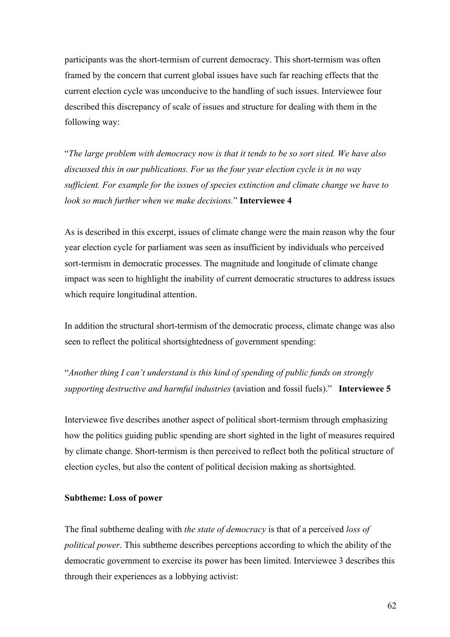participants was the short-termism of current democracy. This short-termism was often framed by the concern that current global issues have such far reaching effects that the current election cycle was unconducive to the handling of such issues. Interviewee four described this discrepancy of scale of issues and structure for dealing with them in the following way:

"*The large problem with democracy now is that it tends to be so sort sited. We have also discussed this in our publications. For us the four year election cycle is in no way sufficient. For example for the issues of species extinction and climate change we have to look so much further when we make decisions.*" **Interviewee 4**

As is described in this excerpt, issues of climate change were the main reason why the four year election cycle for parliament was seen as insufficient by individuals who perceived sort-termism in democratic processes. The magnitude and longitude of climate change impact was seen to highlight the inability of current democratic structures to address issues which require longitudinal attention.

In addition the structural short-termism of the democratic process, climate change was also seen to reflect the political shortsightedness of government spending:

"*Another thing I can't understand is this kind of spending of public funds on strongly supporting destructive and harmful industries* (aviation and fossil fuels)." **Interviewee 5**

Interviewee five describes another aspect of political short-termism through emphasizing how the politics guiding public spending are short sighted in the light of measures required by climate change. Short-termism is then perceived to reflect both the political structure of election cycles, but also the content of political decision making as shortsighted.

### **Subtheme: Loss of power**

The final subtheme dealing with *the state of democracy* is that of a perceived *loss of political power*. This subtheme describes perceptions according to which the ability of the democratic government to exercise its power has been limited. Interviewee 3 describes this through their experiences as a lobbying activist: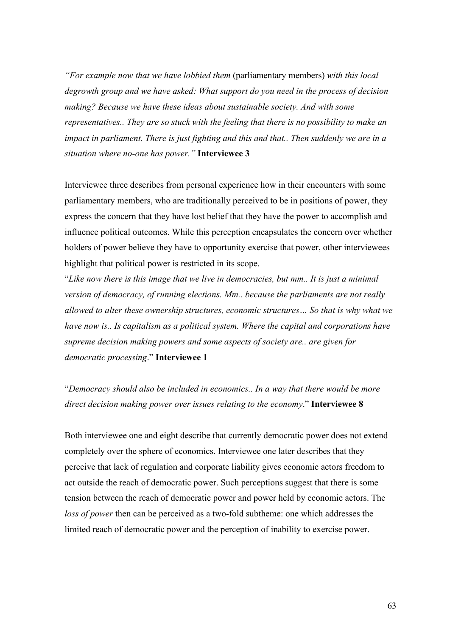*"For example now that we have lobbied them* (parliamentary members) *with this local degrowth group and we have asked: What support do you need in the process of decision making? Because we have these ideas about sustainable society. And with some representatives.. They are so stuck with the feeling that there is no possibility to make an impact in parliament. There is just fighting and this and that.. Then suddenly we are in a situation where no-one has power."* **Interviewee 3**

Interviewee three describes from personal experience how in their encounters with some parliamentary members, who are traditionally perceived to be in positions of power, they express the concern that they have lost belief that they have the power to accomplish and influence political outcomes. While this perception encapsulates the concern over whether holders of power believe they have to opportunity exercise that power, other interviewees highlight that political power is restricted in its scope.

"*Like now there is this image that we live in democracies, but mm.. It is just a minimal version of democracy, of running elections. Mm.. because the parliaments are not really allowed to alter these ownership structures, economic structures… So that is why what we have now is.. Is capitalism as a political system. Where the capital and corporations have supreme decision making powers and some aspects of society are.. are given for democratic processing*." **Interviewee 1**

"*Democracy should also be included in economics.. In a way that there would be more direct decision making power over issues relating to the economy*." **Interviewee 8**

Both interviewee one and eight describe that currently democratic power does not extend completely over the sphere of economics. Interviewee one later describes that they perceive that lack of regulation and corporate liability gives economic actors freedom to act outside the reach of democratic power. Such perceptions suggest that there is some tension between the reach of democratic power and power held by economic actors. The *loss of power* then can be perceived as a two-fold subtheme: one which addresses the limited reach of democratic power and the perception of inability to exercise power.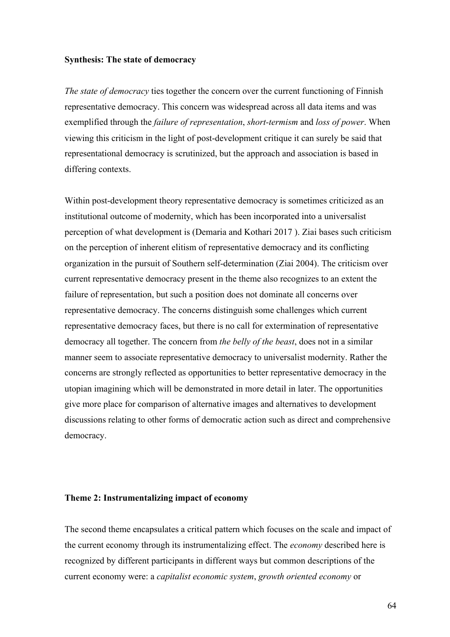#### **Synthesis: The state of democracy**

*The state of democracy* ties together the concern over the current functioning of Finnish representative democracy. This concern was widespread across all data items and was exemplified through the *failure of representation*, *short-termism* and *loss of power*. When viewing this criticism in the light of post-development critique it can surely be said that representational democracy is scrutinized, but the approach and association is based in differing contexts.

Within post-development theory representative democracy is sometimes criticized as an institutional outcome of modernity, which has been incorporated into a universalist perception of what development is (Demaria and Kothari 2017 ). Ziai bases such criticism on the perception of inherent elitism of representative democracy and its conflicting organization in the pursuit of Southern self-determination (Ziai 2004). The criticism over current representative democracy present in the theme also recognizes to an extent the failure of representation, but such a position does not dominate all concerns over representative democracy. The concerns distinguish some challenges which current representative democracy faces, but there is no call for extermination of representative democracy all together. The concern from *the belly of the beast*, does not in a similar manner seem to associate representative democracy to universalist modernity. Rather the concerns are strongly reflected as opportunities to better representative democracy in the utopian imagining which will be demonstrated in more detail in later. The opportunities give more place for comparison of alternative images and alternatives to development discussions relating to other forms of democratic action such as direct and comprehensive democracy.

#### **Theme 2: Instrumentalizing impact of economy**

The second theme encapsulates a critical pattern which focuses on the scale and impact of the current economy through its instrumentalizing effect. The *economy* described here is recognized by different participants in different ways but common descriptions of the current economy were: a *capitalist economic system*, *growth oriented economy* or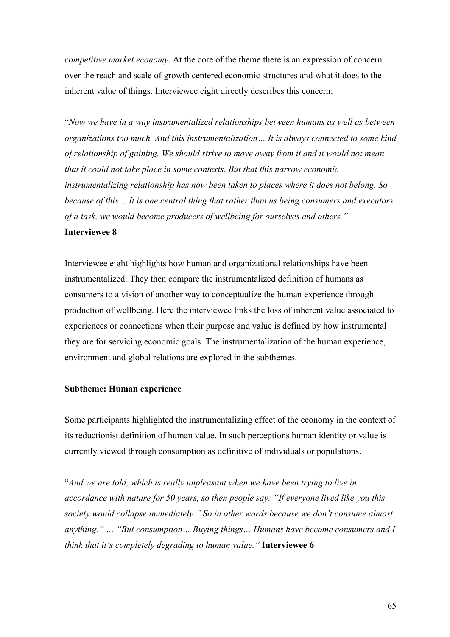*competitive market economy*. At the core of the theme there is an expression of concern over the reach and scale of growth centered economic structures and what it does to the inherent value of things. Interviewee eight directly describes this concern:

"*Now we have in a way instrumentalized relationships between humans as well as between organizations too much. And this instrumentalization… It is always connected to some kind of relationship of gaining. We should strive to move away from it and it would not mean that it could not take place in some contexts. But that this narrow economic instrumentalizing relationship has now been taken to places where it does not belong. So because of this… It is one central thing that rather than us being consumers and executors of a task, we would become producers of wellbeing for ourselves and others."* **Interviewee 8**

Interviewee eight highlights how human and organizational relationships have been instrumentalized. They then compare the instrumentalized definition of humans as consumers to a vision of another way to conceptualize the human experience through production of wellbeing. Here the interviewee links the loss of inherent value associated to experiences or connections when their purpose and value is defined by how instrumental they are for servicing economic goals. The instrumentalization of the human experience, environment and global relations are explored in the subthemes.

## **Subtheme: Human experience**

Some participants highlighted the instrumentalizing effect of the economy in the context of its reductionist definition of human value. In such perceptions human identity or value is currently viewed through consumption as definitive of individuals or populations.

"*And we are told, which is really unpleasant when we have been trying to live in accordance with nature for 50 years, so then people say: "If everyone lived like you this society would collapse immediately." So in other words because we don't consume almost anything." … "But consumption… Buying things… Humans have become consumers and I think that it's completely degrading to human value."* **Interviewee 6**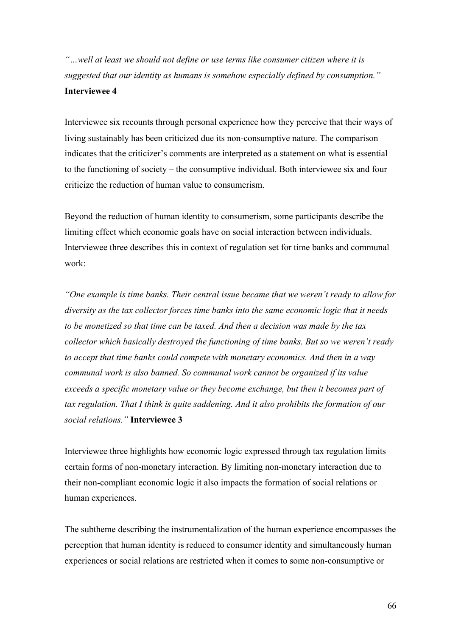*"…well at least we should not define or use terms like consumer citizen where it is suggested that our identity as humans is somehow especially defined by consumption."*  **Interviewee 4**

Interviewee six recounts through personal experience how they perceive that their ways of living sustainably has been criticized due its non-consumptive nature. The comparison indicates that the criticizer's comments are interpreted as a statement on what is essential to the functioning of society – the consumptive individual. Both interviewee six and four criticize the reduction of human value to consumerism.

Beyond the reduction of human identity to consumerism, some participants describe the limiting effect which economic goals have on social interaction between individuals. Interviewee three describes this in context of regulation set for time banks and communal work:

*"One example is time banks. Their central issue became that we weren't ready to allow for diversity as the tax collector forces time banks into the same economic logic that it needs to be monetized so that time can be taxed. And then a decision was made by the tax collector which basically destroyed the functioning of time banks. But so we weren't ready to accept that time banks could compete with monetary economics. And then in a way communal work is also banned. So communal work cannot be organized if its value exceeds a specific monetary value or they become exchange, but then it becomes part of tax regulation. That I think is quite saddening. And it also prohibits the formation of our social relations."* **Interviewee 3** 

Interviewee three highlights how economic logic expressed through tax regulation limits certain forms of non-monetary interaction. By limiting non-monetary interaction due to their non-compliant economic logic it also impacts the formation of social relations or human experiences.

The subtheme describing the instrumentalization of the human experience encompasses the perception that human identity is reduced to consumer identity and simultaneously human experiences or social relations are restricted when it comes to some non-consumptive or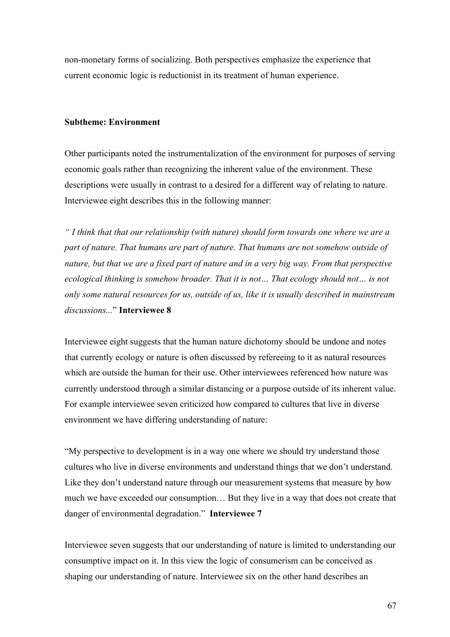non-monetary forms of socializing. Both perspectives emphasize the experience that current economic logic is reductionist in its treatment of human experience.

## **Subtheme: Environment**

Other participants noted the instrumentalization of the environment for purposes of serving economic goals rather than recognizing the inherent value of the environment. These descriptions were usually in contrast to a desired for a different way of relating to nature. Interviewee eight describes this in the following manner:

*" I think that that our relationship (with nature) should form towards one where we are a part of nature. That humans are part of nature. That humans are not somehow outside of nature, but that we are a fixed part of nature and in a very big way. From that perspective ecological thinking is somehow broader. That it is not… That ecology should not… is not only some natural resources for us, outside of us, like it is usually described in mainstream discussions...*" **Interviewee 8**

Interviewee eight suggests that the human nature dichotomy should be undone and notes that currently ecology or nature is often discussed by refereeing to it as natural resources which are outside the human for their use. Other interviewees referenced how nature was currently understood through a similar distancing or a purpose outside of its inherent value. For example interviewee seven criticized how compared to cultures that live in diverse environment we have differing understanding of nature:

"My perspective to development is in a way one where we should try understand those cultures who live in diverse environments and understand things that we don't understand. Like they don't understand nature through our measurement systems that measure by how much we have exceeded our consumption… But they live in a way that does not create that danger of environmental degradation." **Interviewee 7**

Interviewee seven suggests that our understanding of nature is limited to understanding our consumptive impact on it. In this view the logic of consumerism can be conceived as shaping our understanding of nature. Interviewee six on the other hand describes an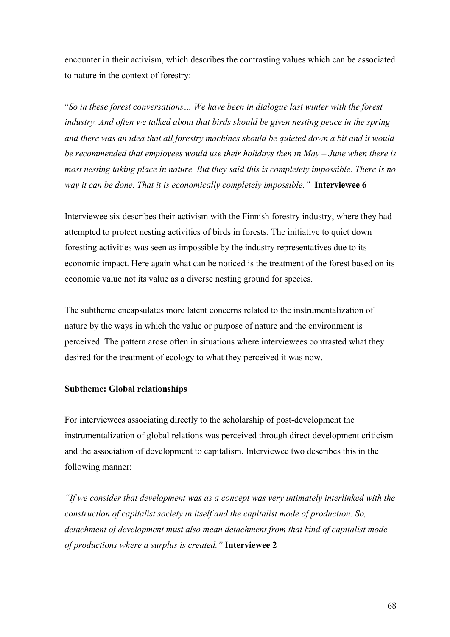encounter in their activism, which describes the contrasting values which can be associated to nature in the context of forestry:

"*So in these forest conversations… We have been in dialogue last winter with the forest industry. And often we talked about that birds should be given nesting peace in the spring and there was an idea that all forestry machines should be quieted down a bit and it would be recommended that employees would use their holidays then in May – June when there is most nesting taking place in nature. But they said this is completely impossible. There is no way it can be done. That it is economically completely impossible."* **Interviewee 6**

Interviewee six describes their activism with the Finnish forestry industry, where they had attempted to protect nesting activities of birds in forests. The initiative to quiet down foresting activities was seen as impossible by the industry representatives due to its economic impact. Here again what can be noticed is the treatment of the forest based on its economic value not its value as a diverse nesting ground for species.

The subtheme encapsulates more latent concerns related to the instrumentalization of nature by the ways in which the value or purpose of nature and the environment is perceived. The pattern arose often in situations where interviewees contrasted what they desired for the treatment of ecology to what they perceived it was now.

## **Subtheme: Global relationships**

For interviewees associating directly to the scholarship of post-development the instrumentalization of global relations was perceived through direct development criticism and the association of development to capitalism. Interviewee two describes this in the following manner:

*"If we consider that development was as a concept was very intimately interlinked with the construction of capitalist society in itself and the capitalist mode of production. So, detachment of development must also mean detachment from that kind of capitalist mode of productions where a surplus is created."* **Interviewee 2**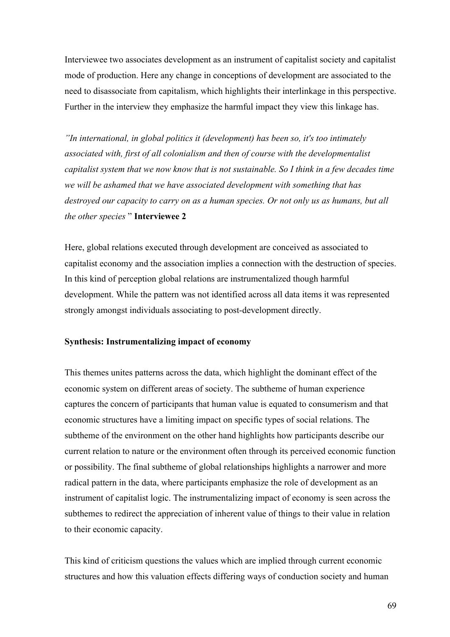Interviewee two associates development as an instrument of capitalist society and capitalist mode of production. Here any change in conceptions of development are associated to the need to disassociate from capitalism, which highlights their interlinkage in this perspective. Further in the interview they emphasize the harmful impact they view this linkage has.

*"In international, in global politics it (development) has been so, it's too intimately associated with, first of all colonialism and then of course with the developmentalist capitalist system that we now know that is not sustainable. So I think in a few decades time we will be ashamed that we have associated development with something that has destroyed our capacity to carry on as a human species. Or not only us as humans, but all the other species* " **Interviewee 2**

Here, global relations executed through development are conceived as associated to capitalist economy and the association implies a connection with the destruction of species. In this kind of perception global relations are instrumentalized though harmful development. While the pattern was not identified across all data items it was represented strongly amongst individuals associating to post-development directly.

## **Synthesis: Instrumentalizing impact of economy**

This themes unites patterns across the data, which highlight the dominant effect of the economic system on different areas of society. The subtheme of human experience captures the concern of participants that human value is equated to consumerism and that economic structures have a limiting impact on specific types of social relations. The subtheme of the environment on the other hand highlights how participants describe our current relation to nature or the environment often through its perceived economic function or possibility. The final subtheme of global relationships highlights a narrower and more radical pattern in the data, where participants emphasize the role of development as an instrument of capitalist logic. The instrumentalizing impact of economy is seen across the subthemes to redirect the appreciation of inherent value of things to their value in relation to their economic capacity.

This kind of criticism questions the values which are implied through current economic structures and how this valuation effects differing ways of conduction society and human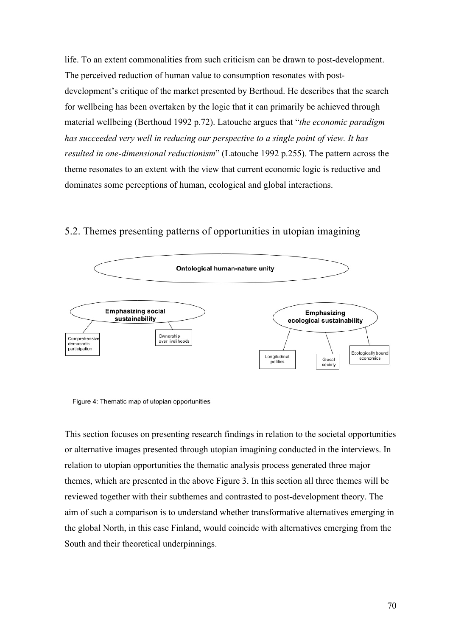life. To an extent commonalities from such criticism can be drawn to post-development. The perceived reduction of human value to consumption resonates with postdevelopment's critique of the market presented by Berthoud. He describes that the search for wellbeing has been overtaken by the logic that it can primarily be achieved through material wellbeing (Berthoud 1992 p.72). Latouche argues that "*the economic paradigm has succeeded very well in reducing our perspective to a single point of view. It has resulted in one-dimensional reductionism*" (Latouche 1992 p.255). The pattern across the theme resonates to an extent with the view that current economic logic is reductive and dominates some perceptions of human, ecological and global interactions.

# 5.2. Themes presenting patterns of opportunities in utopian imagining



Figure 4: Thematic map of utopian opportunities

This section focuses on presenting research findings in relation to the societal opportunities or alternative images presented through utopian imagining conducted in the interviews. In relation to utopian opportunities the thematic analysis process generated three major themes, which are presented in the above Figure 3. In this section all three themes will be reviewed together with their subthemes and contrasted to post-development theory. The aim of such a comparison is to understand whether transformative alternatives emerging in the global North, in this case Finland, would coincide with alternatives emerging from the South and their theoretical underpinnings.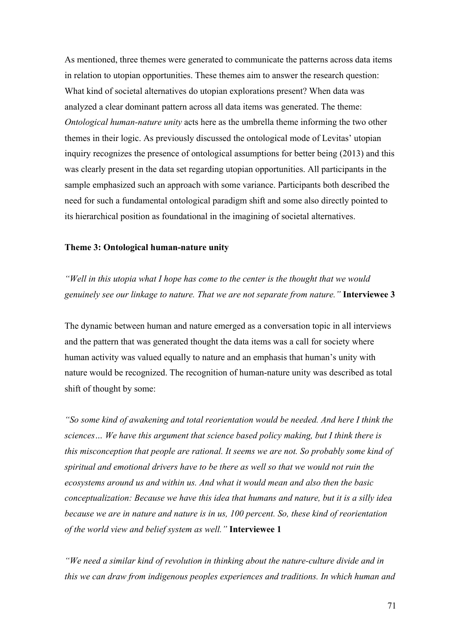As mentioned, three themes were generated to communicate the patterns across data items in relation to utopian opportunities. These themes aim to answer the research question: What kind of societal alternatives do utopian explorations present? When data was analyzed a clear dominant pattern across all data items was generated. The theme: *Ontological human-nature unity* acts here as the umbrella theme informing the two other themes in their logic. As previously discussed the ontological mode of Levitas' utopian inquiry recognizes the presence of ontological assumptions for better being (2013) and this was clearly present in the data set regarding utopian opportunities. All participants in the sample emphasized such an approach with some variance. Participants both described the need for such a fundamental ontological paradigm shift and some also directly pointed to its hierarchical position as foundational in the imagining of societal alternatives.

#### **Theme 3: Ontological human-nature unity**

*"Well in this utopia what I hope has come to the center is the thought that we would genuinely see our linkage to nature. That we are not separate from nature."* **Interviewee 3**

The dynamic between human and nature emerged as a conversation topic in all interviews and the pattern that was generated thought the data items was a call for society where human activity was valued equally to nature and an emphasis that human's unity with nature would be recognized. The recognition of human-nature unity was described as total shift of thought by some:

*"So some kind of awakening and total reorientation would be needed. And here I think the sciences… We have this argument that science based policy making, but I think there is this misconception that people are rational. It seems we are not. So probably some kind of spiritual and emotional drivers have to be there as well so that we would not ruin the ecosystems around us and within us. And what it would mean and also then the basic conceptualization: Because we have this idea that humans and nature, but it is a silly idea because we are in nature and nature is in us, 100 percent. So, these kind of reorientation of the world view and belief system as well."* **Interviewee 1**

*"We need a similar kind of revolution in thinking about the nature-culture divide and in this we can draw from indigenous peoples experiences and traditions. In which human and*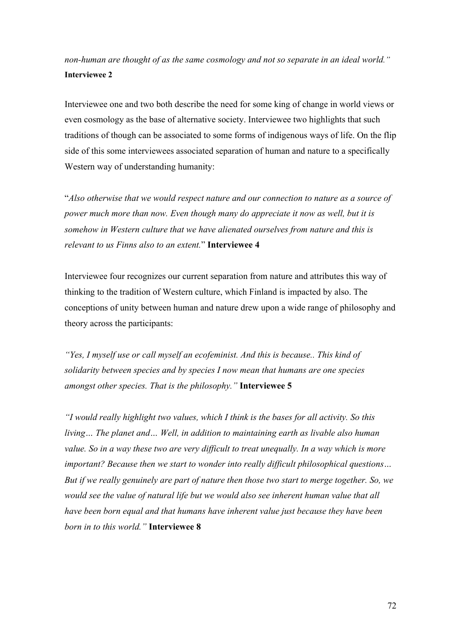*non-human are thought of as the same cosmology and not so separate in an ideal world."* **Interviewee 2**

Interviewee one and two both describe the need for some king of change in world views or even cosmology as the base of alternative society. Interviewee two highlights that such traditions of though can be associated to some forms of indigenous ways of life. On the flip side of this some interviewees associated separation of human and nature to a specifically Western way of understanding humanity:

"*Also otherwise that we would respect nature and our connection to nature as a source of power much more than now. Even though many do appreciate it now as well, but it is somehow in Western culture that we have alienated ourselves from nature and this is relevant to us Finns also to an extent.*" **Interviewee 4**

Interviewee four recognizes our current separation from nature and attributes this way of thinking to the tradition of Western culture, which Finland is impacted by also. The conceptions of unity between human and nature drew upon a wide range of philosophy and theory across the participants:

*"Yes, I myself use or call myself an ecofeminist. And this is because.. This kind of solidarity between species and by species I now mean that humans are one species amongst other species. That is the philosophy."* **Interviewee 5** 

*"I would really highlight two values, which I think is the bases for all activity. So this living… The planet and… Well, in addition to maintaining earth as livable also human*  value. So in a way these two are very difficult to treat unequally. In a way which is more *important? Because then we start to wonder into really difficult philosophical questions… But if we really genuinely are part of nature then those two start to merge together. So, we would see the value of natural life but we would also see inherent human value that all have been born equal and that humans have inherent value just because they have been born in to this world."* **Interviewee 8**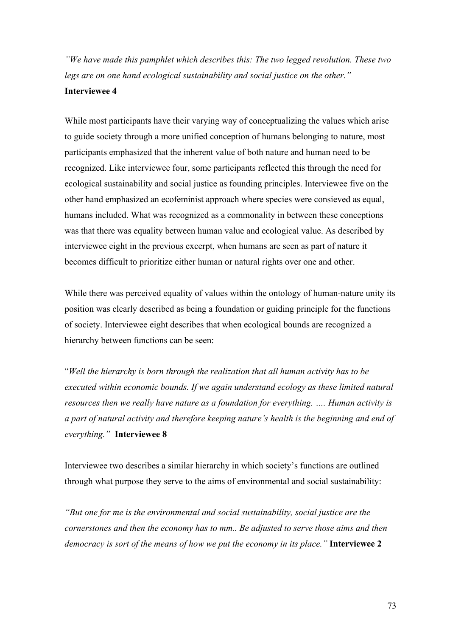*"We have made this pamphlet which describes this: The two legged revolution. These two legs are on one hand ecological sustainability and social justice on the other."*  **Interviewee 4**

While most participants have their varying way of conceptualizing the values which arise to guide society through a more unified conception of humans belonging to nature, most participants emphasized that the inherent value of both nature and human need to be recognized. Like interviewee four, some participants reflected this through the need for ecological sustainability and social justice as founding principles. Interviewee five on the other hand emphasized an ecofeminist approach where species were consieved as equal, humans included. What was recognized as a commonality in between these conceptions was that there was equality between human value and ecological value. As described by interviewee eight in the previous excerpt, when humans are seen as part of nature it becomes difficult to prioritize either human or natural rights over one and other.

While there was perceived equality of values within the ontology of human-nature unity its position was clearly described as being a foundation or guiding principle for the functions of society. Interviewee eight describes that when ecological bounds are recognized a hierarchy between functions can be seen:

"*Well the hierarchy is born through the realization that all human activity has to be executed within economic bounds. If we again understand ecology as these limited natural resources then we really have nature as a foundation for everything. …. Human activity is a part of natural activity and therefore keeping nature's health is the beginning and end of everything."* **Interviewee 8**

Interviewee two describes a similar hierarchy in which society's functions are outlined through what purpose they serve to the aims of environmental and social sustainability:

*"But one for me is the environmental and social sustainability, social justice are the cornerstones and then the economy has to mm.. Be adjusted to serve those aims and then democracy is sort of the means of how we put the economy in its place."* **Interviewee 2**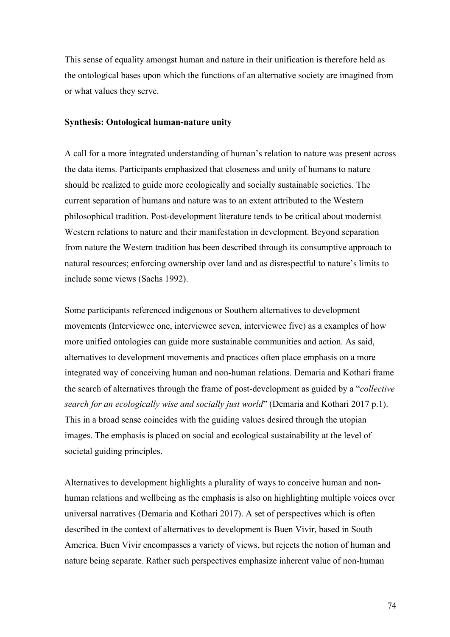This sense of equality amongst human and nature in their unification is therefore held as the ontological bases upon which the functions of an alternative society are imagined from or what values they serve.

#### **Synthesis: Ontological human-nature unity**

A call for a more integrated understanding of human's relation to nature was present across the data items. Participants emphasized that closeness and unity of humans to nature should be realized to guide more ecologically and socially sustainable societies. The current separation of humans and nature was to an extent attributed to the Western philosophical tradition. Post-development literature tends to be critical about modernist Western relations to nature and their manifestation in development. Beyond separation from nature the Western tradition has been described through its consumptive approach to natural resources; enforcing ownership over land and as disrespectful to nature's limits to include some views (Sachs 1992).

Some participants referenced indigenous or Southern alternatives to development movements (Interviewee one, interviewee seven, interviewee five) as a examples of how more unified ontologies can guide more sustainable communities and action. As said, alternatives to development movements and practices often place emphasis on a more integrated way of conceiving human and non-human relations. Demaria and Kothari frame the search of alternatives through the frame of post-development as guided by a "*collective search for an ecologically wise and socially just world*" (Demaria and Kothari 2017 p.1). This in a broad sense coincides with the guiding values desired through the utopian images. The emphasis is placed on social and ecological sustainability at the level of societal guiding principles.

Alternatives to development highlights a plurality of ways to conceive human and nonhuman relations and wellbeing as the emphasis is also on highlighting multiple voices over universal narratives (Demaria and Kothari 2017). A set of perspectives which is often described in the context of alternatives to development is Buen Vivir, based in South America. Buen Vivir encompasses a variety of views, but rejects the notion of human and nature being separate. Rather such perspectives emphasize inherent value of non-human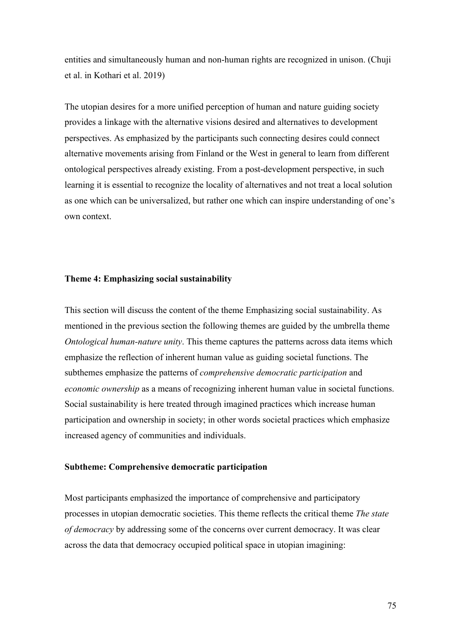entities and simultaneously human and non-human rights are recognized in unison. (Chuji et al. in Kothari et al. 2019)

The utopian desires for a more unified perception of human and nature guiding society provides a linkage with the alternative visions desired and alternatives to development perspectives. As emphasized by the participants such connecting desires could connect alternative movements arising from Finland or the West in general to learn from different ontological perspectives already existing. From a post-development perspective, in such learning it is essential to recognize the locality of alternatives and not treat a local solution as one which can be universalized, but rather one which can inspire understanding of one's own context.

## **Theme 4: Emphasizing social sustainability**

This section will discuss the content of the theme Emphasizing social sustainability. As mentioned in the previous section the following themes are guided by the umbrella theme *Ontological human-nature unity*. This theme captures the patterns across data items which emphasize the reflection of inherent human value as guiding societal functions. The subthemes emphasize the patterns of *comprehensive democratic participation* and *economic ownership* as a means of recognizing inherent human value in societal functions. Social sustainability is here treated through imagined practices which increase human participation and ownership in society; in other words societal practices which emphasize increased agency of communities and individuals.

### **Subtheme: Comprehensive democratic participation**

Most participants emphasized the importance of comprehensive and participatory processes in utopian democratic societies. This theme reflects the critical theme *The state of democracy* by addressing some of the concerns over current democracy. It was clear across the data that democracy occupied political space in utopian imagining: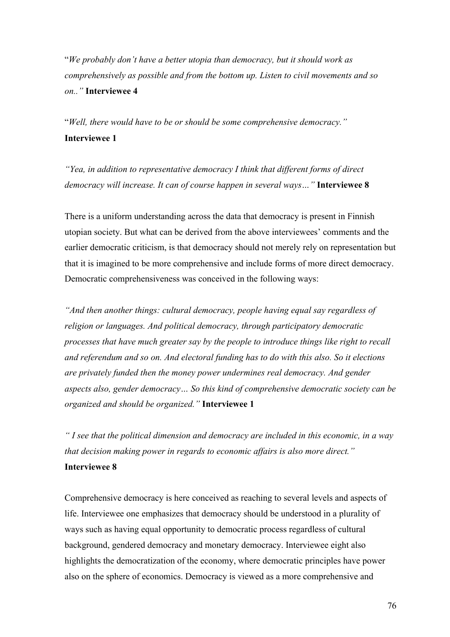"*We probably don't have a better utopia than democracy, but it should work as comprehensively as possible and from the bottom up. Listen to civil movements and so on.."* **Interviewee 4**

"*Well, there would have to be or should be some comprehensive democracy."* **Interviewee 1**

*"Yea, in addition to representative democracy I think that different forms of direct democracy will increase. It can of course happen in several ways…"* **Interviewee 8**

There is a uniform understanding across the data that democracy is present in Finnish utopian society. But what can be derived from the above interviewees' comments and the earlier democratic criticism, is that democracy should not merely rely on representation but that it is imagined to be more comprehensive and include forms of more direct democracy. Democratic comprehensiveness was conceived in the following ways:

*"And then another things: cultural democracy, people having equal say regardless of religion or languages. And political democracy, through participatory democratic processes that have much greater say by the people to introduce things like right to recall and referendum and so on. And electoral funding has to do with this also. So it elections are privately funded then the money power undermines real democracy. And gender aspects also, gender democracy… So this kind of comprehensive democratic society can be organized and should be organized."* **Interviewee 1**

*" I see that the political dimension and democracy are included in this economic, in a way that decision making power in regards to economic affairs is also more direct."* **Interviewee 8**

Comprehensive democracy is here conceived as reaching to several levels and aspects of life. Interviewee one emphasizes that democracy should be understood in a plurality of ways such as having equal opportunity to democratic process regardless of cultural background, gendered democracy and monetary democracy. Interviewee eight also highlights the democratization of the economy, where democratic principles have power also on the sphere of economics. Democracy is viewed as a more comprehensive and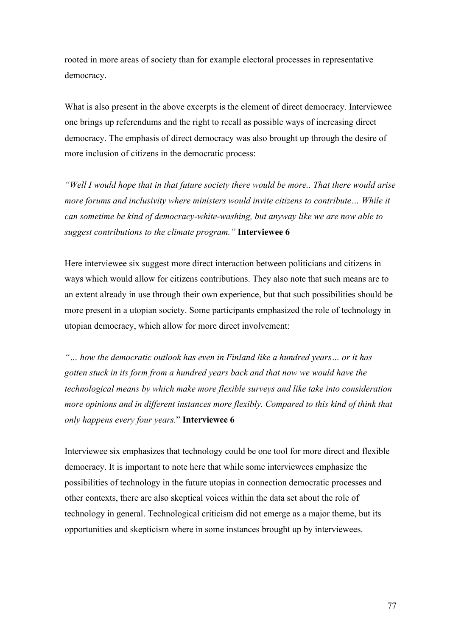rooted in more areas of society than for example electoral processes in representative democracy.

What is also present in the above excerpts is the element of direct democracy. Interviewee one brings up referendums and the right to recall as possible ways of increasing direct democracy. The emphasis of direct democracy was also brought up through the desire of more inclusion of citizens in the democratic process:

*"Well I would hope that in that future society there would be more.. That there would arise more forums and inclusivity where ministers would invite citizens to contribute… While it can sometime be kind of democracy-white-washing, but anyway like we are now able to suggest contributions to the climate program."* **Interviewee 6**

Here interviewee six suggest more direct interaction between politicians and citizens in ways which would allow for citizens contributions. They also note that such means are to an extent already in use through their own experience, but that such possibilities should be more present in a utopian society. Some participants emphasized the role of technology in utopian democracy, which allow for more direct involvement:

*"… how the democratic outlook has even in Finland like a hundred years… or it has gotten stuck in its form from a hundred years back and that now we would have the technological means by which make more flexible surveys and like take into consideration more opinions and in different instances more flexibly. Compared to this kind of think that only happens every four years.*" **Interviewee 6**

Interviewee six emphasizes that technology could be one tool for more direct and flexible democracy. It is important to note here that while some interviewees emphasize the possibilities of technology in the future utopias in connection democratic processes and other contexts, there are also skeptical voices within the data set about the role of technology in general. Technological criticism did not emerge as a major theme, but its opportunities and skepticism where in some instances brought up by interviewees.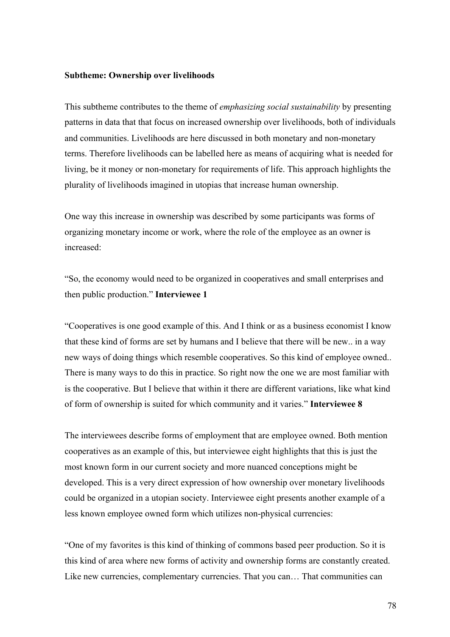#### **Subtheme: Ownership over livelihoods**

This subtheme contributes to the theme of *emphasizing social sustainability* by presenting patterns in data that that focus on increased ownership over livelihoods, both of individuals and communities. Livelihoods are here discussed in both monetary and non-monetary terms. Therefore livelihoods can be labelled here as means of acquiring what is needed for living, be it money or non-monetary for requirements of life. This approach highlights the plurality of livelihoods imagined in utopias that increase human ownership.

One way this increase in ownership was described by some participants was forms of organizing monetary income or work, where the role of the employee as an owner is increased:

"So, the economy would need to be organized in cooperatives and small enterprises and then public production." **Interviewee 1**

"Cooperatives is one good example of this. And I think or as a business economist I know that these kind of forms are set by humans and I believe that there will be new.. in a way new ways of doing things which resemble cooperatives. So this kind of employee owned.. There is many ways to do this in practice. So right now the one we are most familiar with is the cooperative. But I believe that within it there are different variations, like what kind of form of ownership is suited for which community and it varies." **Interviewee 8**

The interviewees describe forms of employment that are employee owned. Both mention cooperatives as an example of this, but interviewee eight highlights that this is just the most known form in our current society and more nuanced conceptions might be developed. This is a very direct expression of how ownership over monetary livelihoods could be organized in a utopian society. Interviewee eight presents another example of a less known employee owned form which utilizes non-physical currencies:

"One of my favorites is this kind of thinking of commons based peer production. So it is this kind of area where new forms of activity and ownership forms are constantly created. Like new currencies, complementary currencies. That you can… That communities can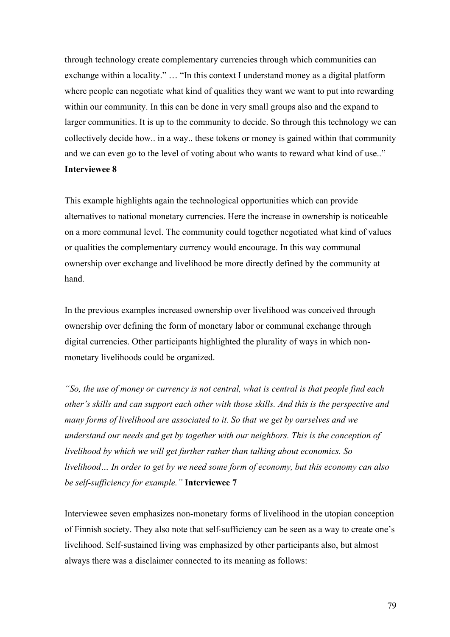through technology create complementary currencies through which communities can exchange within a locality." … "In this context I understand money as a digital platform where people can negotiate what kind of qualities they want we want to put into rewarding within our community. In this can be done in very small groups also and the expand to larger communities. It is up to the community to decide. So through this technology we can collectively decide how.. in a way.. these tokens or money is gained within that community and we can even go to the level of voting about who wants to reward what kind of use.." **Interviewee 8**

This example highlights again the technological opportunities which can provide alternatives to national monetary currencies. Here the increase in ownership is noticeable on a more communal level. The community could together negotiated what kind of values or qualities the complementary currency would encourage. In this way communal ownership over exchange and livelihood be more directly defined by the community at hand.

In the previous examples increased ownership over livelihood was conceived through ownership over defining the form of monetary labor or communal exchange through digital currencies. Other participants highlighted the plurality of ways in which nonmonetary livelihoods could be organized.

*"So, the use of money or currency is not central, what is central is that people find each other's skills and can support each other with those skills. And this is the perspective and many forms of livelihood are associated to it. So that we get by ourselves and we understand our needs and get by together with our neighbors. This is the conception of livelihood by which we will get further rather than talking about economics. So livelihood… In order to get by we need some form of economy, but this economy can also be self-sufficiency for example."* **Interviewee 7**

Interviewee seven emphasizes non-monetary forms of livelihood in the utopian conception of Finnish society. They also note that self-sufficiency can be seen as a way to create one's livelihood. Self-sustained living was emphasized by other participants also, but almost always there was a disclaimer connected to its meaning as follows: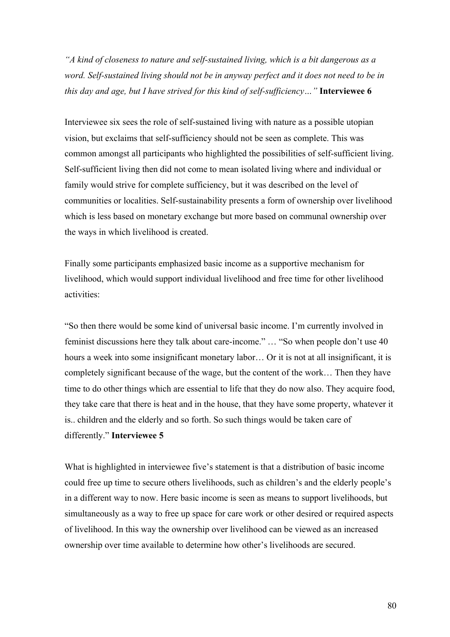*"A kind of closeness to nature and self-sustained living, which is a bit dangerous as a word. Self-sustained living should not be in anyway perfect and it does not need to be in this day and age, but I have strived for this kind of self-sufficiency…"* **Interviewee 6** 

Interviewee six sees the role of self-sustained living with nature as a possible utopian vision, but exclaims that self-sufficiency should not be seen as complete. This was common amongst all participants who highlighted the possibilities of self-sufficient living. Self-sufficient living then did not come to mean isolated living where and individual or family would strive for complete sufficiency, but it was described on the level of communities or localities. Self-sustainability presents a form of ownership over livelihood which is less based on monetary exchange but more based on communal ownership over the ways in which livelihood is created.

Finally some participants emphasized basic income as a supportive mechanism for livelihood, which would support individual livelihood and free time for other livelihood activities:

"So then there would be some kind of universal basic income. I'm currently involved in feminist discussions here they talk about care-income." … "So when people don't use 40 hours a week into some insignificant monetary labor... Or it is not at all insignificant, it is completely significant because of the wage, but the content of the work… Then they have time to do other things which are essential to life that they do now also. They acquire food, they take care that there is heat and in the house, that they have some property, whatever it is.. children and the elderly and so forth. So such things would be taken care of differently." **Interviewee 5**

What is highlighted in interviewee five's statement is that a distribution of basic income could free up time to secure others livelihoods, such as children's and the elderly people's in a different way to now. Here basic income is seen as means to support livelihoods, but simultaneously as a way to free up space for care work or other desired or required aspects of livelihood. In this way the ownership over livelihood can be viewed as an increased ownership over time available to determine how other's livelihoods are secured.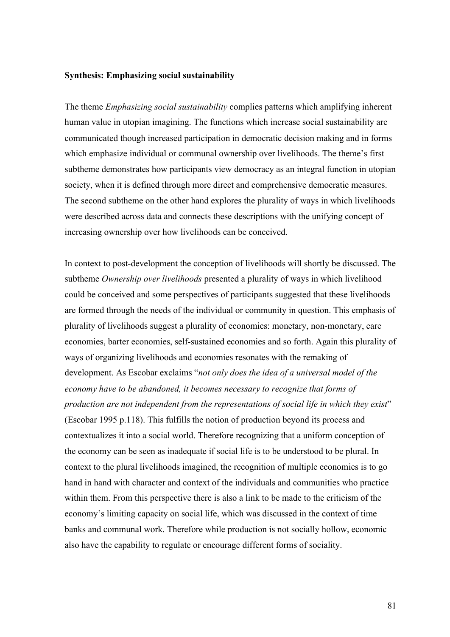#### **Synthesis: Emphasizing social sustainability**

The theme *Emphasizing social sustainability* complies patterns which amplifying inherent human value in utopian imagining. The functions which increase social sustainability are communicated though increased participation in democratic decision making and in forms which emphasize individual or communal ownership over livelihoods. The theme's first subtheme demonstrates how participants view democracy as an integral function in utopian society, when it is defined through more direct and comprehensive democratic measures. The second subtheme on the other hand explores the plurality of ways in which livelihoods were described across data and connects these descriptions with the unifying concept of increasing ownership over how livelihoods can be conceived.

In context to post-development the conception of livelihoods will shortly be discussed. The subtheme *Ownership over livelihoods* presented a plurality of ways in which livelihood could be conceived and some perspectives of participants suggested that these livelihoods are formed through the needs of the individual or community in question. This emphasis of plurality of livelihoods suggest a plurality of economies: monetary, non-monetary, care economies, barter economies, self-sustained economies and so forth. Again this plurality of ways of organizing livelihoods and economies resonates with the remaking of development. As Escobar exclaims "*not only does the idea of a universal model of the economy have to be abandoned, it becomes necessary to recognize that forms of production are not independent from the representations of social life in which they exist*" (Escobar 1995 p.118). This fulfills the notion of production beyond its process and contextualizes it into a social world. Therefore recognizing that a uniform conception of the economy can be seen as inadequate if social life is to be understood to be plural. In context to the plural livelihoods imagined, the recognition of multiple economies is to go hand in hand with character and context of the individuals and communities who practice within them. From this perspective there is also a link to be made to the criticism of the economy's limiting capacity on social life, which was discussed in the context of time banks and communal work. Therefore while production is not socially hollow, economic also have the capability to regulate or encourage different forms of sociality.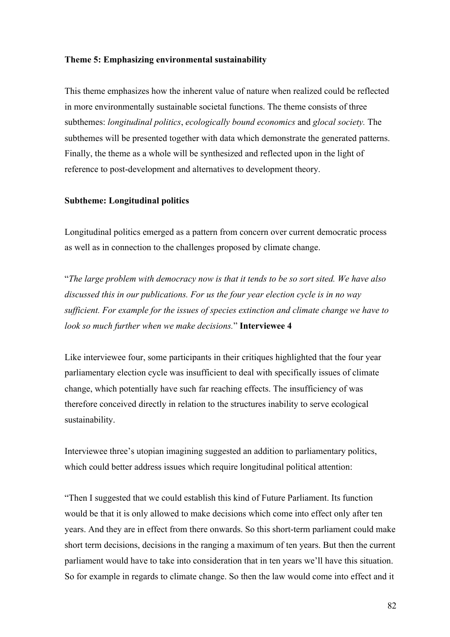#### **Theme 5: Emphasizing environmental sustainability**

This theme emphasizes how the inherent value of nature when realized could be reflected in more environmentally sustainable societal functions. The theme consists of three subthemes: *longitudinal politics*, *ecologically bound economics* and *glocal society.* The subthemes will be presented together with data which demonstrate the generated patterns. Finally, the theme as a whole will be synthesized and reflected upon in the light of reference to post-development and alternatives to development theory.

## **Subtheme: Longitudinal politics**

Longitudinal politics emerged as a pattern from concern over current democratic process as well as in connection to the challenges proposed by climate change.

"*The large problem with democracy now is that it tends to be so sort sited. We have also discussed this in our publications. For us the four year election cycle is in no way sufficient. For example for the issues of species extinction and climate change we have to look so much further when we make decisions.*" **Interviewee 4**

Like interviewee four, some participants in their critiques highlighted that the four year parliamentary election cycle was insufficient to deal with specifically issues of climate change, which potentially have such far reaching effects. The insufficiency of was therefore conceived directly in relation to the structures inability to serve ecological sustainability.

Interviewee three's utopian imagining suggested an addition to parliamentary politics, which could better address issues which require longitudinal political attention:

"Then I suggested that we could establish this kind of Future Parliament. Its function would be that it is only allowed to make decisions which come into effect only after ten years. And they are in effect from there onwards. So this short-term parliament could make short term decisions, decisions in the ranging a maximum of ten years. But then the current parliament would have to take into consideration that in ten years we'll have this situation. So for example in regards to climate change. So then the law would come into effect and it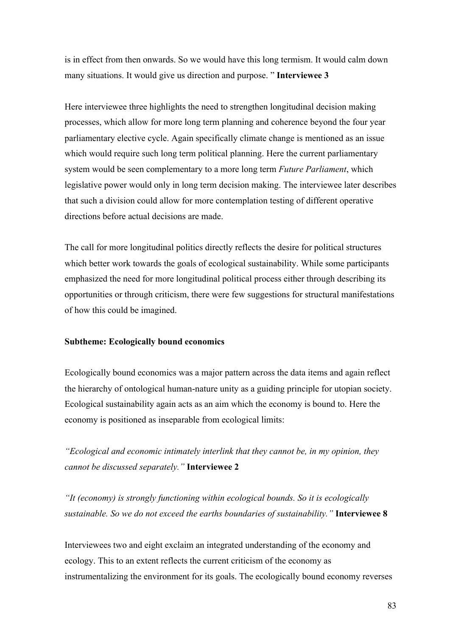is in effect from then onwards. So we would have this long termism. It would calm down many situations. It would give us direction and purpose. " **Interviewee 3**

Here interviewee three highlights the need to strengthen longitudinal decision making processes, which allow for more long term planning and coherence beyond the four year parliamentary elective cycle. Again specifically climate change is mentioned as an issue which would require such long term political planning. Here the current parliamentary system would be seen complementary to a more long term *Future Parliament*, which legislative power would only in long term decision making. The interviewee later describes that such a division could allow for more contemplation testing of different operative directions before actual decisions are made.

The call for more longitudinal politics directly reflects the desire for political structures which better work towards the goals of ecological sustainability. While some participants emphasized the need for more longitudinal political process either through describing its opportunities or through criticism, there were few suggestions for structural manifestations of how this could be imagined.

## **Subtheme: Ecologically bound economics**

Ecologically bound economics was a major pattern across the data items and again reflect the hierarchy of ontological human-nature unity as a guiding principle for utopian society. Ecological sustainability again acts as an aim which the economy is bound to. Here the economy is positioned as inseparable from ecological limits:

*"Ecological and economic intimately interlink that they cannot be, in my opinion, they cannot be discussed separately."* **Interviewee 2**

*"It (economy) is strongly functioning within ecological bounds. So it is ecologically sustainable. So we do not exceed the earths boundaries of sustainability."* **Interviewee 8**

Interviewees two and eight exclaim an integrated understanding of the economy and ecology. This to an extent reflects the current criticism of the economy as instrumentalizing the environment for its goals. The ecologically bound economy reverses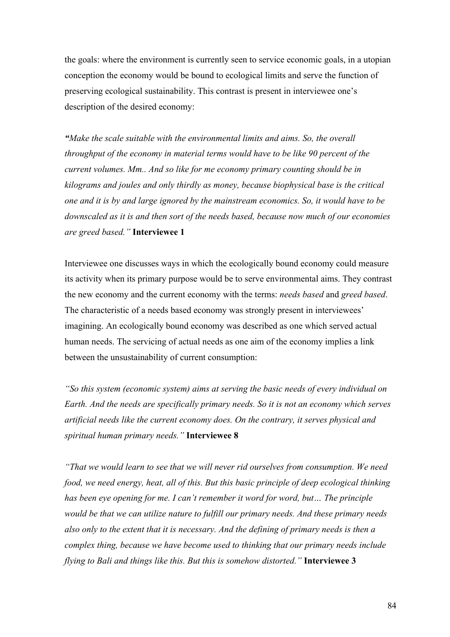the goals: where the environment is currently seen to service economic goals, in a utopian conception the economy would be bound to ecological limits and serve the function of preserving ecological sustainability. This contrast is present in interviewee one's description of the desired economy:

*"Make the scale suitable with the environmental limits and aims. So, the overall throughput of the economy in material terms would have to be like 90 percent of the current volumes. Mm.. And so like for me economy primary counting should be in kilograms and joules and only thirdly as money, because biophysical base is the critical one and it is by and large ignored by the mainstream economics. So, it would have to be downscaled as it is and then sort of the needs based, because now much of our economies are greed based."* **Interviewee 1**

Interviewee one discusses ways in which the ecologically bound economy could measure its activity when its primary purpose would be to serve environmental aims. They contrast the new economy and the current economy with the terms: *needs based* and *greed based*. The characteristic of a needs based economy was strongly present in interviewees' imagining. An ecologically bound economy was described as one which served actual human needs. The servicing of actual needs as one aim of the economy implies a link between the unsustainability of current consumption:

*"So this system (economic system) aims at serving the basic needs of every individual on Earth. And the needs are specifically primary needs. So it is not an economy which serves artificial needs like the current economy does. On the contrary, it serves physical and spiritual human primary needs."* **Interviewee 8**

*"That we would learn to see that we will never rid ourselves from consumption. We need food, we need energy, heat, all of this. But this basic principle of deep ecological thinking has been eye opening for me. I can't remember it word for word, but… The principle would be that we can utilize nature to fulfill our primary needs. And these primary needs also only to the extent that it is necessary. And the defining of primary needs is then a complex thing, because we have become used to thinking that our primary needs include flying to Bali and things like this. But this is somehow distorted."* **Interviewee 3**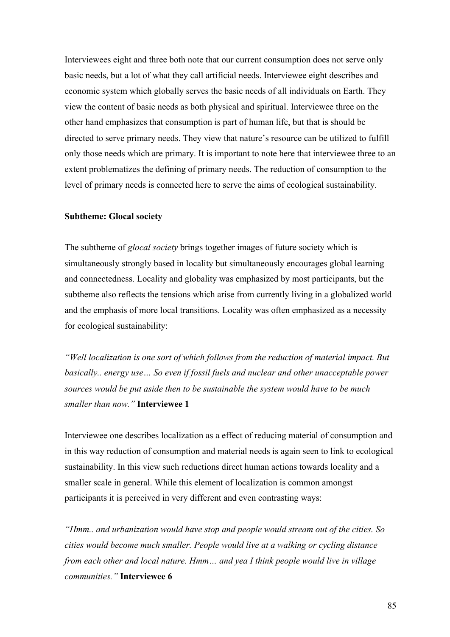Interviewees eight and three both note that our current consumption does not serve only basic needs, but a lot of what they call artificial needs. Interviewee eight describes and economic system which globally serves the basic needs of all individuals on Earth. They view the content of basic needs as both physical and spiritual. Interviewee three on the other hand emphasizes that consumption is part of human life, but that is should be directed to serve primary needs. They view that nature's resource can be utilized to fulfill only those needs which are primary. It is important to note here that interviewee three to an extent problematizes the defining of primary needs. The reduction of consumption to the level of primary needs is connected here to serve the aims of ecological sustainability.

## **Subtheme: Glocal society**

The subtheme of *glocal society* brings together images of future society which is simultaneously strongly based in locality but simultaneously encourages global learning and connectedness. Locality and globality was emphasized by most participants, but the subtheme also reflects the tensions which arise from currently living in a globalized world and the emphasis of more local transitions. Locality was often emphasized as a necessity for ecological sustainability:

*"Well localization is one sort of which follows from the reduction of material impact. But basically.. energy use… So even if fossil fuels and nuclear and other unacceptable power sources would be put aside then to be sustainable the system would have to be much smaller than now."* **Interviewee 1**

Interviewee one describes localization as a effect of reducing material of consumption and in this way reduction of consumption and material needs is again seen to link to ecological sustainability. In this view such reductions direct human actions towards locality and a smaller scale in general. While this element of localization is common amongst participants it is perceived in very different and even contrasting ways:

*"Hmm.. and urbanization would have stop and people would stream out of the cities. So cities would become much smaller. People would live at a walking or cycling distance from each other and local nature. Hmm… and yea I think people would live in village communities."* **Interviewee 6**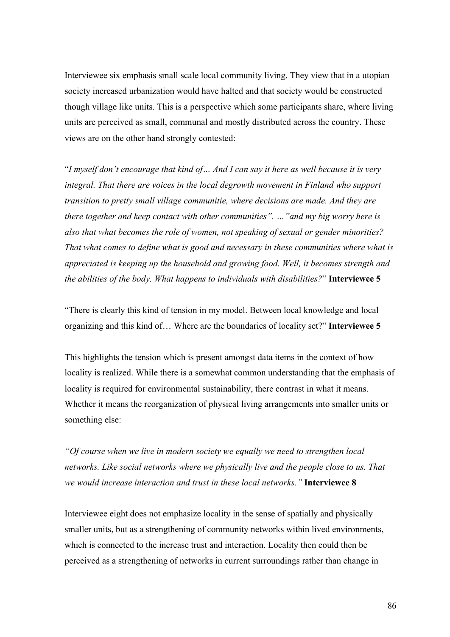Interviewee six emphasis small scale local community living. They view that in a utopian society increased urbanization would have halted and that society would be constructed though village like units. This is a perspective which some participants share, where living units are perceived as small, communal and mostly distributed across the country. These views are on the other hand strongly contested:

"*I myself don't encourage that kind of… And I can say it here as well because it is very integral. That there are voices in the local degrowth movement in Finland who support transition to pretty small village communitie, where decisions are made. And they are there together and keep contact with other communities". …"and my big worry here is also that what becomes the role of women, not speaking of sexual or gender minorities? That what comes to define what is good and necessary in these communities where what is appreciated is keeping up the household and growing food. Well, it becomes strength and the abilities of the body. What happens to individuals with disabilities?*" **Interviewee 5**

"There is clearly this kind of tension in my model. Between local knowledge and local organizing and this kind of… Where are the boundaries of locality set?" **Interviewee 5**

This highlights the tension which is present amongst data items in the context of how locality is realized. While there is a somewhat common understanding that the emphasis of locality is required for environmental sustainability, there contrast in what it means. Whether it means the reorganization of physical living arrangements into smaller units or something else:

*"Of course when we live in modern society we equally we need to strengthen local networks. Like social networks where we physically live and the people close to us. That we would increase interaction and trust in these local networks."* **Interviewee 8**

Interviewee eight does not emphasize locality in the sense of spatially and physically smaller units, but as a strengthening of community networks within lived environments, which is connected to the increase trust and interaction. Locality then could then be perceived as a strengthening of networks in current surroundings rather than change in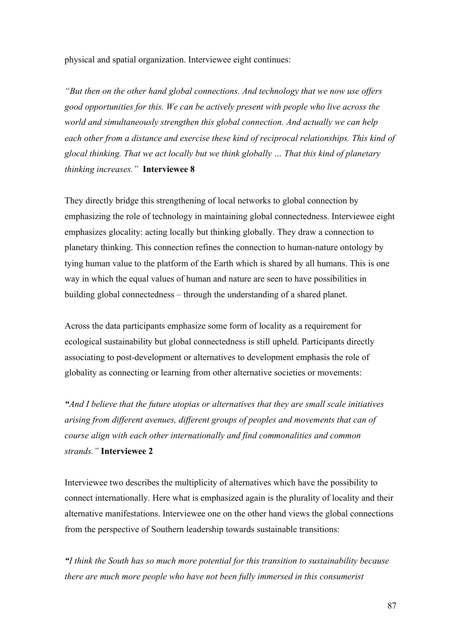physical and spatial organization. Interviewee eight continues:

*"But then on the other hand global connections. And technology that we now use offers good opportunities for this. We can be actively present with people who live across the world and simultaneously strengthen this global connection. And actually we can help each other from a distance and exercise these kind of reciprocal relationships. This kind of glocal thinking. That we act locally but we think globally … That this kind of planetary thinking increases."* **Interviewee 8**

They directly bridge this strengthening of local networks to global connection by emphasizing the role of technology in maintaining global connectedness. Interviewee eight emphasizes glocality: acting locally but thinking globally. They draw a connection to planetary thinking. This connection refines the connection to human-nature ontology by tying human value to the platform of the Earth which is shared by all humans. This is one way in which the equal values of human and nature are seen to have possibilities in building global connectedness – through the understanding of a shared planet.

Across the data participants emphasize some form of locality as a requirement for ecological sustainability but global connectedness is still upheld. Participants directly associating to post-development or alternatives to development emphasis the role of globality as connecting or learning from other alternative societies or movements:

*"And I believe that the future utopias or alternatives that they are small scale initiatives arising from different avenues, different groups of peoples and movements that can of course align with each other internationally and find commonalities and common strands."* **Interviewee 2**

Interviewee two describes the multiplicity of alternatives which have the possibility to connect internationally. Here what is emphasized again is the plurality of locality and their alternative manifestations. Interviewee one on the other hand views the global connections from the perspective of Southern leadership towards sustainable transitions:

*"I think the South has so much more potential for this transition to sustainability because there are much more people who have not been fully immersed in this consumerist*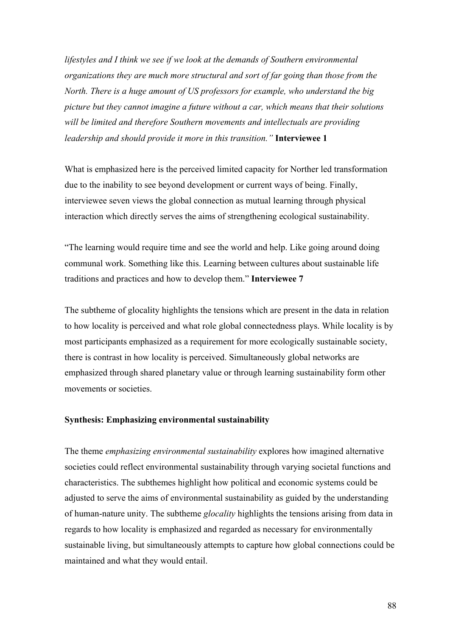*lifestyles and I think we see if we look at the demands of Southern environmental organizations they are much more structural and sort of far going than those from the North. There is a huge amount of US professors for example, who understand the big picture but they cannot imagine a future without a car, which means that their solutions will be limited and therefore Southern movements and intellectuals are providing leadership and should provide it more in this transition."* **Interviewee 1**

What is emphasized here is the perceived limited capacity for Norther led transformation due to the inability to see beyond development or current ways of being. Finally, interviewee seven views the global connection as mutual learning through physical interaction which directly serves the aims of strengthening ecological sustainability.

"The learning would require time and see the world and help. Like going around doing communal work. Something like this. Learning between cultures about sustainable life traditions and practices and how to develop them." **Interviewee 7**

The subtheme of glocality highlights the tensions which are present in the data in relation to how locality is perceived and what role global connectedness plays. While locality is by most participants emphasized as a requirement for more ecologically sustainable society, there is contrast in how locality is perceived. Simultaneously global networks are emphasized through shared planetary value or through learning sustainability form other movements or societies.

## **Synthesis: Emphasizing environmental sustainability**

The theme *emphasizing environmental sustainability* explores how imagined alternative societies could reflect environmental sustainability through varying societal functions and characteristics. The subthemes highlight how political and economic systems could be adjusted to serve the aims of environmental sustainability as guided by the understanding of human-nature unity. The subtheme *glocality* highlights the tensions arising from data in regards to how locality is emphasized and regarded as necessary for environmentally sustainable living, but simultaneously attempts to capture how global connections could be maintained and what they would entail.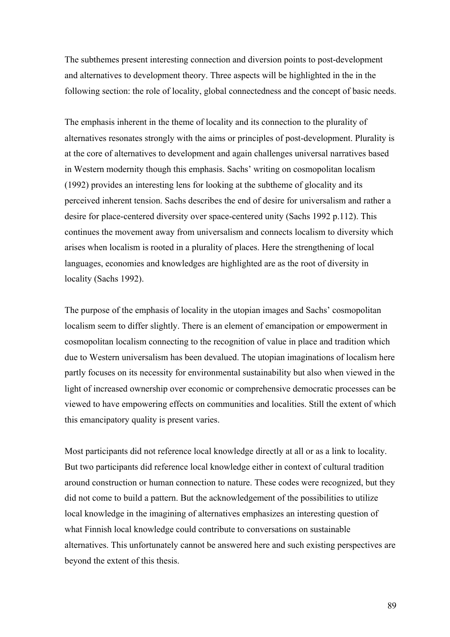The subthemes present interesting connection and diversion points to post-development and alternatives to development theory. Three aspects will be highlighted in the in the following section: the role of locality, global connectedness and the concept of basic needs.

The emphasis inherent in the theme of locality and its connection to the plurality of alternatives resonates strongly with the aims or principles of post-development. Plurality is at the core of alternatives to development and again challenges universal narratives based in Western modernity though this emphasis. Sachs' writing on cosmopolitan localism (1992) provides an interesting lens for looking at the subtheme of glocality and its perceived inherent tension. Sachs describes the end of desire for universalism and rather a desire for place-centered diversity over space-centered unity (Sachs 1992 p.112). This continues the movement away from universalism and connects localism to diversity which arises when localism is rooted in a plurality of places. Here the strengthening of local languages, economies and knowledges are highlighted are as the root of diversity in locality (Sachs 1992).

The purpose of the emphasis of locality in the utopian images and Sachs' cosmopolitan localism seem to differ slightly. There is an element of emancipation or empowerment in cosmopolitan localism connecting to the recognition of value in place and tradition which due to Western universalism has been devalued. The utopian imaginations of localism here partly focuses on its necessity for environmental sustainability but also when viewed in the light of increased ownership over economic or comprehensive democratic processes can be viewed to have empowering effects on communities and localities. Still the extent of which this emancipatory quality is present varies.

Most participants did not reference local knowledge directly at all or as a link to locality. But two participants did reference local knowledge either in context of cultural tradition around construction or human connection to nature. These codes were recognized, but they did not come to build a pattern. But the acknowledgement of the possibilities to utilize local knowledge in the imagining of alternatives emphasizes an interesting question of what Finnish local knowledge could contribute to conversations on sustainable alternatives. This unfortunately cannot be answered here and such existing perspectives are beyond the extent of this thesis.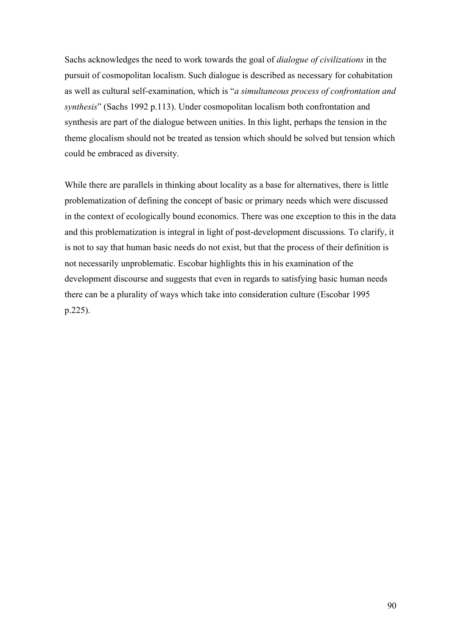Sachs acknowledges the need to work towards the goal of *dialogue of civilizations* in the pursuit of cosmopolitan localism. Such dialogue is described as necessary for cohabitation as well as cultural self-examination, which is "*a simultaneous process of confrontation and synthesis*" (Sachs 1992 p.113). Under cosmopolitan localism both confrontation and synthesis are part of the dialogue between unities. In this light, perhaps the tension in the theme glocalism should not be treated as tension which should be solved but tension which could be embraced as diversity.

While there are parallels in thinking about locality as a base for alternatives, there is little problematization of defining the concept of basic or primary needs which were discussed in the context of ecologically bound economics. There was one exception to this in the data and this problematization is integral in light of post-development discussions. To clarify, it is not to say that human basic needs do not exist, but that the process of their definition is not necessarily unproblematic. Escobar highlights this in his examination of the development discourse and suggests that even in regards to satisfying basic human needs there can be a plurality of ways which take into consideration culture (Escobar 1995 p.225).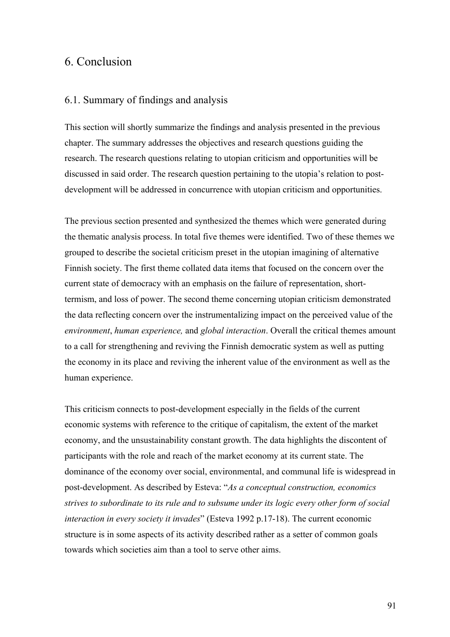# 6. Conclusion

## 6.1. Summary of findings and analysis

This section will shortly summarize the findings and analysis presented in the previous chapter. The summary addresses the objectives and research questions guiding the research. The research questions relating to utopian criticism and opportunities will be discussed in said order. The research question pertaining to the utopia's relation to postdevelopment will be addressed in concurrence with utopian criticism and opportunities.

The previous section presented and synthesized the themes which were generated during the thematic analysis process. In total five themes were identified. Two of these themes we grouped to describe the societal criticism preset in the utopian imagining of alternative Finnish society. The first theme collated data items that focused on the concern over the current state of democracy with an emphasis on the failure of representation, shorttermism, and loss of power. The second theme concerning utopian criticism demonstrated the data reflecting concern over the instrumentalizing impact on the perceived value of the *environment*, *human experience,* and *global interaction*. Overall the critical themes amount to a call for strengthening and reviving the Finnish democratic system as well as putting the economy in its place and reviving the inherent value of the environment as well as the human experience.

This criticism connects to post-development especially in the fields of the current economic systems with reference to the critique of capitalism, the extent of the market economy, and the unsustainability constant growth. The data highlights the discontent of participants with the role and reach of the market economy at its current state. The dominance of the economy over social, environmental, and communal life is widespread in post-development. As described by Esteva: "*As a conceptual construction, economics strives to subordinate to its rule and to subsume under its logic every other form of social interaction in every society it invades*" (Esteva 1992 p.17-18). The current economic structure is in some aspects of its activity described rather as a setter of common goals towards which societies aim than a tool to serve other aims.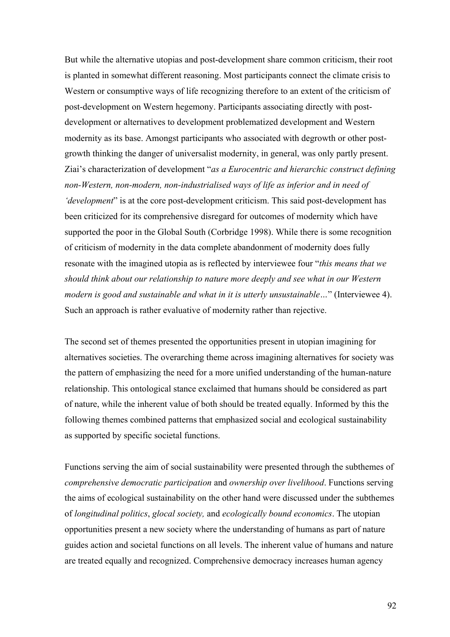But while the alternative utopias and post-development share common criticism, their root is planted in somewhat different reasoning. Most participants connect the climate crisis to Western or consumptive ways of life recognizing therefore to an extent of the criticism of post-development on Western hegemony. Participants associating directly with postdevelopment or alternatives to development problematized development and Western modernity as its base. Amongst participants who associated with degrowth or other postgrowth thinking the danger of universalist modernity, in general, was only partly present. Ziai's characterization of development "*as a Eurocentric and hierarchic construct defining non-Western, non-modern, non-industrialised ways of life as inferior and in need of 'development*" is at the core post-development criticism. This said post-development has been criticized for its comprehensive disregard for outcomes of modernity which have supported the poor in the Global South (Corbridge 1998). While there is some recognition of criticism of modernity in the data complete abandonment of modernity does fully resonate with the imagined utopia as is reflected by interviewee four "*this means that we should think about our relationship to nature more deeply and see what in our Western modern is good and sustainable and what in it is utterly unsustainable…*" (Interviewee 4). Such an approach is rather evaluative of modernity rather than rejective.

The second set of themes presented the opportunities present in utopian imagining for alternatives societies. The overarching theme across imagining alternatives for society was the pattern of emphasizing the need for a more unified understanding of the human-nature relationship. This ontological stance exclaimed that humans should be considered as part of nature, while the inherent value of both should be treated equally. Informed by this the following themes combined patterns that emphasized social and ecological sustainability as supported by specific societal functions.

Functions serving the aim of social sustainability were presented through the subthemes of *comprehensive democratic participation* and *ownership over livelihood*. Functions serving the aims of ecological sustainability on the other hand were discussed under the subthemes of *longitudinal politics*, *glocal society,* and *ecologically bound economics*. The utopian opportunities present a new society where the understanding of humans as part of nature guides action and societal functions on all levels. The inherent value of humans and nature are treated equally and recognized. Comprehensive democracy increases human agency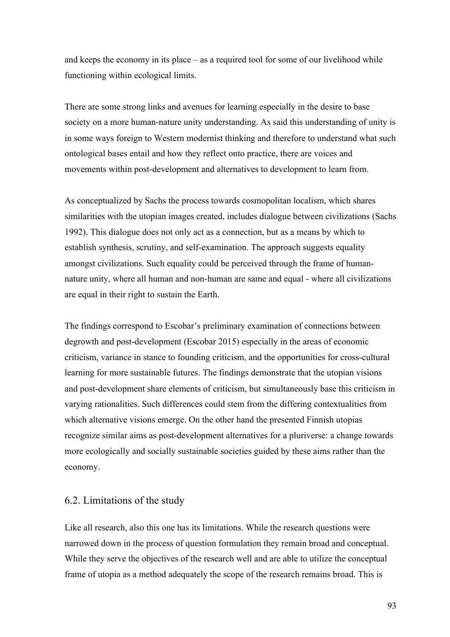and keeps the economy in its place – as a required tool for some of our livelihood while functioning within ecological limits.

There are some strong links and avenues for learning especially in the desire to base society on a more human-nature unity understanding. As said this understanding of unity is in some ways foreign to Western modernist thinking and therefore to understand what such ontological bases entail and how they reflect onto practice, there are voices and movements within post-development and alternatives to development to learn from.

As conceptualized by Sachs the process towards cosmopolitan localism, which shares similarities with the utopian images created, includes dialogue between civilizations (Sachs 1992). This dialogue does not only act as a connection, but as a means by which to establish synthesis, scrutiny, and self-examination. The approach suggests equality amongst civilizations. Such equality could be perceived through the frame of humannature unity, where all human and non-human are same and equal - where all civilizations are equal in their right to sustain the Earth.

The findings correspond to Escobar's preliminary examination of connections between degrowth and post-development (Escobar 2015) especially in the areas of economic criticism, variance in stance to founding criticism, and the opportunities for cross-cultural learning for more sustainable futures. The findings demonstrate that the utopian visions and post-development share elements of criticism, but simultaneously base this criticism in varying rationalities. Such differences could stem from the differing contextualities from which alternative visions emerge. On the other hand the presented Finnish utopias recognize similar aims as post-development alternatives for a pluriverse: a change towards more ecologically and socially sustainable societies guided by these aims rather than the economy.

## 6.2. Limitations of the study

Like all research, also this one has its limitations. While the research questions were narrowed down in the process of question formulation they remain broad and conceptual. While they serve the objectives of the research well and are able to utilize the conceptual frame of utopia as a method adequately the scope of the research remains broad. This is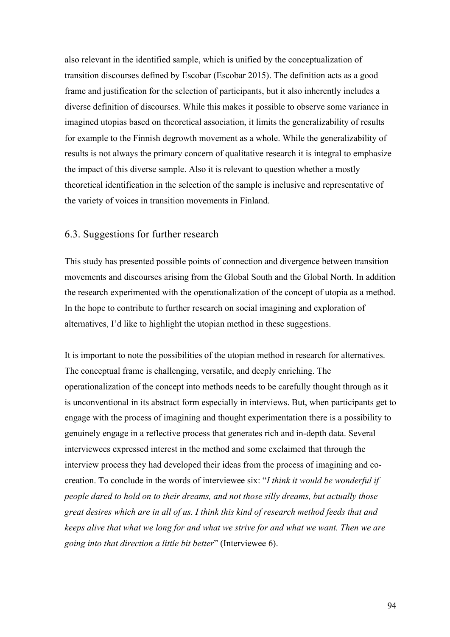also relevant in the identified sample, which is unified by the conceptualization of transition discourses defined by Escobar (Escobar 2015). The definition acts as a good frame and justification for the selection of participants, but it also inherently includes a diverse definition of discourses. While this makes it possible to observe some variance in imagined utopias based on theoretical association, it limits the generalizability of results for example to the Finnish degrowth movement as a whole. While the generalizability of results is not always the primary concern of qualitative research it is integral to emphasize the impact of this diverse sample. Also it is relevant to question whether a mostly theoretical identification in the selection of the sample is inclusive and representative of the variety of voices in transition movements in Finland.

# 6.3. Suggestions for further research

This study has presented possible points of connection and divergence between transition movements and discourses arising from the Global South and the Global North. In addition the research experimented with the operationalization of the concept of utopia as a method. In the hope to contribute to further research on social imagining and exploration of alternatives, I'd like to highlight the utopian method in these suggestions.

It is important to note the possibilities of the utopian method in research for alternatives. The conceptual frame is challenging, versatile, and deeply enriching. The operationalization of the concept into methods needs to be carefully thought through as it is unconventional in its abstract form especially in interviews. But, when participants get to engage with the process of imagining and thought experimentation there is a possibility to genuinely engage in a reflective process that generates rich and in-depth data. Several interviewees expressed interest in the method and some exclaimed that through the interview process they had developed their ideas from the process of imagining and cocreation. To conclude in the words of interviewee six: "*I think it would be wonderful if people dared to hold on to their dreams, and not those silly dreams, but actually those great desires which are in all of us. I think this kind of research method feeds that and keeps alive that what we long for and what we strive for and what we want. Then we are going into that direction a little bit better*" (Interviewee 6).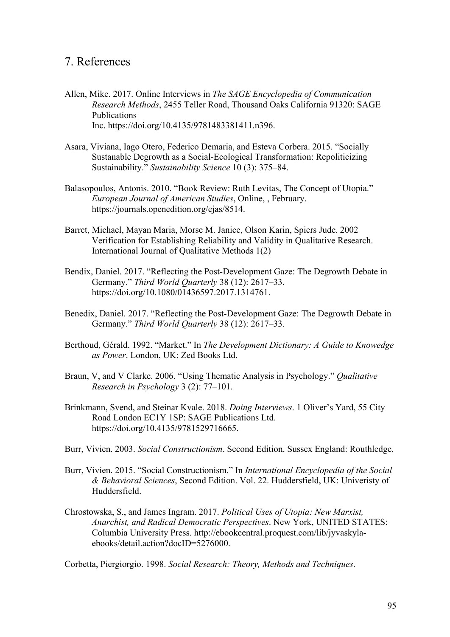# 7. References

- Allen, Mike. 2017. Online Interviews in *The SAGE Encyclopedia of Communication Research Methods*, 2455 Teller Road, Thousand Oaks California 91320: SAGE Publications Inc. https://doi.org/10.4135/9781483381411.n396.
- Asara, Viviana, Iago Otero, Federico Demaria, and Esteva Corbera. 2015. "Socially Sustanable Degrowth as a Social-Ecological Transformation: Repoliticizing Sustainability." *Sustainability Science* 10 (3): 375–84.
- Balasopoulos, Antonis. 2010. "Book Review: Ruth Levitas, The Concept of Utopia." *European Journal of American Studies*, Online, , February. https://journals.openedition.org/ejas/8514.
- Barret, Michael, Mayan Maria, Morse M. Janice, Olson Karin, Spiers Jude. 2002 Verification for Establishing Reliability and Validity in Qualitative Research. International Journal of Qualitative Methods 1(2)
- Bendix, Daniel. 2017. "Reflecting the Post-Development Gaze: The Degrowth Debate in Germany." *Third World Quarterly* 38 (12): 2617–33. https://doi.org/10.1080/01436597.2017.1314761.
- Benedix, Daniel. 2017. "Reflecting the Post-Development Gaze: The Degrowth Debate in Germany." *Third World Quarterly* 38 (12): 2617–33.
- Berthoud, Gérald. 1992. "Market." In *The Development Dictionary: A Guide to Knowedge as Power*. London, UK: Zed Books Ltd.
- Braun, V, and V Clarke. 2006. "Using Thematic Analysis in Psychology." *Qualitative Research in Psychology* 3 (2): 77–101.
- Brinkmann, Svend, and Steinar Kvale. 2018. *Doing Interviews*. 1 Oliver's Yard, 55 City Road London EC1Y 1SP: SAGE Publications Ltd. https://doi.org/10.4135/9781529716665.
- Burr, Vivien. 2003. *Social Constructionism*. Second Edition. Sussex England: Routhledge.
- Burr, Vivien. 2015. "Social Constructionism." In *International Encyclopedia of the Social & Behavioral Sciences*, Second Edition. Vol. 22. Huddersfield, UK: Univeristy of Huddersfield.
- Chrostowska, S., and James Ingram. 2017. *Political Uses of Utopia: New Marxist, Anarchist, and Radical Democratic Perspectives*. New York, UNITED STATES: Columbia University Press. http://ebookcentral.proquest.com/lib/jyvaskylaebooks/detail.action?docID=5276000.

Corbetta, Piergiorgio. 1998. *Social Research: Theory, Methods and Techniques*.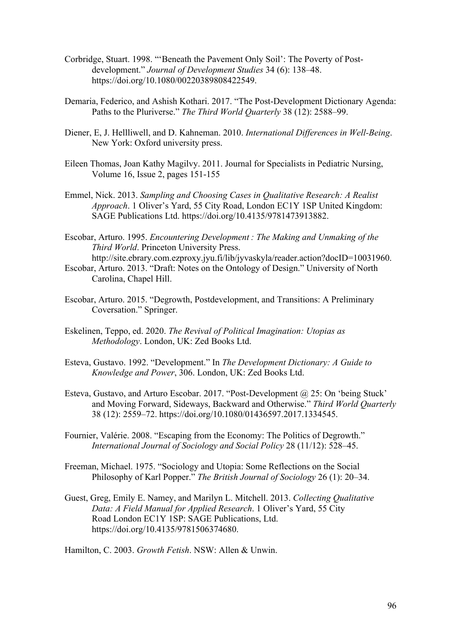- Corbridge, Stuart. 1998. "'Beneath the Pavement Only Soil': The Poverty of Post‐ development." *Journal of Development Studies* 34 (6): 138–48. https://doi.org/10.1080/00220389808422549.
- Demaria, Federico, and Ashish Kothari. 2017. "The Post-Development Dictionary Agenda: Paths to the Pluriverse." *The Third World Quarterly* 38 (12): 2588–99.
- Diener, E, J. Hellliwell, and D. Kahneman. 2010. *International Differences in Well-Being*. New York: Oxford university press.
- Eileen Thomas, Joan Kathy Magilvy. 2011. Journal for Specialists in Pediatric Nursing, Volume 16, Issue 2, pages 151-155
- Emmel, Nick. 2013. *Sampling and Choosing Cases in Qualitative Research: A Realist Approach*. 1 Oliver's Yard, 55 City Road, London EC1Y 1SP United Kingdom: SAGE Publications Ltd. https://doi.org/10.4135/9781473913882.
- Escobar, Arturo. 1995. *Encountering Development : The Making and Unmaking of the Third World*. Princeton University Press.
- http://site.ebrary.com.ezproxy.jyu.fi/lib/jyvaskyla/reader.action?docID=10031960. Escobar, Arturo. 2013. "Draft: Notes on the Ontology of Design." University of North Carolina, Chapel Hill.
- Escobar, Arturo. 2015. "Degrowth, Postdevelopment, and Transitions: A Preliminary Coversation." Springer.
- Eskelinen, Teppo, ed. 2020. *The Revival of Political Imagination: Utopias as Methodology*. London, UK: Zed Books Ltd.
- Esteva, Gustavo. 1992. "Development." In *The Development Dictionary: A Guide to Knowledge and Power*, 306. London, UK: Zed Books Ltd.
- Esteva, Gustavo, and Arturo Escobar. 2017. "Post-Development @ 25: On 'being Stuck' and Moving Forward, Sideways, Backward and Otherwise." *Third World Quarterly* 38 (12): 2559–72. https://doi.org/10.1080/01436597.2017.1334545.
- Fournier, Valérie. 2008. "Escaping from the Economy: The Politics of Degrowth." *International Journal of Sociology and Social Policy* 28 (11/12): 528–45.
- Freeman, Michael. 1975. "Sociology and Utopia: Some Reflections on the Social Philosophy of Karl Popper." *The British Journal of Sociology* 26 (1): 20–34.
- Guest, Greg, Emily E. Namey, and Marilyn L. Mitchell. 2013. *Collecting Qualitative Data: A Field Manual for Applied Research*. 1 Oliver's Yard, 55 City Road London EC1Y 1SP: SAGE Publications, Ltd. https://doi.org/10.4135/9781506374680.

Hamilton, C. 2003. *Growth Fetish*. NSW: Allen & Unwin.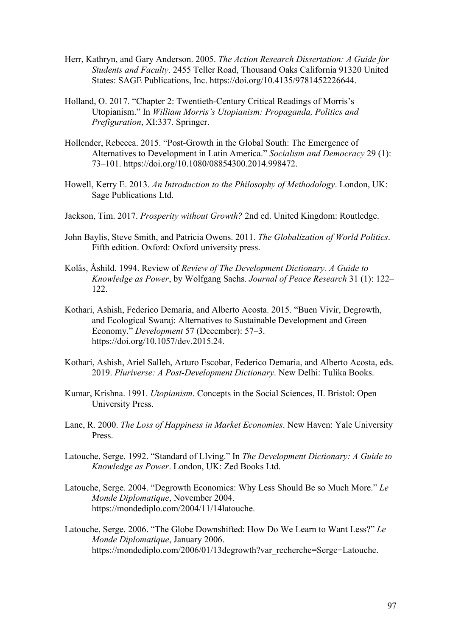- Herr, Kathryn, and Gary Anderson. 2005. *The Action Research Dissertation: A Guide for Students and Faculty*. 2455 Teller Road, Thousand Oaks California 91320 United States: SAGE Publications, Inc. https://doi.org/10.4135/9781452226644.
- Holland, O. 2017. "Chapter 2: Twentieth-Century Critical Readings of Morris's Utopianism." In *William Morris's Utopianism: Propaganda, Politics and Prefiguration*, XI:337. Springer.
- Hollender, Rebecca. 2015. "Post-Growth in the Global South: The Emergence of Alternatives to Development in Latin America." *Socialism and Democracy* 29 (1): 73–101. https://doi.org/10.1080/08854300.2014.998472.
- Howell, Kerry E. 2013. *An Introduction to the Philosophy of Methodology*. London, UK: Sage Publications Ltd.
- Jackson, Tim. 2017. *Prosperity without Growth?* 2nd ed. United Kingdom: Routledge.
- John Baylis, Steve Smith, and Patricia Owens. 2011. *The Globalization of World Politics*. Fifth edition. Oxford: Oxford university press.
- Kolås, Åshild. 1994. Review of *Review of The Development Dictionary. A Guide to Knowledge as Power*, by Wolfgang Sachs. *Journal of Peace Research* 31 (1): 122– 122.
- Kothari, Ashish, Federico Demaria, and Alberto Acosta. 2015. "Buen Vivir, Degrowth, and Ecological Swaraj: Alternatives to Sustainable Development and Green Economy." *Development* 57 (December): 57–3. https://doi.org/10.1057/dev.2015.24.
- Kothari, Ashish, Ariel Salleh, Arturo Escobar, Federico Demaria, and Alberto Acosta, eds. 2019. *Pluriverse: A Post-Development Dictionary*. New Delhi: Tulika Books.
- Kumar, Krishna. 1991. *Utopianism*. Concepts in the Social Sciences, II. Bristol: Open University Press.
- Lane, R. 2000. *The Loss of Happiness in Market Economies*. New Haven: Yale University Press.
- Latouche, Serge. 1992. "Standard of LIving." In *The Development Dictionary: A Guide to Knowledge as Power*. London, UK: Zed Books Ltd.
- Latouche, Serge. 2004. "Degrowth Economics: Why Less Should Be so Much More." *Le Monde Diplomatique*, November 2004. https://mondediplo.com/2004/11/14latouche.
- Latouche, Serge. 2006. "The Globe Downshifted: How Do We Learn to Want Less?" *Le Monde Diplomatique*, January 2006. https://mondediplo.com/2006/01/13degrowth?var\_recherche=Serge+Latouche.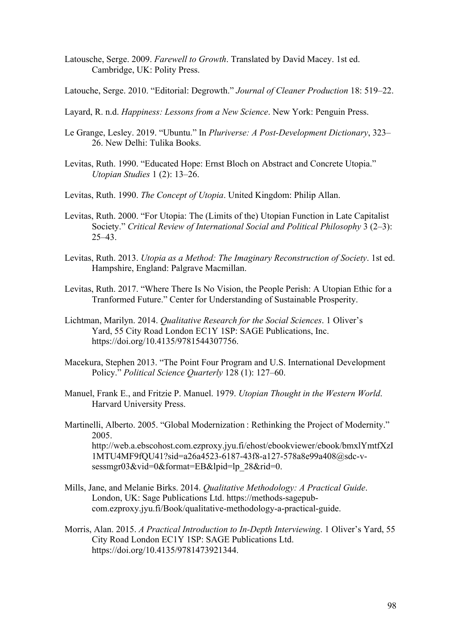- Latousche, Serge. 2009. *Farewell to Growth*. Translated by David Macey. 1st ed. Cambridge, UK: Polity Press.
- Latouche, Serge. 2010. "Editorial: Degrowth." *Journal of Cleaner Production* 18: 519–22.
- Layard, R. n.d. *Happiness: Lessons from a New Science*. New York: Penguin Press.
- Le Grange, Lesley. 2019. "Ubuntu." In *Pluriverse: A Post-Development Dictionary*, 323– 26. New Delhi: Tulika Books.
- Levitas, Ruth. 1990. "Educated Hope: Ernst Bloch on Abstract and Concrete Utopia." *Utopian Studies* 1 (2): 13–26.
- Levitas, Ruth. 1990. *The Concept of Utopia*. United Kingdom: Philip Allan.
- Levitas, Ruth. 2000. "For Utopia: The (Limits of the) Utopian Function in Late Capitalist Society." *Critical Review of International Social and Political Philosophy* 3 (2–3):  $25-43.$
- Levitas, Ruth. 2013. *Utopia as a Method: The Imaginary Reconstruction of Society*. 1st ed. Hampshire, England: Palgrave Macmillan.
- Levitas, Ruth. 2017. "Where There Is No Vision, the People Perish: A Utopian Ethic for a Tranformed Future." Center for Understanding of Sustainable Prosperity.
- Lichtman, Marilyn. 2014. *Qualitative Research for the Social Sciences*. 1 Oliver's Yard, 55 City Road London EC1Y 1SP: SAGE Publications, Inc. https://doi.org/10.4135/9781544307756.
- Macekura, Stephen 2013. "The Point Four Program and U.S. International Development Policy." *Political Science Quarterly* 128 (1): 127–60.
- Manuel, Frank E., and Fritzie P. Manuel. 1979. *Utopian Thought in the Western World*. Harvard University Press.
- Martinelli, Alberto. 2005. "Global Modernization : Rethinking the Project of Modernity." 2005. http://web.a.ebscohost.com.ezproxy.jyu.fi/ehost/ebookviewer/ebook/bmxlYmtfXzI 1MTU4MF9fQU41?sid=a26a4523-6187-43f8-a127-578a8e99a408@sdc-vsessmgr03&vid=0&format=EB&lpid=lp\_28&rid=0.
- Mills, Jane, and Melanie Birks. 2014. *Qualitative Methodology: A Practical Guide*. London, UK: Sage Publications Ltd. https://methods-sagepubcom.ezproxy.jyu.fi/Book/qualitative-methodology-a-practical-guide.
- Morris, Alan. 2015. *A Practical Introduction to In-Depth Interviewing*. 1 Oliver's Yard, 55 City Road London EC1Y 1SP: SAGE Publications Ltd. https://doi.org/10.4135/9781473921344.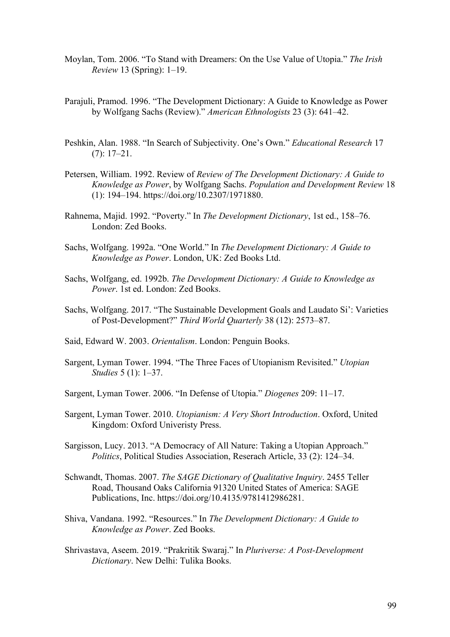- Moylan, Tom. 2006. "To Stand with Dreamers: On the Use Value of Utopia." *The Irish Review* 13 (Spring): 1–19.
- Parajuli, Pramod. 1996. "The Development Dictionary: A Guide to Knowledge as Power by Wolfgang Sachs (Review)." *American Ethnologists* 23 (3): 641–42.
- Peshkin, Alan. 1988. "In Search of Subjectivity. One's Own." *Educational Research* 17 (7): 17–21.
- Petersen, William. 1992. Review of *Review of The Development Dictionary: A Guide to Knowledge as Power*, by Wolfgang Sachs. *Population and Development Review* 18 (1): 194–194. https://doi.org/10.2307/1971880.
- Rahnema, Majid. 1992. "Poverty." In *The Development Dictionary*, 1st ed., 158–76. London: Zed Books.
- Sachs, Wolfgang. 1992a. "One World." In *The Development Dictionary: A Guide to Knowledge as Power*. London, UK: Zed Books Ltd.
- Sachs, Wolfgang, ed. 1992b. *The Development Dictionary: A Guide to Knowledge as Power*. 1st ed. London: Zed Books.
- Sachs, Wolfgang. 2017. "The Sustainable Development Goals and Laudato Si': Varieties of Post-Development?" *Third World Quarterly* 38 (12): 2573–87.
- Said, Edward W. 2003. *Orientalism*. London: Penguin Books.
- Sargent, Lyman Tower. 1994. "The Three Faces of Utopianism Revisited." *Utopian Studies* 5 (1): 1–37.
- Sargent, Lyman Tower. 2006. "In Defense of Utopia." *Diogenes* 209: 11–17.
- Sargent, Lyman Tower. 2010. *Utopianism: A Very Short Introduction*. Oxford, United Kingdom: Oxford Univeristy Press.
- Sargisson, Lucy. 2013. "A Democracy of All Nature: Taking a Utopian Approach." *Politics*, Political Studies Association, Reserach Article, 33 (2): 124–34.
- Schwandt, Thomas. 2007. *The SAGE Dictionary of Qualitative Inquiry*. 2455 Teller Road, Thousand Oaks California 91320 United States of America: SAGE Publications, Inc. https://doi.org/10.4135/9781412986281.
- Shiva, Vandana. 1992. "Resources." In *The Development Dictionary: A Guide to Knowledge as Power*. Zed Books.
- Shrivastava, Aseem. 2019. "Prakritik Swaraj." In *Pluriverse: A Post-Development Dictionary*. New Delhi: Tulika Books.